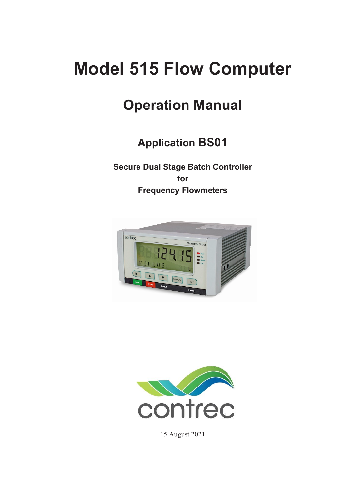# **Model 515 Flow Computer**

# **Operation Manual**

**Application BS01**

**Secure Dual Stage Batch Controller for Frequency Flowmeters**





15 August 2021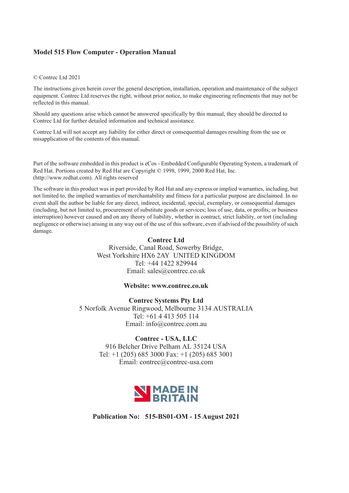### **Model 515 Flow Computer - Operation Manual**

#### © Contrec Ltd 2021

The instructions given herein cover the general description, installation, operation and maintenance of the subject equipment. Contrec Ltd reserves the right, without prior notice, to make engineering refinements that may not be reflected in this manual.

Should any questions arise which cannot be answered specifically by this manual, they should be directed to Contrec Ltd for further detailed information and technical assistance.

Contrec Ltd will not accept any liability for either direct or consequential damages resulting from the use or misapplication of the contents of this manual.

Part of the software embedded in this product is eCos - Embedded Configurable Operating System, a trademark of Red Hat. Portions created by Red Hat are Copyright © 1998, 1999, 2000 Red Hat, Inc. (http://www.redhat.com). All rights reserved

The software in this product was in part provided by Red Hat and any express or implied warranties, including, but not limited to, the implied warranties of merchantability and fitness for a particular purpose are disclaimed. In no event shall the author be liable for any direct, indirect, incidental, special, exemplary, or consequential damages (including, but not limited to, procurement of substitute goods or services; loss of use, data, or profits; or business interruption) however caused and on any theory of liability, whether in contract, strict liability, or tort (including negligence or otherwise) arising in any way out of the use of this software, even if advised of the possibility of such damage.

#### **Contrec Ltd**

Riverside, Canal Road, Sowerby Bridge, West Yorkshire HX6 2AY UNITED KINGDOM Tel: +44 1422 829944 Email: sales@contrec.co.uk

#### **Website: www.contrec.co.uk**

**Contrec Systems Pty Ltd** 5 Norfolk Avenue Ringwood, Melbourne 3134 AUSTRALIA Tel: +61 4 413 505 114 Email: info@contrec.com.au

## **Contrec - USA, LLC**

916 Belcher Drive Pelham AL 35124 USA Tel: +1 (205) 685 3000 Fax: +1 (205) 685 3001 Email: contrec@contrec-usa.com



**Publication No: 515-BS01-OM - 15 August 2021**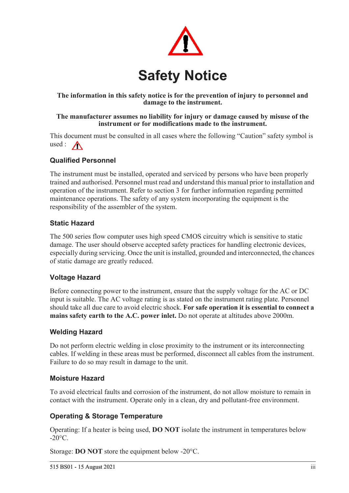

### **The information in this safety notice is for the prevention of injury to personnel and damage to the instrument.**

#### **The manufacturer assumes no liability for injury or damage caused by misuse of the instrument or for modifications made to the instrument.**

This document must be consulted in all cases where the following "Caution" safety symbol is used :  $\bigwedge$ 

### **Qualified Personnel**

The instrument must be installed, operated and serviced by persons who have been properly trained and authorised. Personnel must read and understand this manual prior to installation and operation of the instrument. Refer to section 3 for further information regarding permitted maintenance operations. The safety of any system incorporating the equipment is the responsibility of the assembler of the system.

### **Static Hazard**

The 500 series flow computer uses high speed CMOS circuitry which is sensitive to static damage. The user should observe accepted safety practices for handling electronic devices, especially during servicing. Once the unit is installed, grounded and interconnected, the chances of static damage are greatly reduced.

### **Voltage Hazard**

Before connecting power to the instrument, ensure that the supply voltage for the AC or DC input is suitable. The AC voltage rating is as stated on the instrument rating plate. Personnel should take all due care to avoid electric shock. **For safe operation it is essential to connect a mains safety earth to the A.C. power inlet.** Do not operate at altitudes above 2000m.

### **Welding Hazard**

Do not perform electric welding in close proximity to the instrument or its interconnecting cables. If welding in these areas must be performed, disconnect all cables from the instrument. Failure to do so may result in damage to the unit.

### **Moisture Hazard**

To avoid electrical faults and corrosion of the instrument, do not allow moisture to remain in contact with the instrument. Operate only in a clean, dry and pollutant-free environment.

### **Operating & Storage Temperature**

Operating: If a heater is being used, **DO NOT** isolate the instrument in temperatures below  $-20^{\circ}$ C.

Storage: **DO NOT** store the equipment below -20°C.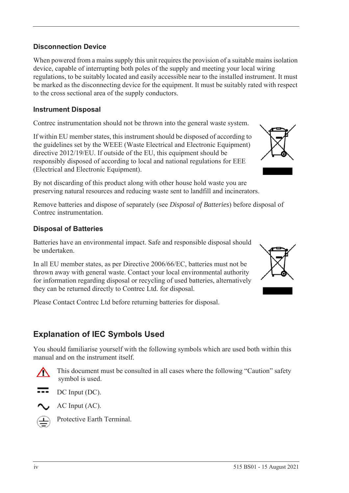### **Disconnection Device**

When powered from a mains supply this unit requires the provision of a suitable mains isolation device, capable of interrupting both poles of the supply and meeting your local wiring regulations, to be suitably located and easily accessible near to the installed instrument. It must be marked as the disconnecting device for the equipment. It must be suitably rated with respect to the cross sectional area of the supply conductors.

### **Instrument Disposal**

Contrec instrumentation should not be thrown into the general waste system.

If within EU member states, this instrument should be disposed of according to the guidelines set by the WEEE (Waste Electrical and Electronic Equipment) directive 2012/19/EU. If outside of the EU, this equipment should be responsibly disposed of according to local and national regulations for EEE (Electrical and Electronic Equipment).

By not discarding of this product along with other house hold waste you are preserving natural resources and reducing waste sent to landfill and incinerators.

Remove batteries and dispose of separately (see *Disposal of Batteries*) before disposal of Contrec instrumentation.

### **Disposal of Batteries**

Batteries have an environmental impact. Safe and responsible disposal should be undertaken.

In all EU member states, as per Directive 2006/66/EC, batteries must not be thrown away with general waste. Contact your local environmental authority for information regarding disposal or recycling of used batteries, alternatively they can be returned directly to Contrec Ltd. for disposal.

Please Contact Contrec Ltd before returning batteries for disposal.

## **Explanation of IEC Symbols Used**

You should familiarise yourself with the following symbols which are used both within this manual and on the instrument itself.

 This document must be consulted in all cases where the following "Caution" safety symbol is used.

| -- | DC Input (DC). |  |
|----|----------------|--|
|    |                |  |
|    |                |  |







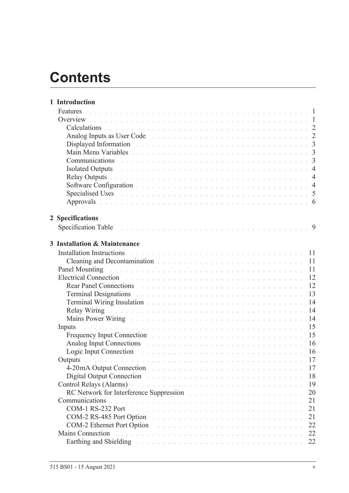# **Contents**

| 1 Introduction                                                                                                                                                                                                                      |    |
|-------------------------------------------------------------------------------------------------------------------------------------------------------------------------------------------------------------------------------------|----|
| Features<br>. The contract of the contract of the contract of the contract of the contract of $\mathcal{A}$                                                                                                                         |    |
|                                                                                                                                                                                                                                     |    |
| Calculations de la commune de la commune de la commune de la commune de la commune de la commune de la commune                                                                                                                      |    |
| Analog Inputs as User Code and a contract the contract of the contract of the 2                                                                                                                                                     |    |
| Displayed Information and the contract of the contract of the contract of the contract of the 3                                                                                                                                     |    |
|                                                                                                                                                                                                                                     |    |
| Communications research and contract the contract of the contract of the contract of the 3                                                                                                                                          |    |
| Isolated Outputs and a contract the contract of the contract of the contract of the contract of the contract of the contract of the contract of the contract of the contract of the contract of the contract of the contract o      |    |
|                                                                                                                                                                                                                                     |    |
|                                                                                                                                                                                                                                     |    |
| Specialised Uses <b>Specialised</b> Uses <b>Specialised</b> Uses <b>Specialised</b> Uses <b>Specialised</b> Uses <b>Specialised</b> Uses                                                                                            |    |
| Approvals and a construction of the construction of the construction of the construction of the construction of the construction of the construction of the construction of the construction of the construction of the constr      |    |
|                                                                                                                                                                                                                                     |    |
| 2 Specifications                                                                                                                                                                                                                    |    |
|                                                                                                                                                                                                                                     |    |
|                                                                                                                                                                                                                                     |    |
| 3 Installation & Maintenance                                                                                                                                                                                                        |    |
| Installation Instructions and the contract of the contract of the contract of the contract of the contract of the contract of the contract of the contract of the contract of the contract of the contract of the contract of       |    |
| Cleaning and Decontamination and the contract of the contract of the contract of the contract of the contract of the contract of the contract of the contract of the contract of the contract of the contract of the contract       | 11 |
| Panel Mounting research and contract the contract of the contract of the contract of the contract of the contract of the contract of the contract of the contract of the contract of the contract of the contract of the contr      | 11 |
| Electrical Connection and a construction of the contract of the contract of the contract of the contract of the                                                                                                                     | 12 |
| Rear Panel Connections and the connections of the connection of the connection of the connection of the connection of the connection of the connection of the connection of the connection of the connection of the connection      | 12 |
| Terminal Designations and a contract the contract of the contract of the contract of the contract of the contract of the contract of the contract of the contract of the contract of the contract of the contract of the contr      | 13 |
| Terminal Wiring Insulation and a contract of the contract of the contract of the contract of the contract of the contract of the contract of the contract of the contract of the contract of the contract of the contract of t      | 14 |
| Relay Wiring the community of the community of the community of the community of the community of the community of the community of the community of the community of the community of the community of the community of the c      | 14 |
| Mains Power Wiring <b>Experience Communication</b> Communication and Communication Communication Communication Communication Communication Communication Communication Communication Communication Communication Communication Comm | 14 |
| Inputs<br>a de la caractería de la caractería de la caractería de la caractería de la caractería de la caractería de la                                                                                                             | 15 |
| Frequency Input Connection and a constant of the contract of the contract of the contract of the contract of the contract of the contract of the contract of the contract of the contract of the contract of the contract of t      | 15 |
| Analog Input Connections and a contract the contract of the contract of the contract of the contract of the contract of the contract of the contract of the contract of the contract of the contract of the contract of the co      | 16 |
| Logic Input Connection and a construction of the contract of the contract of the contract of the contract of the contract of the contract of the contract of the contract of the contract of the contract of the contract of t      | 16 |
| <b>Outputs</b>                                                                                                                                                                                                                      |    |
| 4-20 mA Output Connection and a constant of the contract of the contract of the contract of the contract of the contract of the contract of the contract of the contract of the contract of the contract of the contract of th      | 17 |
| Digital Output Connection and a construction of the contract of the contract of the contract of the contract of                                                                                                                     | 18 |
| Control Relays (Alarms) and a control of the control of the control of the control of the control of the control of the control of the control of the control of the control of the control of the control of the control of t      | 19 |
| RC Network for Interference Suppression and a substitution of the set of the set of the set of the set of the                                                                                                                       | 20 |
| Communications<br>.<br>In the first term of the first term of the first term of the first term of the first term of the first term of                                                                                               | 21 |
| COM-1 RS-232 Port<br>.<br>In the second complete state of the second complete state of the second complete state of the second complete                                                                                             | 21 |
| COM-2 RS-485 Port Option and the community of the community of the community of the community of the community of the community of the community of the community of the community of the community of the community of the co      | 21 |
| COM-2 Ethernet Port Option                                                                                                                                                                                                          | 22 |
| <b>Mains Connection</b><br>.<br>In the second contract of the second contract of the second contract of the second contract of the second contr                                                                                     | 22 |
| Earthing and Shielding Theorem 2014 Contract of the Contract of the Contract of the Contract of the Contract of the Contract of the Contract of the Contract of the Contract of the Contract of the Contract of the Contract o      | 22 |
|                                                                                                                                                                                                                                     |    |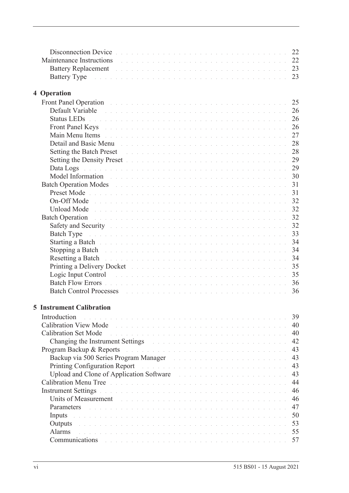| Disconnection Device <b>Constanting Constanting Constanting Constanting Constanting Constanting Constanting Constanting Constanting Constanting Constanting Constanting Constanting Constanting Constanting Constanting Constant</b><br>Maintenance Instructions<br>.<br>In the company of the company of the company of the company of the company of the company of the company of th<br>Battery Replacement and a substitution of the contract of the contract of the contract of the contract of the contract of the contract of the contract of the contract of the contract of the contract of the contract of the<br>Battery Type and a substitution of the state of the state of the state of the state of the state of the state of the state of the state of the state of the state of the state of the state of the state of the state of the s |  |  |  |  |  |  | 22<br>22<br>23<br>23 |
|------------------------------------------------------------------------------------------------------------------------------------------------------------------------------------------------------------------------------------------------------------------------------------------------------------------------------------------------------------------------------------------------------------------------------------------------------------------------------------------------------------------------------------------------------------------------------------------------------------------------------------------------------------------------------------------------------------------------------------------------------------------------------------------------------------------------------------------------------------|--|--|--|--|--|--|----------------------|
| 4 Operation                                                                                                                                                                                                                                                                                                                                                                                                                                                                                                                                                                                                                                                                                                                                                                                                                                                |  |  |  |  |  |  |                      |
| Front Panel Operation and the contract of the contract of the contract of the contract of the contract of the contract of the contract of the contract of the contract of the contract of the contract of the contract of the                                                                                                                                                                                                                                                                                                                                                                                                                                                                                                                                                                                                                              |  |  |  |  |  |  | 25                   |
| Default Variable                                                                                                                                                                                                                                                                                                                                                                                                                                                                                                                                                                                                                                                                                                                                                                                                                                           |  |  |  |  |  |  | 26                   |
| Status LEDs <b>And Alternative Contract Contract Contract Contract Contract Contract Contract Contract Contract Contract Contract Contract Contract Contract Contract Contract Contract Contract Contract Contract Contract Cont</b>                                                                                                                                                                                                                                                                                                                                                                                                                                                                                                                                                                                                                       |  |  |  |  |  |  | 26                   |
| Front Panel Keys and a subsequently assumed to the contract of the contract of the contract of the contract of                                                                                                                                                                                                                                                                                                                                                                                                                                                                                                                                                                                                                                                                                                                                             |  |  |  |  |  |  | 26                   |
| Main Menu Items and a conservative conservative conservative conservative conservative                                                                                                                                                                                                                                                                                                                                                                                                                                                                                                                                                                                                                                                                                                                                                                     |  |  |  |  |  |  | 27                   |
| Detail and Basic Menu and the community of the community of the community of the community of the community of                                                                                                                                                                                                                                                                                                                                                                                                                                                                                                                                                                                                                                                                                                                                             |  |  |  |  |  |  | 28                   |
| <b>Setting the Batch Preset Contract Contract Contract Contract Contract Contract Contract Contract Contract Contract Contract Contract Contract Contract Contract Contract Contract Contract Contract Contract Contract Contr</b>                                                                                                                                                                                                                                                                                                                                                                                                                                                                                                                                                                                                                         |  |  |  |  |  |  | 28                   |
| <b>Setting the Density Preset</b> entering the set of the set of the set of the set of the set of the set of the set of the set of the set of the set of the set of the set of the set of the set of the set of the set of the set                                                                                                                                                                                                                                                                                                                                                                                                                                                                                                                                                                                                                         |  |  |  |  |  |  | 29                   |
| Data Logs (Alberta Alberta Alberta Alberta Alberta Alberta Alberta Alberta Alberta Alberta Alberta Alberta Alb                                                                                                                                                                                                                                                                                                                                                                                                                                                                                                                                                                                                                                                                                                                                             |  |  |  |  |  |  | 29                   |
| Model Information and a contract the contract of the contract of the contract of the contract of the contract of the contract of the contract of the contract of the contract of the contract of the contract of the contract                                                                                                                                                                                                                                                                                                                                                                                                                                                                                                                                                                                                                              |  |  |  |  |  |  | 30                   |
| Batch Operation Modes and a contract the contract of the contract of the contract of the contract of the contract of the contract of the contract of the contract of the contract of the contract of the contract of the contr                                                                                                                                                                                                                                                                                                                                                                                                                                                                                                                                                                                                                             |  |  |  |  |  |  | 31                   |
| Preset Mode de la communicación de la communicación de la communicación de la communicación de la communicació                                                                                                                                                                                                                                                                                                                                                                                                                                                                                                                                                                                                                                                                                                                                             |  |  |  |  |  |  | 31                   |
| On-Off Mode and a construction of the construction of the construction of the construction of the construction                                                                                                                                                                                                                                                                                                                                                                                                                                                                                                                                                                                                                                                                                                                                             |  |  |  |  |  |  | 32                   |
| Unload Mode experience in the contract of the contract of the contract of the contract of the contract of the                                                                                                                                                                                                                                                                                                                                                                                                                                                                                                                                                                                                                                                                                                                                              |  |  |  |  |  |  | 32                   |
| Batch Operation and a construction of the contract of the construction of the construction of the construction                                                                                                                                                                                                                                                                                                                                                                                                                                                                                                                                                                                                                                                                                                                                             |  |  |  |  |  |  | 32                   |
| Safety and Security and the company of the company of the company of the second state of the second state of the second state of the second state of the second state of the second state of the second state of the second st                                                                                                                                                                                                                                                                                                                                                                                                                                                                                                                                                                                                                             |  |  |  |  |  |  | 32                   |
| <b>Batch Type</b> enterpresent and a series of the series of the series of the series of the series of the series of the                                                                                                                                                                                                                                                                                                                                                                                                                                                                                                                                                                                                                                                                                                                                   |  |  |  |  |  |  | 33                   |
| Starting a Batch enterpreter to the community of the community of the starting a Batch of the community of the                                                                                                                                                                                                                                                                                                                                                                                                                                                                                                                                                                                                                                                                                                                                             |  |  |  |  |  |  | 34                   |
| Stopping a Batch and a subsequence of the service of the service of the service of the service of the service of the service of the service of the service of the service of the service of the service of the service of the                                                                                                                                                                                                                                                                                                                                                                                                                                                                                                                                                                                                                              |  |  |  |  |  |  | 34                   |
| Resetting a Batch research and the second contract of the second contract of the second second contract of the second second second second second second second second second second second second second second second second                                                                                                                                                                                                                                                                                                                                                                                                                                                                                                                                                                                                                             |  |  |  |  |  |  | 34                   |
|                                                                                                                                                                                                                                                                                                                                                                                                                                                                                                                                                                                                                                                                                                                                                                                                                                                            |  |  |  |  |  |  | 35                   |
| Logic Input Control<br>.<br>In the second term of the second term of the second term of the second term of the second term of the second t                                                                                                                                                                                                                                                                                                                                                                                                                                                                                                                                                                                                                                                                                                                 |  |  |  |  |  |  | 35                   |
|                                                                                                                                                                                                                                                                                                                                                                                                                                                                                                                                                                                                                                                                                                                                                                                                                                                            |  |  |  |  |  |  | 36                   |
| Batch Control Processes and a control of the control of the control of the control of the control of the control of the control of the control of the control of the control of the control of the control of the control of t                                                                                                                                                                                                                                                                                                                                                                                                                                                                                                                                                                                                                             |  |  |  |  |  |  | 36                   |
| <b>5</b> Instrument Calibration                                                                                                                                                                                                                                                                                                                                                                                                                                                                                                                                                                                                                                                                                                                                                                                                                            |  |  |  |  |  |  |                      |
| Introduction<br>a constitution de la constitution de la constitution de la constitution de la constitution de la constitution                                                                                                                                                                                                                                                                                                                                                                                                                                                                                                                                                                                                                                                                                                                              |  |  |  |  |  |  | 39                   |
| <b>Calibration View Mode Calibration</b> View <b>Mode Calibration</b> View <b>Mode Calibration</b> View <b>Mode Calibration</b> View <b>Mode Calibration</b> View <b>Calibration</b> View <b>Calibration</b> View <b>Calibration</b> View <b>Calibration</b> View                                                                                                                                                                                                                                                                                                                                                                                                                                                                                                                                                                                          |  |  |  |  |  |  | 40                   |
| <b>Calibration Set Mode</b><br>.<br>In the second contract of the second contract of the second contract of the second contract of the second cont                                                                                                                                                                                                                                                                                                                                                                                                                                                                                                                                                                                                                                                                                                         |  |  |  |  |  |  | 40                   |
| Changing the Instrument Settings and a contract of the contract of the contract of the contract of the contract of the contract of the contract of the contract of the contract of the contract of the contract of the contrac                                                                                                                                                                                                                                                                                                                                                                                                                                                                                                                                                                                                                             |  |  |  |  |  |  | 42                   |
| Program Backup & Reports and the contract of the contract of the contract of the contract of the contract of the contract of the contract of the contract of the contract of the contract of the contract of the contract of t                                                                                                                                                                                                                                                                                                                                                                                                                                                                                                                                                                                                                             |  |  |  |  |  |  | 43                   |
| Backup via 500 Series Program Manager and a construction of the series of the series of the series of the series of the series of the series of the series of the series of the series of the series of the series of the seri                                                                                                                                                                                                                                                                                                                                                                                                                                                                                                                                                                                                                             |  |  |  |  |  |  | 43                   |
| Printing Configuration Report and the contract of the contract of the contract of the contract of the contract of the contract of the contract of the contract of the contract of the contract of the contract of the contract                                                                                                                                                                                                                                                                                                                                                                                                                                                                                                                                                                                                                             |  |  |  |  |  |  | 43                   |
| Upload and Clone of Application Software and a substitution of Application Software                                                                                                                                                                                                                                                                                                                                                                                                                                                                                                                                                                                                                                                                                                                                                                        |  |  |  |  |  |  | 43                   |
|                                                                                                                                                                                                                                                                                                                                                                                                                                                                                                                                                                                                                                                                                                                                                                                                                                                            |  |  |  |  |  |  | 44                   |
| Instrument Settings and a communication of the communication of the communication of the communication of the                                                                                                                                                                                                                                                                                                                                                                                                                                                                                                                                                                                                                                                                                                                                              |  |  |  |  |  |  | 46                   |
| Units of Measurement<br>.<br>In the second complete state of the second complete state of the second complete state of the second complete                                                                                                                                                                                                                                                                                                                                                                                                                                                                                                                                                                                                                                                                                                                 |  |  |  |  |  |  | 46                   |
| Parameters<br>de la caractería de la caractería de la caractería de la caractería de la caractería de la caractería                                                                                                                                                                                                                                                                                                                                                                                                                                                                                                                                                                                                                                                                                                                                        |  |  |  |  |  |  | 47                   |
| Inputs<br>a de la calcada de la calcada de la calcada de la calcada de la calcada de la calcada de la calcada de                                                                                                                                                                                                                                                                                                                                                                                                                                                                                                                                                                                                                                                                                                                                           |  |  |  |  |  |  | 50                   |
| Outputs<br>in a constitution of the construction of the constitution of the construction of the constitution of the constitution of the constitution of the constitution of the constitution of the constitution of the constitution of t                                                                                                                                                                                                                                                                                                                                                                                                                                                                                                                                                                                                                  |  |  |  |  |  |  | 53                   |
| Alarms<br><u>. A na mara na mara na mara na mara na mara na mara na m</u>                                                                                                                                                                                                                                                                                                                                                                                                                                                                                                                                                                                                                                                                                                                                                                                  |  |  |  |  |  |  | 55                   |
| Communications<br>a construction and construction of the construction of the construction of the construction of the construction                                                                                                                                                                                                                                                                                                                                                                                                                                                                                                                                                                                                                                                                                                                          |  |  |  |  |  |  | 57                   |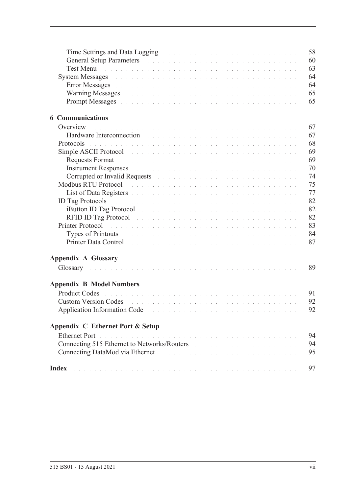| Time Settings and Data Logging Marshall and the contract of the Settings and Data Logging Marshall and the contract of the contract of the contract of the contract of the contract of the contract of the contract of the con<br>General Setup Parameters and a construction of the construction of the construction of |  |  |  |  |  |  |  |  | 58<br>60 |
|--------------------------------------------------------------------------------------------------------------------------------------------------------------------------------------------------------------------------------------------------------------------------------------------------------------------------|--|--|--|--|--|--|--|--|----------|
|                                                                                                                                                                                                                                                                                                                          |  |  |  |  |  |  |  |  | 63       |
| System Messages and a construction of the construction of the construction of the construction of the construction of the construction of the construction of the construction of the construction of the construction of the                                                                                            |  |  |  |  |  |  |  |  | 64       |
|                                                                                                                                                                                                                                                                                                                          |  |  |  |  |  |  |  |  | 64       |
| Warning Messages and a contract the contract of the contract of the contract of the contract of the contract of the contract of the contract of the contract of the contract of the contract of the contract of the contract o                                                                                           |  |  |  |  |  |  |  |  | 65       |
|                                                                                                                                                                                                                                                                                                                          |  |  |  |  |  |  |  |  | 65       |
| <b>6</b> Communications                                                                                                                                                                                                                                                                                                  |  |  |  |  |  |  |  |  |          |
|                                                                                                                                                                                                                                                                                                                          |  |  |  |  |  |  |  |  | 67       |
| Hardware Interconnection and the contract of the contract of the contract of the contract of the contract of the contract of the contract of the contract of the contract of the contract of the contract of the contract of t                                                                                           |  |  |  |  |  |  |  |  | 67       |
| Protocols and an annual contract of the contract of the contract of the contract of the contract of the contract of the contract of the contract of the contract of the contract of the contract of the contract of the contra                                                                                           |  |  |  |  |  |  |  |  | 68       |
| Simple ASCII Protocol and the contract of the contract of the contract of the contract of the contract of the                                                                                                                                                                                                            |  |  |  |  |  |  |  |  | 69       |
| Requests Format enterprise and a series of the contract of the contract of the contract of the contract of the contract of the contract of the contract of the contract of the contract of the contract of the contract of the                                                                                           |  |  |  |  |  |  |  |  | 69       |
| Instrument Responses and a contract the contract of the contract of the contract of the contract of the contract of the contract of the contract of the contract of the contract of the contract of the contract of the contra                                                                                           |  |  |  |  |  |  |  |  | 70       |
| Corrupted or Invalid Requests and a contract to the contract of the contract of the                                                                                                                                                                                                                                      |  |  |  |  |  |  |  |  | 74       |
| Modbus RTU Protocol<br>المتعاونة والمتعاونة والمتعاونة والمتعاونة والمتعاونة والمتعاونة والمتعاونة والمتعاونة والمتعاونة والمتعاونات                                                                                                                                                                                     |  |  |  |  |  |  |  |  | 75       |
| List of Data Registers and a contract the contract of the contract of the contract of                                                                                                                                                                                                                                    |  |  |  |  |  |  |  |  | 77       |
| ID Tag Protocols and a construction of the construction of the construction of the construction of the construction of the construction of the construction of the construction of the construction of the construction of the                                                                                           |  |  |  |  |  |  |  |  | 82       |
| <b>iButton ID Tag Protocol</b> and the same and the same and the same and the same and the same of the same of the same of the same of the same of the same of the same of the same of the same of the same of the same of the same                                                                                      |  |  |  |  |  |  |  |  | 82       |
| RFID ID Tag Protocol and a construction of the construction of the construction of the construction of the construction of the construction of the construction of the construction of the construction of the construction of                                                                                           |  |  |  |  |  |  |  |  | 82       |
| Printer Protocol and a construction of the construction of the construction of the construction of the construction of the construction of the construction of the construction of the construction of the construction of the                                                                                           |  |  |  |  |  |  |  |  | 83       |
| Types of Printouts and the contract of the contract of the contract of the contract of the contract of the contract of the contract of the contract of the contract of the contract of the contract of the contract of the con                                                                                           |  |  |  |  |  |  |  |  | 84       |
| Printer Data Control and a control of the control of the control of the control of the control of the control of the control of the control of the control of the control of the control of the control of the control of the                                                                                            |  |  |  |  |  |  |  |  | 87       |
| <b>Appendix A Glossary</b>                                                                                                                                                                                                                                                                                               |  |  |  |  |  |  |  |  |          |
|                                                                                                                                                                                                                                                                                                                          |  |  |  |  |  |  |  |  |          |
| <b>Appendix B Model Numbers</b>                                                                                                                                                                                                                                                                                          |  |  |  |  |  |  |  |  |          |
| <b>Product Codes</b>                                                                                                                                                                                                                                                                                                     |  |  |  |  |  |  |  |  |          |
|                                                                                                                                                                                                                                                                                                                          |  |  |  |  |  |  |  |  |          |
|                                                                                                                                                                                                                                                                                                                          |  |  |  |  |  |  |  |  |          |
| Appendix C Ethernet Port & Setup                                                                                                                                                                                                                                                                                         |  |  |  |  |  |  |  |  |          |
| <b>Ethernet Port</b><br>.<br>In the second term of the second term of the second term of the second term of the second term of the second t                                                                                                                                                                              |  |  |  |  |  |  |  |  | 94       |
| Connecting 515 Ethernet to Networks/Routers and a substitution of the state of the state of the state of the state of the state of the state of the state of the state of the state of the state of the state of the state of                                                                                            |  |  |  |  |  |  |  |  | 94       |
| Connecting DataMod via Ethernet and a constant and a constant and a constant of                                                                                                                                                                                                                                          |  |  |  |  |  |  |  |  | 95       |
| <b>Index</b><br>.<br>In the company of the company of the company of the company of the company of the company of the company of th                                                                                                                                                                                      |  |  |  |  |  |  |  |  | 97       |
|                                                                                                                                                                                                                                                                                                                          |  |  |  |  |  |  |  |  |          |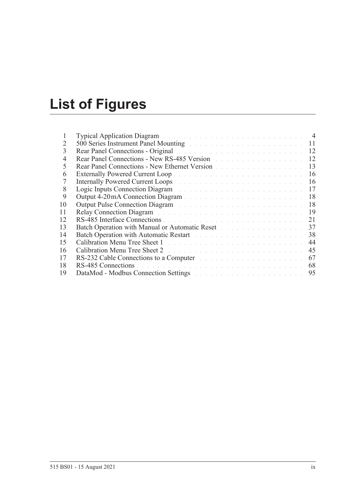# **List of Figures**

| I  | Typical Application Diagram and a contract of the contract of the contract of the 4                                                                                                                                                  |    |
|----|--------------------------------------------------------------------------------------------------------------------------------------------------------------------------------------------------------------------------------------|----|
|    |                                                                                                                                                                                                                                      |    |
| 2  | 500 Series Instrument Panel Mounting and a contract of the series of the 11                                                                                                                                                          |    |
| 3  | Rear Panel Connections - Original and a substitution of the contract of the contract of the contract of the contract of the contract of the contract of the contract of the contract of the contract of the contract of the co       | 12 |
| 4  | Rear Panel Connections - New RS-485 Version                                                                                                                                                                                          | 12 |
| 5  | Rear Panel Connections - New Ethernet Version                                                                                                                                                                                        | 13 |
| 6  |                                                                                                                                                                                                                                      | 16 |
| 7  | Internally Powered Current Loops and a contract of the contract of the contract of the contract of the contract of the contract of the contract of the contract of the contract of the contract of the contract of the contrac       | 16 |
| 8  | Logic Inputs Connection Diagram and a connection of the Connection of the Connection of the Connection of the Connection of the Connection of the Connection of the Connection of the Connection of the Connection of the Conn       | 17 |
| 9  | Output 4-20mA Connection Diagram                                                                                                                                                                                                     | 18 |
| 10 | Output Pulse Connection Diagram and a connection of the Connection of the Connection of the Connection of the Connection of the Connection of the Connection of the Connection of the Connection of the Connection of the Conn       | 18 |
| 11 | Relay Connection Diagram and a connection of the connection of the connection of the connection of the connection of the connection of the connection of the connection of the connection of the connection of the connection        | 19 |
| 12 |                                                                                                                                                                                                                                      | 21 |
| 13 | Batch Operation with Manual or Automatic Reset <b>Executive Contract Contract Contract Contract Contract Contract Contract Contract Contract Contract Contract Contract Contract Contract Contract Contract Contract Contract Co</b> | 37 |
| 14 | Batch Operation with Automatic Restart Marshall and Automatic Restart                                                                                                                                                                | 38 |
| 15 |                                                                                                                                                                                                                                      | 44 |
| 16 | Calibration Menu Tree Sheet 2 and the contract of the contract of the contract of the Calibration of the Sheet                                                                                                                       | 45 |
| 17 | RS-232 Cable Connections to a Computer and a substitution of the set of the set of the set of the set of the set of the set of the set of the set of the set of the set of the set of the set of the set of the set of the set       | 67 |
| 18 |                                                                                                                                                                                                                                      | 68 |
| 19 | DataMod - Modbus Connection Settings and a connection of the settings of the settings of the settings of the settings of the settings of the settings of the settings of the settings of the settings of the settings of the s       | 95 |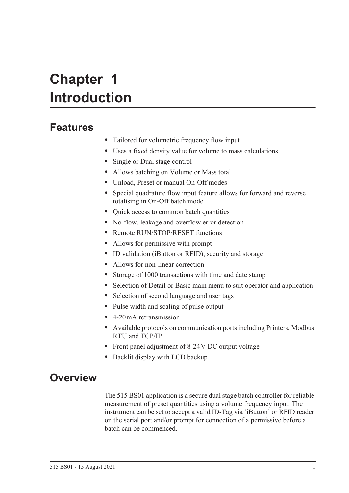# <span id="page-10-0"></span>**Chapter 1 Introduction**

## <span id="page-10-1"></span>**Features**

- **•** Tailored for volumetric frequency flow input
- **•** Uses a fixed density value for volume to mass calculations
- **•** Single or Dual stage control
- **•** Allows batching on Volume or Mass total
- **•** Unload, Preset or manual On-Off modes
- **•** Special quadrature flow input feature allows for forward and reverse totalising in On-Off batch mode
- **•** Quick access to common batch quantities
- No-flow, leakage and overflow error detection
- **•** Remote RUN/STOP/RESET functions
- **•** Allows for permissive with prompt
- **•** ID validation (iButton or RFID), security and storage
- Allows for non-linear correction
- **•** Storage of 1000 transactions with time and date stamp
- **•** Selection of Detail or Basic main menu to suit operator and application
- **•** Selection of second language and user tags
- **•** Pulse width and scaling of pulse output
- **•** 4-20 mA retransmission
- **•** Available protocols on communication ports including Printers, Modbus RTU and TCP/IP
- **•** Front panel adjustment of 8-24 V DC output voltage
- **•** Backlit display with LCD backup

## <span id="page-10-2"></span>**Overview**

The 515 BS01 application is a secure dual stage batch controller for reliable measurement of preset quantities using a volume frequency input. The instrument can be set to accept a valid ID-Tag via 'iButton' or RFID reader on the serial port and/or prompt for connection of a permissive before a batch can be commenced.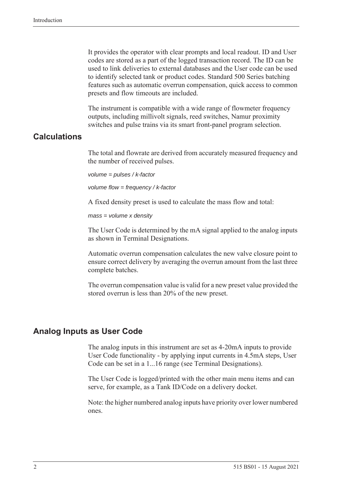It provides the operator with clear prompts and local readout. ID and User codes are stored as a part of the logged transaction record. The ID can be used to link deliveries to external databases and the User code can be used to identify selected tank or product codes. Standard 500 Series batching features such as automatic overrun compensation, quick access to common presets and flow timeouts are included.

The instrument is compatible with a wide range of flowmeter frequency outputs, including millivolt signals, reed switches, Namur proximity switches and pulse trains via its smart front-panel program selection.

### <span id="page-11-0"></span>**Calculations**

The total and flowrate are derived from accurately measured frequency and the number of received pulses.

*volume = pulses / k-factor*

*volume flow = frequency / k-factor*

A fixed density preset is used to calculate the mass flow and total:

*mass = volume x density*

The User Code is determined by the mA signal applied to the analog inputs as shown in Terminal Designations.

Automatic overrun compensation calculates the new valve closure point to ensure correct delivery by averaging the overrun amount from the last three complete batches.

The overrun compensation value is valid for a new preset value provided the stored overrun is less than 20% of the new preset.

### <span id="page-11-1"></span>**Analog Inputs as User Code**

The analog inputs in this instrument are set as 4-20mA inputs to provide User Code functionality - by applying input currents in 4.5mA steps, User Code can be set in a 1...16 range (see Terminal Designations).

The User Code is logged/printed with the other main menu items and can serve, for example, as a Tank ID/Code on a delivery docket.

Note: the higher numbered analog inputs have priority over lower numbered ones.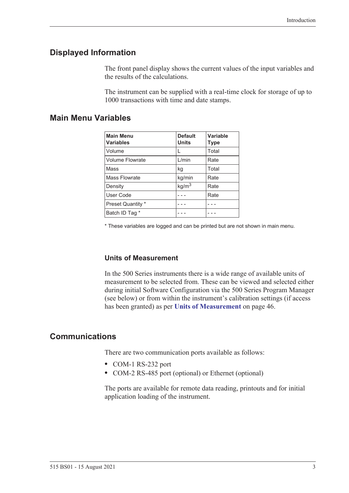### <span id="page-12-0"></span>**Displayed Information**

The front panel display shows the current values of the input variables and the results of the calculations.

The instrument can be supplied with a real-time clock for storage of up to 1000 transactions with time and date stamps.

### <span id="page-12-1"></span>**Main Menu Variables**

| <b>Main Menu</b><br><b>Variables</b> | <b>Default</b><br><b>Units</b> | <b>Variable</b><br><b>Type</b> |
|--------------------------------------|--------------------------------|--------------------------------|
| Volume                               |                                | Total                          |
| <b>Volume Flowrate</b>               | L/min                          | Rate                           |
| Mass                                 | kg                             | Total                          |
| <b>Mass Flowrate</b>                 | kg/min                         | Rate                           |
| Density                              | kg/m <sup>3</sup>              | Rate                           |
| User Code                            |                                | Rate                           |
| Preset Quantity *                    |                                |                                |
| Batch ID Tag *                       |                                |                                |

\* These variables are logged and can be printed but are not shown in main menu.

### **Units of Measurement**

In the 500 Series instruments there is a wide range of available units of measurement to be selected from. These can be viewed and selected either during initial Software Configuration via the 500 Series Program Manager (see below) or from within the instrument's calibration settings (if access has been granted) as per **[Units of Measurement](#page-55-2)** on page 46.

## <span id="page-12-2"></span>**Communications**

There are two communication ports available as follows:

- **•** COM-1 RS-232 port
- **•** COM-2 RS-485 port (optional) or Ethernet (optional)

The ports are available for remote data reading, printouts and for initial application loading of the instrument.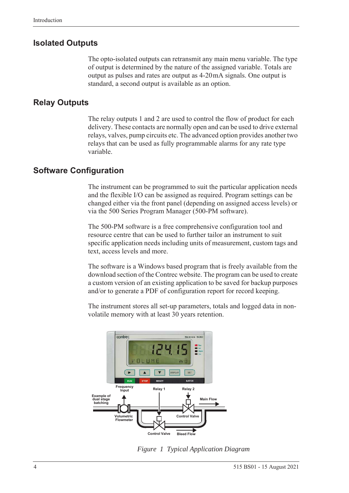## <span id="page-13-0"></span>**Isolated Outputs**

The opto-isolated outputs can retransmit any main menu variable. The type of output is determined by the nature of the assigned variable. Totals are output as pulses and rates are output as 4-20 mA signals. One output is standard, a second output is available as an option.

## <span id="page-13-1"></span>**Relay Outputs**

The relay outputs 1 and 2 are used to control the flow of product for each delivery. These contacts are normally open and can be used to drive external relays, valves, pump circuits etc. The advanced option provides another two relays that can be used as fully programmable alarms for any rate type variable.

## <span id="page-13-2"></span>**Software Configuration**

The instrument can be programmed to suit the particular application needs and the flexible I/O can be assigned as required. Program settings can be changed either via the front panel (depending on assigned access levels) or via the 500 Series Program Manager (500-PM software).

The 500-PM software is a free comprehensive configuration tool and resource centre that can be used to further tailor an instrument to suit specific application needs including units of measurement, custom tags and text, access levels and more.

The software is a Windows based program that is freely available from the download section of the Contrec website. The program can be used to create a custom version of an existing application to be saved for backup purposes and/or to generate a PDF of configuration report for record keeping.

The instrument stores all set-up parameters, totals and logged data in nonvolatile memory with at least 30 years retention.



<span id="page-13-3"></span>*Figure 1 Typical Application Diagram*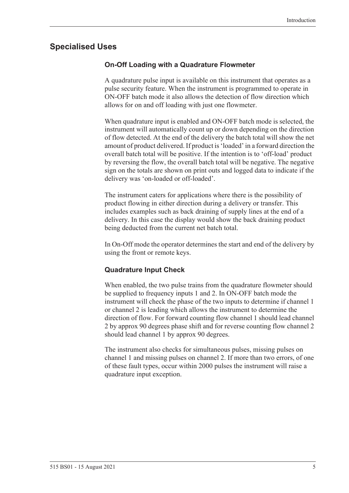## <span id="page-14-0"></span>**Specialised Uses**

### **On-Off Loading with a Quadrature Flowmeter**

A quadrature pulse input is available on this instrument that operates as a pulse security feature. When the instrument is programmed to operate in ON-OFF batch mode it also allows the detection of flow direction which allows for on and off loading with just one flowmeter.

When quadrature input is enabled and ON-OFF batch mode is selected, the instrument will automatically count up or down depending on the direction of flow detected. At the end of the delivery the batch total will show the net amount of product delivered. If product is 'loaded' in a forward direction the overall batch total will be positive. If the intention is to 'off-load' product by reversing the flow, the overall batch total will be negative. The negative sign on the totals are shown on print outs and logged data to indicate if the delivery was 'on-loaded or off-loaded'.

The instrument caters for applications where there is the possibility of product flowing in either direction during a delivery or transfer. This includes examples such as back draining of supply lines at the end of a delivery. In this case the display would show the back draining product being deducted from the current net batch total.

In On-Off mode the operator determines the start and end of the delivery by using the front or remote keys.

### **Quadrature Input Check**

When enabled, the two pulse trains from the quadrature flowmeter should be supplied to frequency inputs 1 and 2. In ON-OFF batch mode the instrument will check the phase of the two inputs to determine if channel 1 or channel 2 is leading which allows the instrument to determine the direction of flow. For forward counting flow channel 1 should lead channel 2 by approx 90 degrees phase shift and for reverse counting flow channel 2 should lead channel 1 by approx 90 degrees.

The instrument also checks for simultaneous pulses, missing pulses on channel 1 and missing pulses on channel 2. If more than two errors, of one of these fault types, occur within 2000 pulses the instrument will raise a quadrature input exception.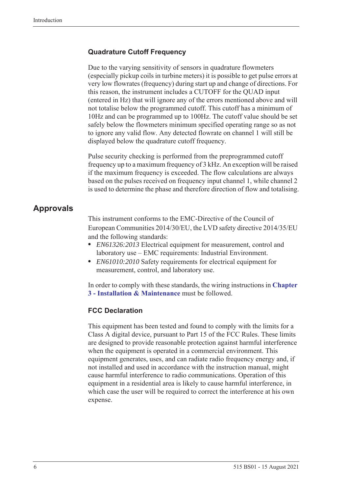### **Quadrature Cutoff Frequency**

Due to the varying sensitivity of sensors in quadrature flowmeters (especially pickup coils in turbine meters) it is possible to get pulse errors at very low flowrates (frequency) during start up and change of directions. For this reason, the instrument includes a CUTOFF for the QUAD input (entered in Hz) that will ignore any of the errors mentioned above and will not totalise below the programmed cutoff. This cutoff has a minimum of 10Hz and can be programmed up to 100Hz. The cutoff value should be set safely below the flowmeters minimum specified operating range so as not to ignore any valid flow. Any detected flowrate on channel 1 will still be displayed below the quadrature cutoff frequency.

Pulse security checking is performed from the preprogrammed cutoff frequency up to a maximum frequency of 3 kHz. An exception will be raised if the maximum frequency is exceeded. The flow calculations are always based on the pulses received on frequency input channel 1, while channel 2 is used to determine the phase and therefore direction of flow and totalising.

### <span id="page-15-0"></span>**Approvals**

This instrument conforms to the EMC-Directive of the Council of European Communities 2014/30/EU, the LVD safety directive 2014/35/EU and the following standards:

- **•** *EN61326:2013* Electrical equipment for measurement, control and laboratory use – EMC requirements: Industrial Environment.
- **•** *EN61010:2010* Safety requirements for electrical equipment for measurement, control, and laboratory use.

In order to comply with these standards, the wiring instructions in **[Chapter](#page-20-5)  [3 - Installation & Maintenance](#page-20-5)** must be followed.

#### **FCC Declaration**

This equipment has been tested and found to comply with the limits for a Class A digital device, pursuant to Part 15 of the FCC Rules. These limits are designed to provide reasonable protection against harmful interference when the equipment is operated in a commercial environment. This equipment generates, uses, and can radiate radio frequency energy and, if not installed and used in accordance with the instruction manual, might cause harmful interference to radio communications. Operation of this equipment in a residential area is likely to cause harmful interference, in which case the user will be required to correct the interference at his own expense.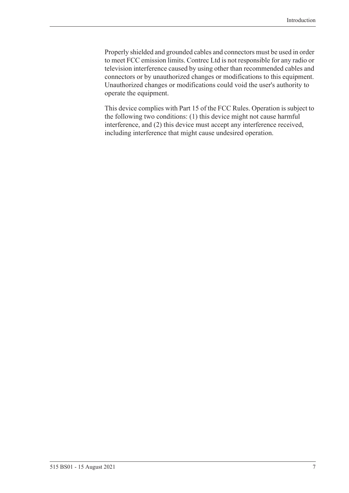Properly shielded and grounded cables and connectors must be used in order to meet FCC emission limits. Contrec Ltd is not responsible for any radio or television interference caused by using other than recommended cables and connectors or by unauthorized changes or modifications to this equipment. Unauthorized changes or modifications could void the user's authority to operate the equipment.

This device complies with Part 15 of the FCC Rules. Operation is subject to the following two conditions: (1) this device might not cause harmful interference, and (2) this device must accept any interference received, including interference that might cause undesired operation.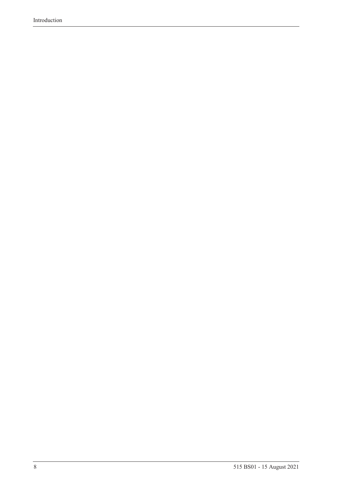Introduction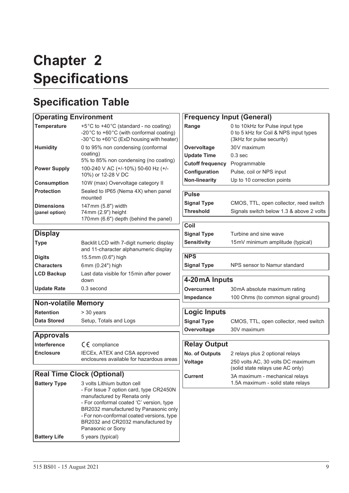# <span id="page-18-0"></span>**Chapter 2 Specifications**

# <span id="page-18-1"></span>**Specification Table**

| <b>Operating Environment</b> |                                                                                                                              | <b>Frequency Input (General)</b> |                                                                                                       |  |  |  |  |
|------------------------------|------------------------------------------------------------------------------------------------------------------------------|----------------------------------|-------------------------------------------------------------------------------------------------------|--|--|--|--|
| <b>Temperature</b>           | +5°C to +40°C (standard - no coating)<br>-20°C to +60°C (with conformal coating)<br>-30°C to +60°C (ExD housing with heater) | Range                            | 0 to 10kHz for Pulse input type<br>0 to 5 kHz for Coil & NPS input types<br>(3kHz for pulse security) |  |  |  |  |
| <b>Humidity</b>              | 0 to 95% non condensing (conformal                                                                                           | Overvoltage                      | 30V maximum                                                                                           |  |  |  |  |
|                              | coating)                                                                                                                     | <b>Update Time</b>               | 0.3 <sub>sec</sub>                                                                                    |  |  |  |  |
|                              | 5% to 85% non condensing (no coating)<br>100-240 V AC (+/-10%) 50-60 Hz (+/-                                                 | <b>Cutoff frequency</b>          | Programmable                                                                                          |  |  |  |  |
| <b>Power Supply</b>          | 10%) or 12-28 V DC                                                                                                           | Configuration                    | Pulse, coil or NPS input                                                                              |  |  |  |  |
| <b>Consumption</b>           | 10W (max) Overvoltage category II                                                                                            | Non-linearity                    | Up to 10 correction points                                                                            |  |  |  |  |
| <b>Protection</b>            | Sealed to IP65 (Nema 4X) when panel<br>mounted                                                                               | <b>Pulse</b>                     |                                                                                                       |  |  |  |  |
| <b>Dimensions</b>            | 147mm (5.8") width                                                                                                           | <b>Signal Type</b>               | CMOS, TTL, open collector, reed switch                                                                |  |  |  |  |
| (panel option)               | 74mm (2.9") height<br>170mm (6.6") depth (behind the panel)                                                                  | <b>Threshold</b>                 | Signals switch below 1.3 & above 2 volts                                                              |  |  |  |  |
|                              |                                                                                                                              | Coil                             |                                                                                                       |  |  |  |  |
| <b>Display</b>               |                                                                                                                              | <b>Signal Type</b>               | Turbine and sine wave                                                                                 |  |  |  |  |
| <b>Type</b>                  | Backlit LCD with 7-digit numeric display                                                                                     | <b>Sensitivity</b>               | 15mV minimum amplitude (typical)                                                                      |  |  |  |  |
|                              | and 11-character alphanumeric display                                                                                        |                                  |                                                                                                       |  |  |  |  |
| <b>Digits</b>                | 15.5mm (0.6") high                                                                                                           | <b>NPS</b>                       |                                                                                                       |  |  |  |  |
| <b>Characters</b>            | 6mm (0.24") high                                                                                                             | <b>Signal Type</b>               | NPS sensor to Namur standard                                                                          |  |  |  |  |
| <b>LCD Backup</b>            | Last data visible for 15 min after power<br>down                                                                             | 4-20 mA Inputs                   |                                                                                                       |  |  |  |  |
| <b>Update Rate</b>           | 0.3 second                                                                                                                   | Overcurrent                      | 30mA absolute maximum rating                                                                          |  |  |  |  |
|                              |                                                                                                                              | Impedance                        | 100 Ohms (to common signal ground)                                                                    |  |  |  |  |
| <b>Non-volatile Memory</b>   |                                                                                                                              |                                  |                                                                                                       |  |  |  |  |
| <b>Retention</b>             | > 30 years                                                                                                                   | <b>Logic Inputs</b>              |                                                                                                       |  |  |  |  |
| <b>Data Stored</b>           | Setup, Totals and Logs                                                                                                       | <b>Signal Type</b>               | CMOS, TTL, open collector, reed switch                                                                |  |  |  |  |
| <b>Approvals</b>             |                                                                                                                              | Overvoltage                      | 30V maximum                                                                                           |  |  |  |  |
| Interference                 | $C \in \mathbb{C}$ compliance                                                                                                | <b>Relay Output</b>              |                                                                                                       |  |  |  |  |
| <b>Enclosure</b>             | IECEx, ATEX and CSA approved                                                                                                 | <b>No. of Outputs</b>            |                                                                                                       |  |  |  |  |
|                              | enclosures available for hazardous areas                                                                                     | Voltage                          | 2 relays plus 2 optional relays<br>250 volts AC, 30 volts DC maximum                                  |  |  |  |  |
|                              |                                                                                                                              |                                  | (solid state relays use AC only)                                                                      |  |  |  |  |
|                              | <b>Real Time Clock (Optional)</b>                                                                                            | <b>Current</b>                   | 3A maximum - mechanical relays                                                                        |  |  |  |  |
| <b>Battery Type</b>          | 3 volts Lithium button cell                                                                                                  |                                  | 1.5A maximum - solid state relays                                                                     |  |  |  |  |
|                              | - For Issue 7 option card, type CR2450N<br>manufactured by Renata only                                                       |                                  |                                                                                                       |  |  |  |  |
|                              | - For conformal coated 'C' version, type                                                                                     |                                  |                                                                                                       |  |  |  |  |
|                              | BR2032 manufactured by Panasonic only                                                                                        |                                  |                                                                                                       |  |  |  |  |
|                              | - For non-conformal coated versions, type<br>BR2032 and CR2032 manufactured by                                               |                                  |                                                                                                       |  |  |  |  |
|                              | Panasonic or Sony                                                                                                            |                                  |                                                                                                       |  |  |  |  |
| <b>Battery Life</b>          | 5 years (typical)                                                                                                            |                                  |                                                                                                       |  |  |  |  |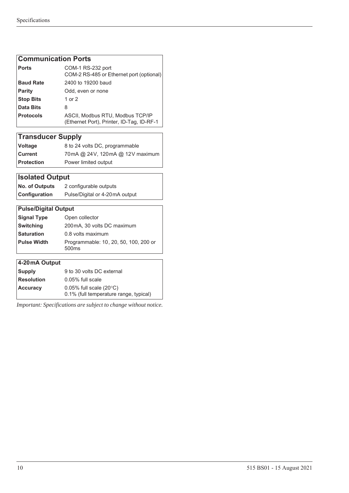#### **Communication Ports**

| <b>Ports</b>     | COM-1 RS-232 port<br>COM-2 RS-485 or Ethernet port (optional)                 |
|------------------|-------------------------------------------------------------------------------|
| <b>Baud Rate</b> | 2400 to 19200 baud                                                            |
| <b>Parity</b>    | Odd, even or none                                                             |
| <b>Stop Bits</b> | 1 or 2                                                                        |
| <b>Data Bits</b> | 8                                                                             |
| <b>Protocols</b> | ASCII, Modbus RTU, Modbus TCP/IP<br>(Ethernet Port), Printer, ID-Tag, ID-RF-1 |

### **Transducer Supply**

| Voltage           | 8 to 24 volts DC, programmable  |
|-------------------|---------------------------------|
| Current           | 70mA @ 24V, 120mA @ 12V maximum |
| <b>Protection</b> | Power limited output            |

### **Isolated Output**

| <b>No. of Outputs</b> | 2 configurable outputs         |
|-----------------------|--------------------------------|
| <b>Configuration</b>  | Pulse/Digital or 4-20mA output |

### **Pulse/Digital Output Signal Type** Open collector **Switching** 200mA, 30 volts DC maximum **Saturation** 0.8 volts maximum

**Pulse Width** Programmable: 10 , 20, 50, 100, 200 or 500ms

#### **4-20 mA Output Supply** 9 to 30 volts DC external **Resolution** 0.05% full scale **Accuracy** 0.05% full scale (20°C)

0.1% (full temperature range, typical)

*Important: Specifications are subject to change without notice.*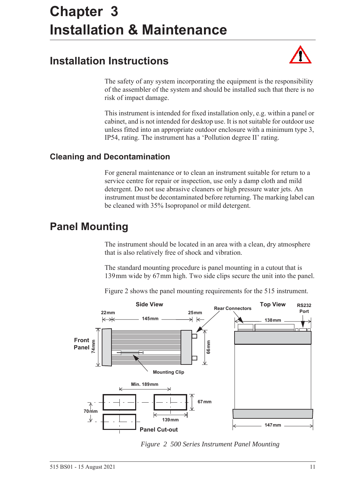# <span id="page-20-5"></span><span id="page-20-0"></span>**Chapter 3 Installation & Maintenance**

# <span id="page-20-1"></span>**Installation Instructions**



The safety of any system incorporating the equipment is the responsibility of the assembler of the system and should be installed such that there is no risk of impact damage.

This instrument is intended for fixed installation only, e.g. within a panel or cabinet, and is not intended for desktop use. It is not suitable for outdoor use unless fitted into an appropriate outdoor enclosure with a minimum type 3, IP54, rating. The instrument has a 'Pollution degree II' rating.

## <span id="page-20-2"></span>**Cleaning and Decontamination**

For general maintenance or to clean an instrument suitable for return to a service centre for repair or inspection, use only a damp cloth and mild detergent. Do not use abrasive cleaners or high pressure water jets. An instrument must be decontaminated before returning. The marking label can be cleaned with 35% Isopropanol or mild detergent.

# <span id="page-20-3"></span>**Panel Mounting**

The instrument should be located in an area with a clean, dry atmosphere that is also relatively free of shock and vibration.

The standard mounting procedure is panel mounting in a cutout that is 139 mm wide by 67 mm high. Two side clips secure the unit into the panel.



[Figure 2](#page-20-4) shows the panel mounting requirements for the 515 instrument.

<span id="page-20-4"></span>*Figure 2 500 Series Instrument Panel Mounting*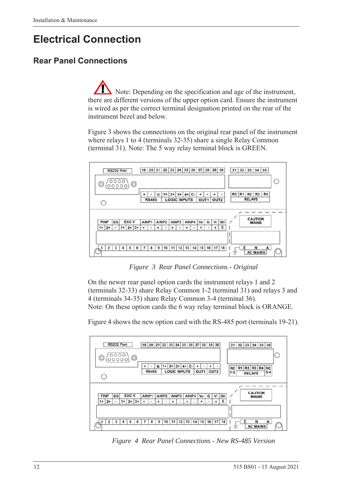# <span id="page-21-0"></span>**Electrical Connection**

## <span id="page-21-1"></span>**Rear Panel Connections**

Note: Depending on the specification and age of the instrument, there are different versions of the upper option card. Ensure the instrument is wired as per the correct terminal designation printed on the rear of the instrument bezel and below.

[Figure 3](#page-21-2) shows the connections on the original rear panel of the instrument where relays 1 to 4 (terminals 32-35) share a single Relay Common (terminal 31). Note: The 5 way relay terminal block is GREEN.



*Figure 3 Rear Panel Connections - Original*

<span id="page-21-2"></span>On the newer rear panel option cards the instrument relays 1 and 2 (terminals 32-33) share Relay Common 1-2 (terminal 31) and relays 3 and 4 (terminals 34-35) share Relay Common 3-4 (terminal 36). Note: On these option cards the 6 way relay terminal block is ORANGE.

[Figure 4](#page-21-3) shows the new option card with the RS-485 port (terminals 19-21).



<span id="page-21-3"></span>*Figure 4 Rear Panel Connections - New RS-485 Version*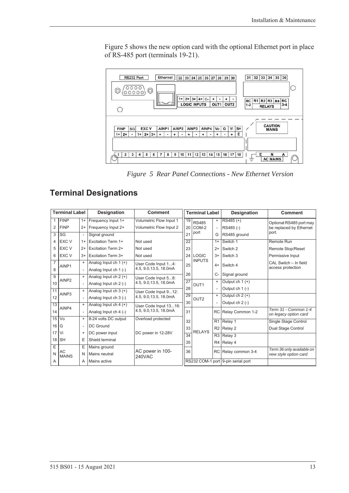[Figure 5](#page-22-1) shows the new option card with the optional Ethernet port in place of RS-485 port (terminals 19-21).



<span id="page-22-1"></span>*Figure 5 Rear Panel Connections - New Ethernet Version*

## <span id="page-22-0"></span>**Terminal Designations**

|                | <b>Terminal Label</b>  |                          | Designation               | <b>Comment</b>                    | <b>Terminal Label</b> |                  |                | Designation                        | <b>Comment</b>                                |
|----------------|------------------------|--------------------------|---------------------------|-----------------------------------|-----------------------|------------------|----------------|------------------------------------|-----------------------------------------------|
|                | <b>FINP</b>            | $1+$                     | Frequency Input 1+        | Volumetric Flow Input 1           | 19                    | <b>RS485</b>     | $\ddot{}$      | $RS485 (+)$                        | Optional RS485 port may                       |
| $\overline{2}$ | <b>FINP</b>            | $2+$                     | Frequency Input 2+        | <b>Volumetric Flow Input 2</b>    |                       | 20 COM-2         |                | RS485 (-)                          | be replaced by Ethernet                       |
| 3              | $\overline{\text{SG}}$ | $\blacksquare$           | Signal ground             |                                   | 21                    | port             | G              | RS485 ground                       | port.                                         |
| 4              | EXC V                  | $1+$                     | <b>Excitation Term 1+</b> | Not used                          | 22                    |                  | $1+$           | Switch 1                           | Remote Run                                    |
| 5              | EXC V                  | $2+$                     | <b>Excitation Term 2+</b> | Not used                          | 23                    |                  | $2+$           | Switch 2                           | <b>Remote Stop/Reset</b>                      |
| 6              | EXC V                  | $3+$                     | Excitation Term 3+        | Not used                          | 24                    | <b>LOGIC</b>     | $3+$           | Switch 3                           | Permissive Input                              |
| 7              | AINP1                  | $\ddot{}$                | Analog Input ch $1 (+)$   | User Code Input 14:               | 25                    | <b>INPUTS</b>    | $4+$           | Switch 4                           | CAL Switch - In field                         |
| 8              |                        |                          | Analog Input ch 1 (-)     | 4.5, 9.0, 13.5, 18.0mA            |                       |                  |                |                                    | access protection                             |
| 9              | AINP <sub>2</sub>      | $\ddot{}$                | Analog Input $ch 2 (+)$   | User Code Input 58:               | 26                    |                  | $C-$           | Signal ground                      |                                               |
| 10             |                        |                          | Analog Input ch 2 (-)     | 4.5, 9.0, 13.5, 18.0mA            | 27                    | OUT <sub>1</sub> | $\ddot{}$      | Output ch $1 (+)$                  |                                               |
| 11             |                        | $\ddot{}$                | Analog Input ch $3 (+)$   | User Code Input 912:              | 28                    |                  |                | Output ch 1 (-)                    |                                               |
| 12             | AINP3                  | $\overline{\phantom{a}}$ | Analog Input ch 3 (-)     | 4.5, 9.0, 13.5, 18.0mA            | 29                    | OUT <sub>2</sub> | $\ddot{}$      | Output $ch 2 (+)$                  |                                               |
| 13             |                        | $\ddot{}$                | Analog Input ch $4 (+)$   | User Code Input 1316:             | 30                    |                  |                | Output ch 2 (-)                    |                                               |
| 14             | AINP4                  | $\blacksquare$           | Analog Input ch 4 (-)     | 4.5, 9.0, 13.5, 18.0mA            | 31                    |                  | <b>RC</b>      | Relay Common 1-2                   | Term 31 - Common 1-4<br>on legacy option card |
| 15             | <b>Vo</b>              | $\ddot{}$                | 8-24 volts DC output      | Overload protected                | 32                    |                  | R1             | Relay 1                            | Single Stage Control                          |
| 16             | G                      | $\blacksquare$           | DC Ground                 |                                   | 33                    |                  | R <sub>2</sub> | Relay 2                            | Dual Stage Control                            |
| 17             | Vi                     | $\ddot{}$                | DC power input            | DC power in 12-28V                | $\overline{34}$       | <b>RELAYS</b>    | R <sub>3</sub> | Relay 3                            |                                               |
| 18             | <b>SH</b>              | Ε                        | Shield terminal           |                                   | 35                    |                  | R4             | Relay 4                            |                                               |
| E              |                        | E                        | Mains ground              |                                   |                       |                  |                |                                    | Term 36 only available on                     |
| N              | AC<br><b>MAINS</b>     | N                        | Mains neutral             | AC power in 100-<br><b>240VAC</b> | 36                    |                  | RC             | Relay common 3-4                   | new style option card                         |
| A              |                        | Α                        | Mains active              |                                   |                       |                  |                | RS232 COM-1 port 9-pin serial port |                                               |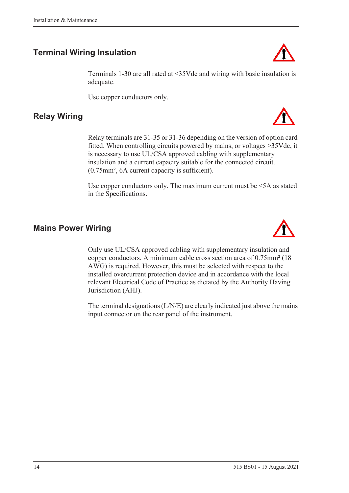Installation & Maintenance

## <span id="page-23-0"></span>**Terminal Wiring Insulation**

Terminals 1-30 are all rated at <35Vdc and wiring with basic insulation is adequate.

Use copper conductors only.

## <span id="page-23-1"></span>**Relay Wiring**

Relay terminals are 31-35 or 31-36 depending on the version of option card fitted. When controlling circuits powered by mains, or voltages >35Vdc, it is necessary to use UL/CSA approved cabling with supplementary insulation and a current capacity suitable for the connected circuit. (0.75mm², 6A current capacity is sufficient).

Use copper conductors only. The maximum current must be  $\leq 5A$  as stated in the Specifications.

## <span id="page-23-2"></span>**Mains Power Wiring**

Only use UL/CSA approved cabling with supplementary insulation and copper conductors. A minimum cable cross section area of 0.75mm² (18 AWG) is required. However, this must be selected with respect to the installed overcurrent protection device and in accordance with the local relevant Electrical Code of Practice as dictated by the Authority Having Jurisdiction (AHJ).

The terminal designations (L/N/E) are clearly indicated just above the mains input connector on the rear panel of the instrument.



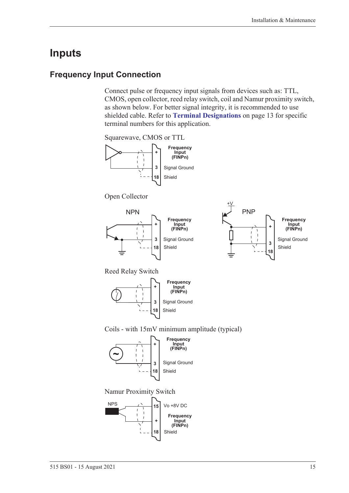## <span id="page-24-0"></span>**Inputs**

### <span id="page-24-1"></span>**Frequency Input Connection**

Connect pulse or frequency input signals from devices such as: TTL, CMOS, open collector, reed relay switch, coil and Namur proximity switch, as shown below. For better signal integrity, it is recommended to use shielded cable. Refer to **[Terminal Designations](#page-22-0)** on page 13 for specific terminal numbers for this application.

Squarewave, CMOS or TTL



Open Collector





Reed Relay Switch



Coils - with 15mV minimum amplitude (typical)



Namur Proximity Switch

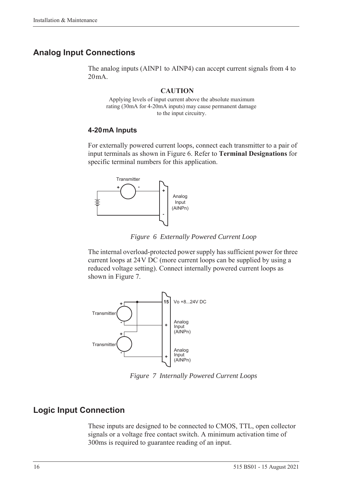## <span id="page-25-0"></span>**Analog Input Connections**

The analog inputs (AINP1 to AINP4) can accept current signals from 4 to 20 mA.

### **CAUTION**

Applying levels of input current above the absolute maximum rating (30mA for 4-20mA inputs) may cause permanent damage to the input circuitry.

### **4-20 mA Inputs**

For externally powered current loops, connect each transmitter to a pair of input terminals as shown in [Figure 6.](#page-25-2) Refer to **Terminal Designations** for specific terminal numbers for this application.





<span id="page-25-2"></span>The internal overload-protected power supply has sufficient power for three current loops at 24 V DC (more current loops can be supplied by using a reduced voltage setting). Connect internally powered current loops as shown in [Figure 7](#page-25-3).



<span id="page-25-3"></span>*Figure 7 Internally Powered Current Loops*

## <span id="page-25-1"></span>**Logic Input Connection**

These inputs are designed to be connected to CMOS, TTL, open collector signals or a voltage free contact switch. A minimum activation time of 300ms is required to guarantee reading of an input.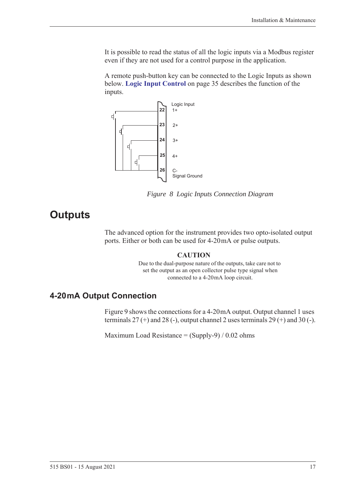It is possible to read the status of all the logic inputs via a Modbus register even if they are not used for a control purpose in the application.

A remote push-button key can be connected to the Logic Inputs as shown below. **[Logic Input Control](#page-44-2)** on page 35 describes the function of the inputs.



*Figure 8 Logic Inputs Connection Diagram*

## <span id="page-26-0"></span>**Outputs**

<span id="page-26-2"></span>The advanced option for the instrument provides two opto-isolated output ports. Either or both can be used for 4-20 mA or pulse outputs.

### **CAUTION**

Due to the dual-purpose nature of the outputs, take care not to set the output as an open collector pulse type signal when connected to a 4-20mA loop circuit.

## <span id="page-26-1"></span>**4-20 mA Output Connection**

[Figure 9](#page-27-1) shows the connections for a 4-20 mA output. Output channel 1 uses terminals  $27$  (+) and  $28$  (-), output channel 2 uses terminals  $29$  (+) and  $30$  (-).

Maximum Load Resistance =  $(Supply-9)/0.02$  ohms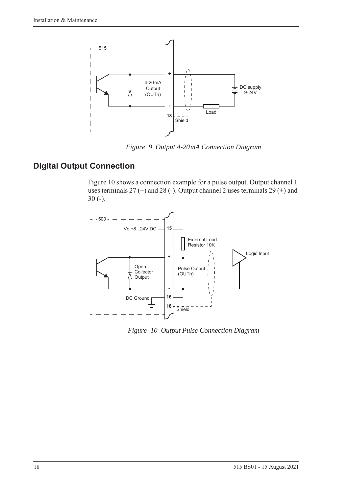

*Figure 9 Output 4-20 mA Connection Diagram*

## <span id="page-27-0"></span>**Digital Output Connection**

<span id="page-27-1"></span>[Figure 10](#page-27-2) shows a connection example for a pulse output. Output channel 1 uses terminals 27 (+) and 28 (-). Output channel 2 uses terminals 29 (+) and 30 (-).



<span id="page-27-2"></span>*Figure 10 Output Pulse Connection Diagram*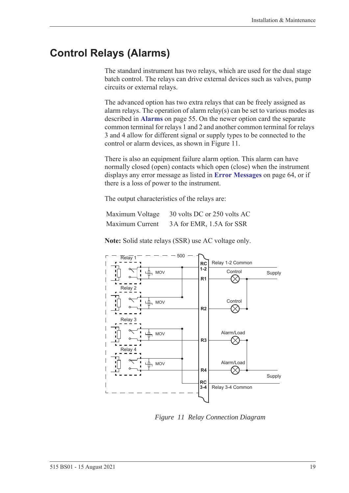## <span id="page-28-0"></span>**Control Relays (Alarms)**

The standard instrument has two relays, which are used for the dual stage batch control. The relays can drive external devices such as valves, pump circuits or external relays.

The advanced option has two extra relays that can be freely assigned as alarm relays. The operation of alarm relay(s) can be set to various modes as described in **Alarms** [on page 55.](#page-64-1) On the newer option card the separate common terminal for relays 1 and 2 and another common terminal for relays 3 and 4 allow for different signal or supply types to be connected to the control or alarm devices, as shown in [Figure 11.](#page-28-1)

There is also an equipment failure alarm option. This alarm can have normally closed (open) contacts which open (close) when the instrument displays any error message as listed in **[Error Messages](#page-73-2)** on page 64, or if there is a loss of power to the instrument.

The output characteristics of the relays are:

| Maximum Voltage | 30 volts DC or 250 volts AC |
|-----------------|-----------------------------|
| Maximum Current | 3A for EMR, 1.5A for SSR    |



**Note:** Solid state relays (SSR) use AC voltage only.

<span id="page-28-1"></span>*Figure 11 Relay Connection Diagram*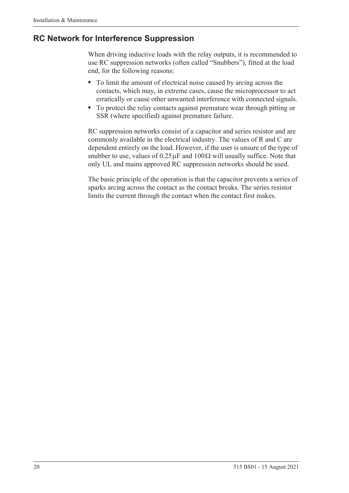### <span id="page-29-0"></span>**RC Network for Interference Suppression**

When driving inductive loads with the relay outputs, it is recommended to use RC suppression networks (often called "Snubbers"), fitted at the load end, for the following reasons:

- **•** To limit the amount of electrical noise caused by arcing across the contacts, which may, in extreme cases, cause the microprocessor to act erratically or cause other unwanted interference with connected signals.
- **•** To protect the relay contacts against premature wear through pitting or SSR (where specified) against premature failure.

RC suppression networks consist of a capacitor and series resistor and are commonly available in the electrical industry. The values of R and C are dependent entirely on the load. However, if the user is unsure of the type of snubber to use, values of  $0.25 \mu$ F and  $100 \Omega$  will usually suffice. Note that only UL and mains approved RC suppression networks should be used.

The basic principle of the operation is that the capacitor prevents a series of sparks arcing across the contact as the contact breaks. The series resistor limits the current through the contact when the contact first makes.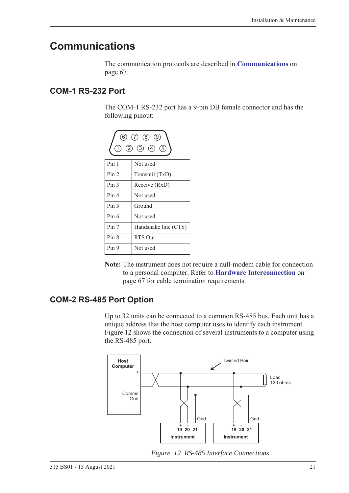## <span id="page-30-0"></span>**Communications**

The communication protocols are described in **[Communications](#page-76-4)** on [page 67](#page-76-4).

## <span id="page-30-1"></span>**COM-1 RS-232 Port**

The COM-1 RS-232 port has a 9-pin DB female connector and has the following pinout:

| $(6)$ (7) (8) (9)<br>$(2)$ $(3)$ $(4)$ $(5)$ |                      |  |  |
|----------------------------------------------|----------------------|--|--|
| Pin <sub>1</sub>                             | Not used             |  |  |
| Pin <sub>2</sub>                             | Transmit (TxD)       |  |  |
| Pin <sub>3</sub>                             | Receive (RxD)        |  |  |
| Pin <sub>4</sub>                             | Not used             |  |  |
| Pin <sub>5</sub>                             | Ground               |  |  |
| Pin 6                                        | Not used             |  |  |
| Pin 7                                        | Handshake line (CTS) |  |  |
| Pin 8                                        | RTS Out              |  |  |
| Pin 9                                        | Not used             |  |  |

**Note:** The instrument does not require a null-modem cable for connection to a personal computer. Refer to **[Hardware Interconnection](#page-76-5)** on [page 67](#page-76-5) for cable termination requirements.

## <span id="page-30-2"></span>**COM-2 RS-485 Port Option**

Up to 32 units can be connected to a common RS-485 bus. Each unit has a unique address that the host computer uses to identify each instrument. [Figure 12](#page-30-3) shows the connection of several instruments to a computer using the RS-485 port.



<span id="page-30-3"></span>*Figure 12 RS-485 Interface Connections*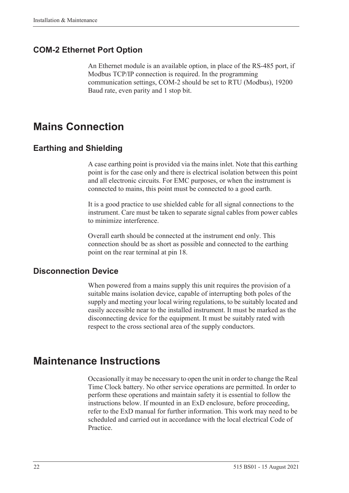## <span id="page-31-0"></span>**COM-2 Ethernet Port Option**

An Ethernet module is an available option, in place of the RS-485 port, if Modbus TCP/IP connection is required. In the programming communication settings, COM-2 should be set to RTU (Modbus), 19200 Baud rate, even parity and 1 stop bit.

## <span id="page-31-1"></span>**Mains Connection**

## <span id="page-31-2"></span>**Earthing and Shielding**

A case earthing point is provided via the mains inlet. Note that this earthing point is for the case only and there is electrical isolation between this point and all electronic circuits. For EMC purposes, or when the instrument is connected to mains, this point must be connected to a good earth.

It is a good practice to use shielded cable for all signal connections to the instrument. Care must be taken to separate signal cables from power cables to minimize interference.

Overall earth should be connected at the instrument end only. This connection should be as short as possible and connected to the earthing point on the rear terminal at pin 18.

## <span id="page-31-3"></span>**Disconnection Device**

When powered from a mains supply this unit requires the provision of a suitable mains isolation device, capable of interrupting both poles of the supply and meeting your local wiring regulations, to be suitably located and easily accessible near to the installed instrument. It must be marked as the disconnecting device for the equipment. It must be suitably rated with respect to the cross sectional area of the supply conductors.

## <span id="page-31-4"></span>**Maintenance Instructions**

Occasionally it may be necessary to open the unit in order to change the Real Time Clock battery. No other service operations are permitted. In order to perform these operations and maintain safety it is essential to follow the instructions below. If mounted in an ExD enclosure, before proceeding, refer to the ExD manual for further information. This work may need to be scheduled and carried out in accordance with the local electrical Code of **Practice**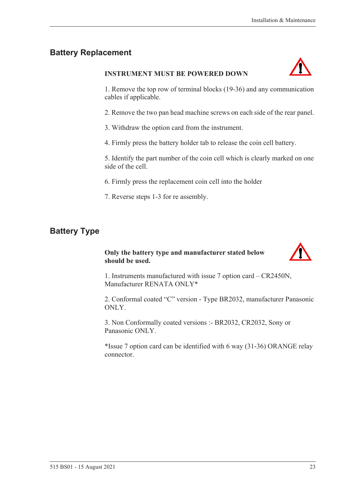## <span id="page-32-0"></span>**Battery Replacement**

### **INSTRUMENT MUST BE POWERED DOWN**



1. Remove the top row of terminal blocks (19-36) and any communication cables if applicable.

2. Remove the two pan head machine screws on each side of the rear panel.

3. Withdraw the option card from the instrument.

4. Firmly press the battery holder tab to release the coin cell battery.

5. Identify the part number of the coin cell which is clearly marked on one side of the cell.

6. Firmly press the replacement coin cell into the holder

7. Reverse steps 1-3 for re assembly.

## <span id="page-32-1"></span>**Battery Type**

**Only the battery type and manufacturer stated below should be used.** 



1. Instruments manufactured with issue 7 option card – CR2450N, Manufacturer RENATA ONLY\*

2. Conformal coated "C" version - Type BR2032, manufacturer Panasonic ONLY.

3. Non Conformally coated versions :- BR2032, CR2032, Sony or Panasonic ONLY.

\*Issue 7 option card can be identified with 6 way (31-36) ORANGE relay connector.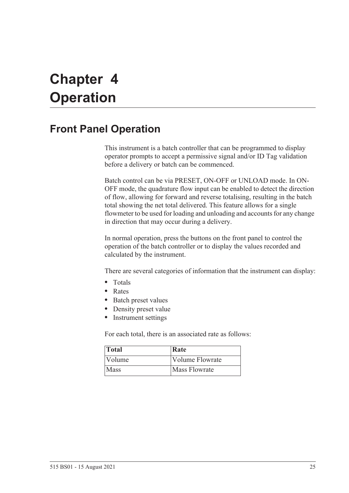# <span id="page-34-0"></span>**Chapter 4 Operation**

# <span id="page-34-1"></span>**Front Panel Operation**

This instrument is a batch controller that can be programmed to display operator prompts to accept a permissive signal and/or ID Tag validation before a delivery or batch can be commenced.

Batch control can be via PRESET, ON-OFF or UNLOAD mode. In ON-OFF mode, the quadrature flow input can be enabled to detect the direction of flow, allowing for forward and reverse totalising, resulting in the batch total showing the net total delivered. This feature allows for a single flowmeter to be used for loading and unloading and accounts for any change in direction that may occur during a delivery.

In normal operation, press the buttons on the front panel to control the operation of the batch controller or to display the values recorded and calculated by the instrument.

There are several categories of information that the instrument can display:

- **•** Totals
- **•** Rates
- **•** Batch preset values
- **•** Density preset value
- **•** Instrument settings

For each total, there is an associated rate as follows:

| <b>Total</b>                | Rate                   |
|-----------------------------|------------------------|
| <i><u><b>Nolume</b></u></i> | <b>Volume Flowrate</b> |
| <i>Nass</i>                 | Mass Flowrate          |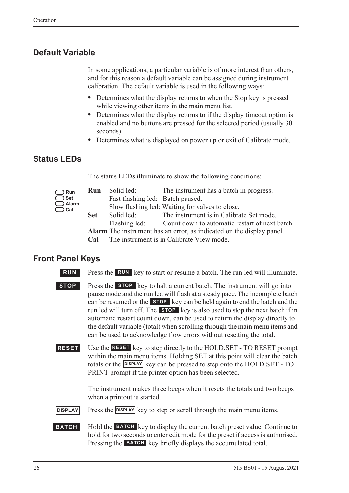## <span id="page-35-0"></span>**Default Variable**

In some applications, a particular variable is of more interest than others, and for this reason a default variable can be assigned during instrument calibration. The default variable is used in the following ways:

- **•** Determines what the display returns to when the Stop key is pressed while viewing other items in the main menu list.
- **•** Determines what the display returns to if the display timeout option is enabled and no buttons are pressed for the selected period (usually 30 seconds).
- **•** Determines what is displayed on power up or exit of Calibrate mode.

## <span id="page-35-1"></span>**Status LEDs**

The status LEDs illuminate to show the following conditions:

| Run   |
|-------|
| Set   |
| Alarm |
| Cal   |

|            | <b>Run</b> Solid led:                                                                                                                                                                         | The instrument has a batch in progress.         |  |
|------------|-----------------------------------------------------------------------------------------------------------------------------------------------------------------------------------------------|-------------------------------------------------|--|
|            | Fast flashing led: Batch paused.                                                                                                                                                              |                                                 |  |
|            |                                                                                                                                                                                               | Slow flashing led: Waiting for valves to close. |  |
| <b>Set</b> | Solid led:                                                                                                                                                                                    | The instrument is in Calibrate Set mode.        |  |
|            |                                                                                                                                                                                               |                                                 |  |
|            |                                                                                                                                                                                               |                                                 |  |
|            |                                                                                                                                                                                               |                                                 |  |
|            | Flashing led: Count down to automatic restart of next batch.<br>Alarm The instrument has an error, as indicated on the display panel.<br><b>Cal</b> The instrument is in Calibrate View mode. |                                                 |  |

## <span id="page-35-2"></span>**Front Panel Keys**

**RUN** Press the **RUN** key to start or resume a batch. The run led will illuminate.

- **STOP** Press the **STOP** key to halt a current batch. The instrument will go into pause mode and the run led will flash at a steady pace. The incomplete batch can be resumed or the **STOP** key can be held again to end the batch and the run led will turn off. The **STOP** key is also used to stop the next batch if in automatic restart count down, can be used to return the display directly to the default variable (total) when scrolling through the main menu items and can be used to acknowledge flow errors without resetting the total.
- **RESET** Use the **RESET** key to step directly to the HOLD.SET TO RESET prompt within the main menu items. Holding SET at this point will clear the batch totals or the **DISPLAY** key can be pressed to step onto the HOLD.SET - TO PRINT prompt if the printer option has been selected.

The instrument makes three beeps when it resets the totals and two beeps when a printout is started.

- **DISPLAY** Press the **DISPLAY** key to step or scroll through the main menu items.
- **BATCH** Hold the **BATCH** key to display the current batch preset value. Continue to hold for two seconds to enter edit mode for the preset if access is authorised. Pressing the **BATCH** key briefly displays the accumulated total.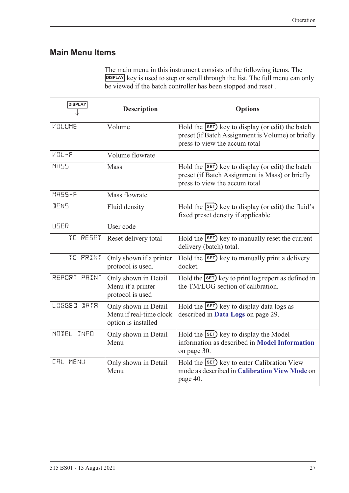# **Main Menu Items**

The main menu in this instrument consists of the following items. The key is used to step or scroll through the list. The full menu can only be viewed if the batch controller has been stopped and reset . **DISPLAY**

| <b>DISPLAY</b>    | <b>Description</b>                                                     | <b>Options</b>                                                                                                                                           |
|-------------------|------------------------------------------------------------------------|----------------------------------------------------------------------------------------------------------------------------------------------------------|
| VOLUME            | Volume                                                                 | Hold the $\boxed{\mathsf{set}}$ key to display (or edit) the batch<br>preset (if Batch Assignment is Volume) or briefly<br>press to view the accum total |
| $V \square L - F$ | Volume flowrate                                                        |                                                                                                                                                          |
| <b>MR55</b>       | Mass                                                                   | Hold the $\boxed{\mathsf{set}}$ key to display (or edit) the batch<br>preset (if Batch Assignment is Mass) or briefly<br>press to view the accum total   |
| <b>MR55-F</b>     | Mass flowrate                                                          |                                                                                                                                                          |
| <b>JEN5</b>       | Fluid density                                                          | Hold the SET key to display (or edit) the fluid's<br>fixed preset density if applicable                                                                  |
| USER              | User code                                                              |                                                                                                                                                          |
| TO RESET          | Reset delivery total                                                   | Hold the <b>SET</b> ) key to manually reset the current<br>delivery (batch) total.                                                                       |
| TO PRINT          | Only shown if a printer<br>protocol is used.                           | Hold the <b>SET</b> ) key to manually print a delivery<br>docket.                                                                                        |
| REPORT PRINT      | Only shown in Detail<br>Menu if a printer<br>protocol is used          | Hold the SET key to print log report as defined in<br>the TM/LOG section of calibration.                                                                 |
| LOGGED DATA       | Only shown in Detail<br>Menu if real-time clock<br>option is installed | Hold the <b>SET</b> key to display data logs as<br>described in Data Logs on page 29.                                                                    |
| MODEL INFO        | Only shown in Detail<br>Menu                                           | Hold the <b>SET</b> key to display the Model<br>information as described in Model Information<br>on page 30.                                             |
| <b>CAL MENU</b>   | Only shown in Detail<br>Menu                                           | Hold the <b>SET</b> ) key to enter Calibration View<br>mode as described in Calibration View Mode on<br>page 40.                                         |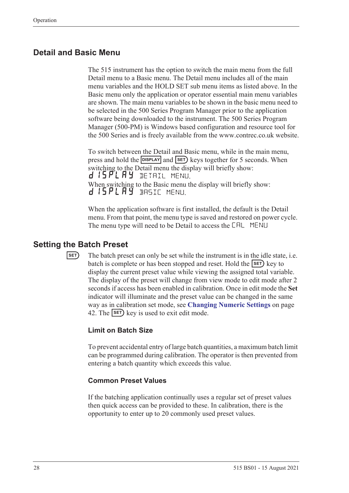## **Detail and Basic Menu**

The 515 instrument has the option to switch the main menu from the full Detail menu to a Basic menu. The Detail menu includes all of the main menu variables and the HOLD SET sub menu items as listed above. In the Basic menu only the application or operator essential main menu variables are shown. The main menu variables to be shown in the basic menu need to be selected in the 500 Series Program Manager prior to the application software being downloaded to the instrument. The 500 Series Program Manager (500-PM) is Windows based configuration and resource tool for the 500 Series and is freely available from the www.contrec.co.uk website.

To switch between the Detail and Basic menu, while in the main menu, press and hold the **DISPLAY** and **SET**) keys together for 5 seconds. When switching to the Detail menu the display will briefly show: d 15 PL A Y DETAIL MENU. When switching to the Basic menu the display will briefly show: d ISPLAY BASIC MENU

When the application software is first installed, the default is the Detail menu. From that point, the menu type is saved and restored on power cycle. The menu type will need to be Detail to access the CAL MENU

## **Setting the Batch Preset**

**SET**

The batch preset can only be set while the instrument is in the idle state, i.e. batch is complete or has been stopped and reset. Hold the **SET** key to display the current preset value while viewing the assigned total variable. The display of the preset will change from view mode to edit mode after 2 seconds if access has been enabled in calibration. Once in edit mode the **Set** indicator will illuminate and the preset value can be changed in the same way as in calibration set mode, see **[Changing Numeric Settings](#page-51-0)** on page [42](#page-51-0). The **SET** key is used to exit edit mode.

### **Limit on Batch Size**

To prevent accidental entry of large batch quantities, a maximum batch limit can be programmed during calibration. The operator is then prevented from entering a batch quantity which exceeds this value.

### **Common Preset Values**

If the batching application continually uses a regular set of preset values then quick access can be provided to these. In calibration, there is the opportunity to enter up to 20 commonly used preset values.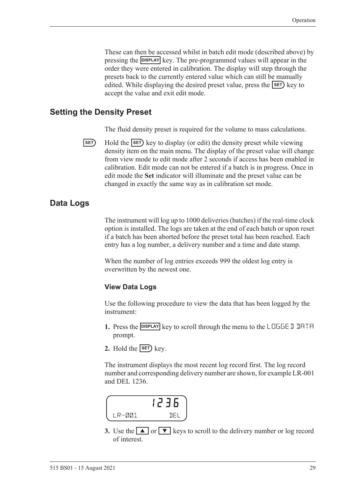These can then be accessed whilst in batch edit mode (described above) by pressing the **DISPLAY** key. The pre-programmed values will appear in the order they were entered in calibration. The display will step through the presets back to the currently entered value which can still be manually edited. While displaying the desired preset value, press the **SET** key to accept the value and exit edit mode.

#### **Setting the Density Preset**

The fluid density preset is required for the volume to mass calculations.

**EXECUTE:** Hold the **SET** key to display (or edit) the density preset while viewing density item on the main menu. The display of the preset value will change from view mode to edit mode after 2 seconds if access has been enabled in calibration. Edit mode can not be entered if a batch is in progress. Once in edit mode the **Set** indicator will illuminate and the preset value can be changed in exactly the same way as in calibration set mode.

### <span id="page-38-0"></span>**Data Logs**

The instrument will log up to 1000 deliveries (batches) if the real-time clock option is installed. The logs are taken at the end of each batch or upon reset if a batch has been aborted before the preset total has been reached. Each entry has a log number, a delivery number and a time and date stamp.

When the number of log entries exceeds 999 the oldest log entry is overwritten by the newest one.

#### **View Data Logs**

Use the following procedure to view the data that has been logged by the instrument:

- **1.** Press the **DISPLAY** key to scroll through the menu to the LOGGE D DATA prompt.
- **2.** Hold the  $\overline{\text{SET}}$  key.

The instrument displays the most recent log record first. The log record number and corresponding delivery number are shown, for example LR-001 and DEL 1236.



**3.** Use the  $\Box$  or  $\Box$  keys to scroll to the delivery number or log record of interest.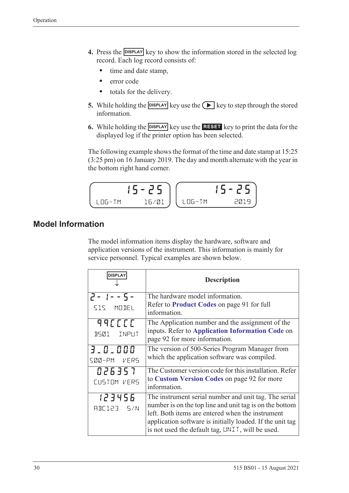- 4. Press the **DISPLAY** key to show the information stored in the selected log record. Each log record consists of:
	- time and date stamp,
	- **•** error code
	- **•** totals for the delivery.
- **5.** While holding the  $\boxed{\text{DISPLAN}}$  key use the  $\boxed{\blacktriangleright}$  key to step through the stored information.
- **6.** While holding the **DISPLAY** key use the **RESET** key to print the data for the displayed log if the printer option has been selected.

The following example shows the format of the time and date stamp at 15:25 (3:25 pm) on 16 January 2019. The day and month alternate with the year in the bottom right hand corner.

$$
\begin{array}{|c|c|c|c|}\n\hline\n & 15-25 \\
 & 15-25 \\
\hline\n & 16-21 \\
\hline\n\end{array}\n\quad\n\begin{array}{|c|c|}\n\hline\n & 15-25 \\
 & 15-25 \\
\hline\n & 2019\n\end{array}
$$

### <span id="page-39-1"></span><span id="page-39-0"></span>**Model Information**

The model information items display the hardware, software and application versions of the instrument. This information is mainly for service personnel. Typical examples are shown below.

| <b>DISPLAY</b>             | <b>Description</b>                                                                                                                                                                                                                                                                    |
|----------------------------|---------------------------------------------------------------------------------------------------------------------------------------------------------------------------------------------------------------------------------------------------------------------------------------|
| $7 - 1 - 5 -$<br>515 MODEL | The hardware model information.<br>Refer to <b>Product Codes</b> on page 91 for full<br>information.                                                                                                                                                                                  |
| 99[[[[<br>B501 INPUT       | The Application number and the assignment of the<br>inputs. Refer to Application Information Code on<br>page 92 for more information.                                                                                                                                                 |
| 3.0.000<br>SØ0-PM VERS     | The version of 500-Series Program Manager from<br>which the application software was compiled.                                                                                                                                                                                        |
| 026357<br>CUSTOM VERS      | The Customer version code for this installation. Refer<br>to Custom Version Codes on page 92 for more<br>information.                                                                                                                                                                 |
| 123456<br>RBE123 5/N       | The instrument serial number and unit tag. The serial<br>number is on the top line and unit tag is on the bottom<br>left. Both items are entered when the instrument<br>application software is initially loaded. If the unit tag<br>is not used the default tag, UNIT, will be used. |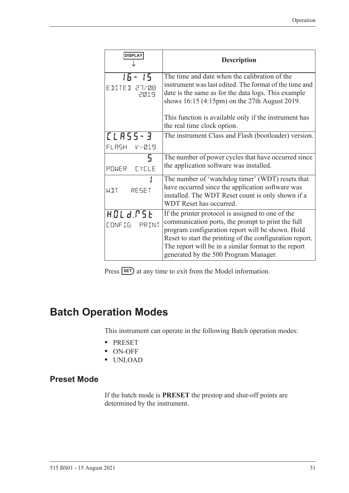| <b>DISPLAY</b>                        | <b>Description</b>                                                                                                                                                                                                                                                                                                      |
|---------------------------------------|-------------------------------------------------------------------------------------------------------------------------------------------------------------------------------------------------------------------------------------------------------------------------------------------------------------------------|
| $15 - 15$<br>EDITED 27/08<br>2019     | The time and date when the calibration of the<br>instrument was last edited. The format of the time and<br>date is the same as for the data logs. This example<br>shows $16:15$ (4:15pm) on the 27th August 2019.                                                                                                       |
|                                       | This function is available only if the instrument has<br>the real time clock option.                                                                                                                                                                                                                                    |
| <b>CLASS-3</b><br>FLASH<br>$V - Q$ 19 | The instrument Class and Flash (bootloader) version.                                                                                                                                                                                                                                                                    |
| ς<br>POWER EYELE                      | The number of power cycles that have occurred since<br>the application software was installed.                                                                                                                                                                                                                          |
| RESET<br>WIT                          | The number of 'watchdog timer' (WDT) resets that<br>have occurred since the application software was<br>installed. The WDT Reset count is only shown if a<br>WDT Reset has occurred.                                                                                                                                    |
| HOLd.PSE<br>CONFIG PRINT              | If the printer protocol is assigned to one of the<br>communication ports, the prompt to print the full<br>program configuration report will be shown. Hold<br>Reset to start the printing of the configuration report.<br>The report will be in a similar format to the report<br>generated by the 500 Program Manager. |

Press **SET**) at any time to exit from the Model information.

# **Batch Operation Modes**

This instrument can operate in the following Batch operation modes:

- **•** PRESET
- **•** ON-OFF
- **•** UNLOAD

### **Preset Mode**

If the batch mode is **PRESET** the prestop and shut-off points are determined by the instrument.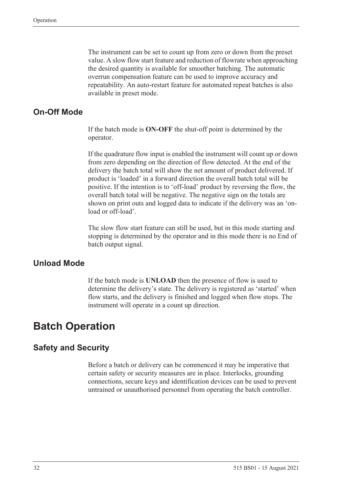The instrument can be set to count up from zero or down from the preset value. A slow flow start feature and reduction of flowrate when approaching the desired quantity is available for smoother batching. The automatic overrun compensation feature can be used to improve accuracy and repeatability. An auto-restart feature for automated repeat batches is also available in preset mode.

### **On-Off Mode**

If the batch mode is **ON-OFF** the shut-off point is determined by the operator.

If the quadrature flow input is enabled the instrument will count up or down from zero depending on the direction of flow detected. At the end of the delivery the batch total will show the net amount of product delivered. If product is 'loaded' in a forward direction the overall batch total will be positive. If the intention is to 'off-load' product by reversing the flow, the overall batch total will be negative. The negative sign on the totals are shown on print outs and logged data to indicate if the delivery was an 'onload or off-load'.

The slow flow start feature can still be used, but in this mode starting and stopping is determined by the operator and in this mode there is no End of batch output signal.

### **Unload Mode**

If the batch mode is **UNLOAD** then the presence of flow is used to determine the delivery's state. The delivery is registered as 'started' when flow starts, and the delivery is finished and logged when flow stops. The instrument will operate in a count up direction.

# **Batch Operation**

### **Safety and Security**

Before a batch or delivery can be commenced it may be imperative that certain safety or security measures are in place. Interlocks, grounding connections, secure keys and identification devices can be used to prevent untrained or unauthorised personnel from operating the batch controller.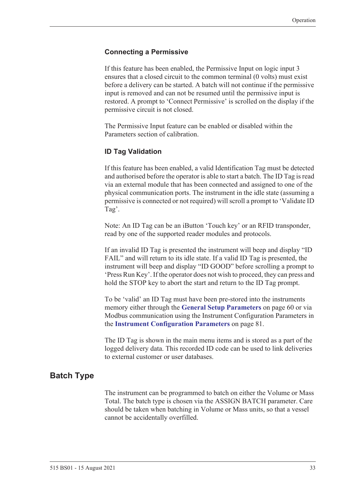#### **Connecting a Permissive**

If this feature has been enabled, the Permissive Input on logic input 3 ensures that a closed circuit to the common terminal (0 volts) must exist before a delivery can be started. A batch will not continue if the permissive input is removed and can not be resumed until the permissive input is restored. A prompt to 'Connect Permissive' is scrolled on the display if the permissive circuit is not closed.

The Permissive Input feature can be enabled or disabled within the Parameters section of calibration.

#### **ID Tag Validation**

If this feature has been enabled, a valid Identification Tag must be detected and authorised before the operator is able to start a batch. The ID Tag is read via an external module that has been connected and assigned to one of the physical communication ports. The instrument in the idle state (assuming a permissive is connected or not required) will scroll a prompt to 'Validate ID Tag'.

Note: An ID Tag can be an iButton 'Touch key' or an RFID transponder, read by one of the supported reader modules and protocols.

If an invalid ID Tag is presented the instrument will beep and display "ID FAIL" and will return to its idle state. If a valid ID Tag is presented, the instrument will beep and display "ID GOOD" before scrolling a prompt to 'Press Run Key'. If the operator does not wish to proceed, they can press and hold the STOP key to abort the start and return to the ID Tag prompt.

To be 'valid' an ID Tag must have been pre-stored into the instruments memory either through the **[General Setup Parameters](#page-69-0)** on page 60 or via Modbus communication using the Instrument Configuration Parameters in the **[Instrument Configuration Parameters](#page-90-0)** on page 81.

The ID Tag is shown in the main menu items and is stored as a part of the logged delivery data. This recorded ID code can be used to link deliveries to external customer or user databases.

### **Batch Type**

The instrument can be programmed to batch on either the Volume or Mass Total. The batch type is chosen via the ASSIGN BATCH parameter. Care should be taken when batching in Volume or Mass units, so that a vessel cannot be accidentally overfilled.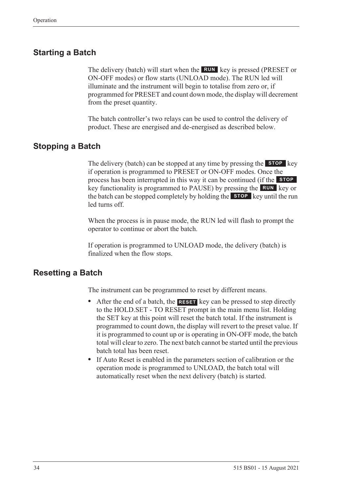# **Starting a Batch**

The delivery (batch) will start when the **RUN** key is pressed (PRESET or ON-OFF modes) or flow starts (UNLOAD mode). The RUN led will illuminate and the instrument will begin to totalise from zero or, if programmed for PRESET and count down mode, the display will decrement from the preset quantity.

The batch controller's two relays can be used to control the delivery of product. These are energised and de-energised as described below.

# **Stopping a Batch**

The delivery (batch) can be stopped at any time by pressing the **STOP** key if operation is programmed to PRESET or ON-OFF modes. Once the process has been interrupted in this way it can be continued (if the **STOP** key functionality is programmed to PAUSE) by pressing the **RUN** key or the batch can be stopped completely by holding the **STOP** key until the run led turns off.

When the process is in pause mode, the RUN led will flash to prompt the operator to continue or abort the batch.

If operation is programmed to UNLOAD mode, the delivery (batch) is finalized when the flow stops.

# **Resetting a Batch**

The instrument can be programmed to reset by different means.

- After the end of a batch, the **RESET** key can be pressed to step directly to the HOLD.SET - TO RESET prompt in the main menu list. Holding the SET key at this point will reset the batch total. If the instrument is programmed to count down, the display will revert to the preset value. If it is programmed to count up or is operating in ON-OFF mode, the batch total will clear to zero. The next batch cannot be started until the previous batch total has been reset.
- **•** If Auto Reset is enabled in the parameters section of calibration or the operation mode is programmed to UNLOAD, the batch total will automatically reset when the next delivery (batch) is started.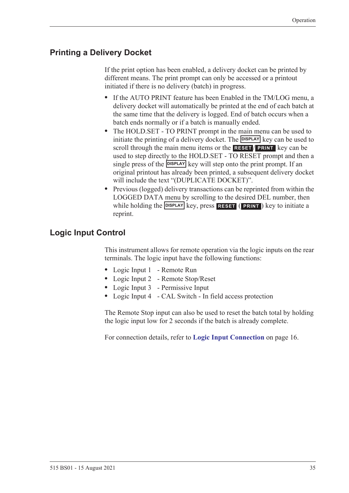## **Printing a Delivery Docket**

If the print option has been enabled, a delivery docket can be printed by different means. The print prompt can only be accessed or a printout initiated if there is no delivery (batch) in progress.

- **•** If the AUTO PRINT feature has been Enabled in the TM/LOG menu, a delivery docket will automatically be printed at the end of each batch at the same time that the delivery is logged. End of batch occurs when a batch ends normally or if a batch is manually ended.
- **•** The HOLD.SET TO PRINT prompt in the main menu can be used to initiate the printing of a delivery docket. The **DISPLAY** key can be used to scroll through the main menu items or the **RESET PRINT** key can be used to step directly to the HOLD.SET - TO RESET prompt and then a single press of the **DISPLAY** key will step onto the print prompt. If an original printout has already been printed, a subsequent delivery docket will include the text "(DUPLICATE DOCKET)".
- **•** Previous (logged) delivery transactions can be reprinted from within the LOGGED DATA menu by scrolling to the desired DEL number, then while holding the **DISPLAY** key, press **RESET** ( **PRINT** ) key to initiate a reprint.

# <span id="page-44-0"></span>**Logic Input Control**

This instrument allows for remote operation via the logic inputs on the rear terminals. The logic input have the following functions:

- **•** Logic Input 1 Remote Run
- **•** Logic Input 2 Remote Stop/Reset
- Logic Input 3 Permissive Input
- **•** Logic Input 4 CAL Switch In field access protection

The Remote Stop input can also be used to reset the batch total by holding the logic input low for 2 seconds if the batch is already complete.

For connection details, refer to **[Logic Input Connection](#page-25-0)** on page 16.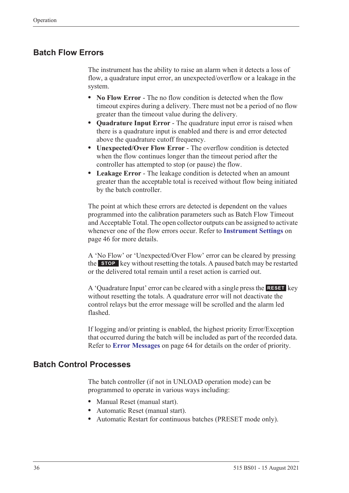## **Batch Flow Errors**

The instrument has the ability to raise an alarm when it detects a loss of flow, a quadrature input error, an unexpected/overflow or a leakage in the system.

- **No Flow Error** The no flow condition is detected when the flow timeout expires during a delivery. There must not be a period of no flow greater than the timeout value during the delivery.
- **• Quadrature Input Error**  The quadrature input error is raised when there is a quadrature input is enabled and there is and error detected above the quadrature cutoff frequency.
- **• Unexpected/Over Flow Error** The overflow condition is detected when the flow continues longer than the timeout period after the controller has attempted to stop (or pause) the flow.
- **• Leakage Error** The leakage condition is detected when an amount greater than the acceptable total is received without flow being initiated by the batch controller.

The point at which these errors are detected is dependent on the values programmed into the calibration parameters such as Batch Flow Timeout and Acceptable Total. The open collector outputs can be assigned to activate whenever one of the flow errors occur. Refer to **[Instrument Settings](#page-55-0)** on [page 46](#page-55-0) for more details.

A 'No Flow' or 'Unexpected/Over Flow' error can be cleared by pressing the **STOP** key without resetting the totals. A paused batch may be restarted or the delivered total remain until a reset action is carried out.

A 'Quadrature Input' error can be cleared with a single press the **RESET** key without resetting the totals. A quadrature error will not deactivate the control relays but the error message will be scrolled and the alarm led flashed.

If logging and/or printing is enabled, the highest priority Error/Exception that occurred during the batch will be included as part of the recorded data. Refer to **[Error Messages](#page-73-0)** on page 64 for details on the order of priority.

### **Batch Control Processes**

The batch controller (if not in UNLOAD operation mode) can be programmed to operate in various ways including:

- **•** Manual Reset (manual start).
- **•** Automatic Reset (manual start).
- **•** Automatic Restart for continuous batches (PRESET mode only).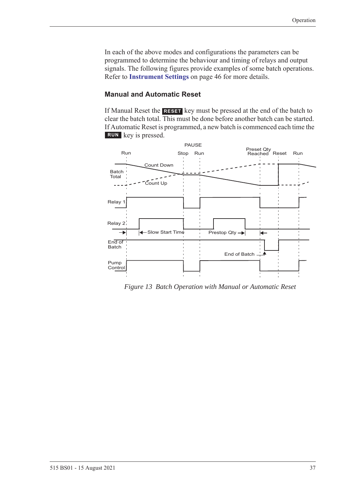In each of the above modes and configurations the parameters can be programmed to determine the behaviour and timing of relays and output signals. The following figures provide examples of some batch operations. Refer to **[Instrument Settings](#page-55-0)** on page 46 for more details.

#### **Manual and Automatic Reset**

If Manual Reset the **RESET** key must be pressed at the end of the batch to clear the batch total. This must be done before another batch can be started. If Automatic Reset is programmed, a new batch is commenced each time the **RUN** key is pressed.



*Figure 13 Batch Operation with Manual or Automatic Reset*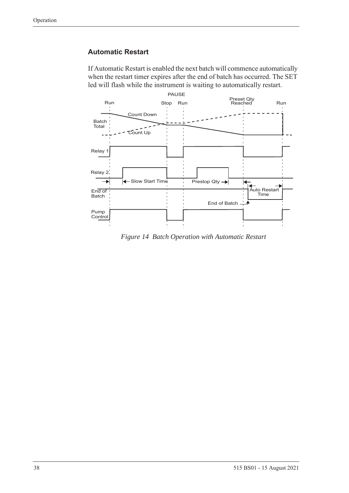### **Automatic Restart**

If Automatic Restart is enabled the next batch will commence automatically when the restart timer expires after the end of batch has occurred. The SET led will flash while the instrument is waiting to automatically restart.



*Figure 14 Batch Operation with Automatic Restart*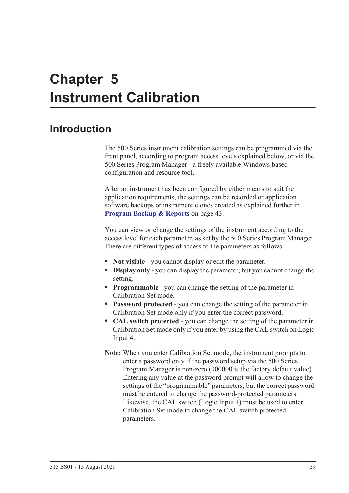# **Chapter 5 Instrument Calibration**

# **Introduction**

The 500 Series instrument calibration settings can be programmed via the front panel, according to program access levels explained below, or via the 500 Series Program Manager - a freely available Windows based configuration and resource tool.

After an instrument has been configured by either means to suit the application requirements, the settings can be recorded or application software backups or instrument clones created as explained further in **[Program Backup & Reports](#page-52-0)** on page 43.

You can view or change the settings of the instrument according to the access level for each parameter, as set by the 500 Series Program Manager. There are different types of access to the parameters as follows:

- **• Not visible** you cannot display or edit the parameter.
- **• Display only** you can display the parameter, but you cannot change the setting.
- **• Programmable** you can change the setting of the parameter in Calibration Set mode.
- **• Password protected** you can change the setting of the parameter in Calibration Set mode only if you enter the correct password.
- **• CAL switch protected**  you can change the setting of the parameter in Calibration Set mode only if you enter by using the CAL switch on Logic Input 4.
- **Note:** When you enter Calibration Set mode, the instrument prompts to enter a password only if the password setup via the 500 Series Program Manager is non-zero (000000 is the factory default value). Entering any value at the password prompt will allow to change the settings of the "programmable" parameters, but the correct password must be entered to change the password-protected parameters. Likewise, the CAL switch (Logic Input 4) must be used to enter Calibration Set mode to change the CAL switch protected parameters.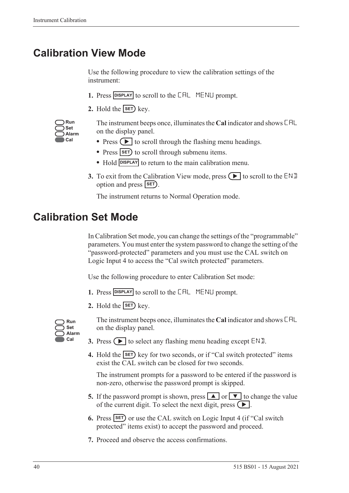# <span id="page-49-0"></span>**Calibration View Mode**

Use the following procedure to view the calibration settings of the instrument:

- 1. Press **DISPLAY** to scroll to the **CAL** MENLI prompt.
- **2.** Hold the  $\overline{\text{SET}}$  key.



The instrument beeps once, illuminates the **Cal** indicator and shows CAL on the display panel.

- Press  $\left( \triangleright \right)$  to scroll through the flashing menu headings.
- Press **SET** to scroll through submenu items.
- Hold **DISPLAY** to return to the main calibration menu.
- **3.** To exit from the Calibration View mode, press  $\Box$  to scroll to the END option and press **SET**).

The instrument returns to Normal Operation mode.

# **Calibration Set Mode**

In Calibration Set mode, you can change the settings of the "programmable" parameters. You must enter the system password to change the setting of the "password-protected" parameters and you must use the CAL switch on Logic Input 4 to access the "Cal switch protected" parameters.

Use the following procedure to enter Calibration Set mode:

- **1.** Press **DISPLAY** to scroll to the **CAL** MENLI prompt.
- **2.** Hold the  $\overline{\text{SET}}$  key.



The instrument beeps once, illuminates the **Cal** indicator and shows CAL on the display panel.

- **3.** Press  $\left( \blacktriangleright \right)$  to select any flashing menu heading except END.
- **4.** Hold the **SET** key for two seconds, or if "Cal switch protected" items exist the CAL switch can be closed for two seconds.

The instrument prompts for a password to be entered if the password is non-zero, otherwise the password prompt is skipped.

- **5.** If the password prompt is shown, press  $\boxed{\blacktriangle}$  or  $\boxed{\blacktriangledown}$  to change the value of the current digit. To select the next digit, press  $\Box$ .
- **6.** Press **SET** or use the CAL switch on Logic Input 4 (if "Cal switch protected" items exist) to accept the password and proceed.
- **7.** Proceed and observe the access confirmations.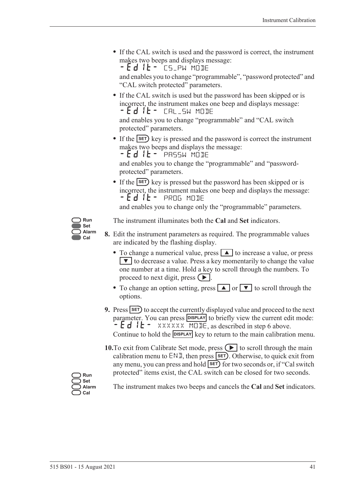**•** If the CAL switch is used and the password is correct, the instrument makes two beeps and displays message:  $-Ed$  it -  $TS$  pw mode

and enables you to change "programmable", "password protected" and "CAL switch protected" parameters.

• If the CAL switch is used but the password has been skipped or is incorrect, the instrument makes one beep and displays message: -EDIT- CAL\_SW MODE

and enables you to change "programmable" and "CAL switch protected" parameters.

- If the **SET**) key is pressed and the password is correct the instrument makes two beeps and displays the message:
	- -EDIT- PASSW MODE and enables you to change the "programmable" and "passwordprotected" parameters.
- If the **SET**) key is pressed but the password has been skipped or is incorrect, the instrument makes one beep and displays the message: -EDIT- PROG MODE

and enables you to change only the "programmable" parameters.



The instrument illuminates both the **Cal** and **Set** indicators.

- **8.** Edit the instrument parameters as required. The programmable values are indicated by the flashing display.
	- To change a numerical value, press **A** to increase a value, or press  $\triangledown$  to decrease a value. Press a key momentarily to change the value one number at a time. Hold a key to scroll through the numbers. To proceed to next digit, press  $(\blacktriangleright)$ .
	- To change an option setting, press  $\Box$  or  $\nabla$  to scroll through the options.
- **9.** Press **SET** to accept the currently displayed value and proceed to the next parameter. You can press **DISPLAY** to briefly view the current edit mode:  $-Ed$   $E - \frac{2}{x}$  XXXXXX MODE, as described in step 6 above. Continue to hold the **DISPLAY** key to return to the main calibration menu.
- **10.**To exit from Calibrate Set mode, press  $\Box$  to scroll through the main calibration menu to  $ENI$ , then press  $SET$ . Otherwise, to quick exit from any menu, you can press and hold **SET** for two seconds or, if "Cal switch protected" items exist, the CAL switch can be closed for two seconds.

**Run Set Alarm Cal**

The instrument makes two beeps and cancels the **Cal** and **Set** indicators.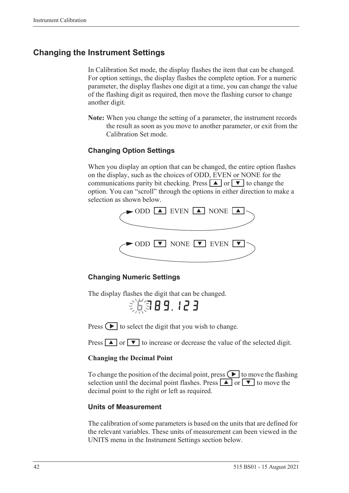# **Changing the Instrument Settings**

In Calibration Set mode, the display flashes the item that can be changed. For option settings, the display flashes the complete option. For a numeric parameter, the display flashes one digit at a time, you can change the value of the flashing digit as required, then move the flashing cursor to change another digit.

**Note:** When you change the setting of a parameter, the instrument records the result as soon as you move to another parameter, or exit from the Calibration Set mode.

### **Changing Option Settings**

When you display an option that can be changed, the entire option flashes on the display, such as the choices of ODD, EVEN or NONE for the communications parity bit checking. Press  $\boxed{\blacktriangle}$  or  $\boxed{\blacktriangledown}$  to change the option. You can "scroll" through the options in either direction to make a selection as shown below.



### <span id="page-51-0"></span>**Changing Numeric Settings**

The display flashes the digit that can be changed.

第第89.123

Press  $\left( \blacktriangleright \right)$  to select the digit that you wish to change.

Press  $\boxed{\blacktriangle}$  or  $\boxed{\blacktriangledown}$  to increase or decrease the value of the selected digit.

### **Changing the Decimal Point**

To change the position of the decimal point, press  $\Box$  to move the flashing selection until the decimal point flashes. Press  $\boxed{\blacktriangle}$  or  $\boxed{\blacktriangledown}$  to move the decimal point to the right or left as required.

### **Units of Measurement**

The calibration of some parameters is based on the units that are defined for the relevant variables. These units of measurement can been viewed in the UNITS menu in the Instrument Settings section below.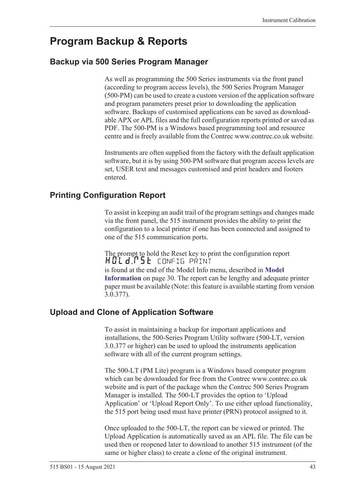# <span id="page-52-0"></span>**Program Backup & Reports**

### **Backup via 500 Series Program Manager**

As well as programming the 500 Series instruments via the front panel (according to program access levels), the 500 Series Program Manager (500-PM) can be used to create a custom version of the application software and program parameters preset prior to downloading the application software. Backups of customised applications can be saved as downloadable APX or APL files and the full configuration reports printed or saved as PDF. The 500-PM is a Windows based programming tool and resource centre and is freely available from the Contrec www.contrec.co.uk website.

Instruments are often supplied from the factory with the default application software, but it is by using 500-PM software that program access levels are set, USER text and messages customised and print headers and footers entered.

### **Printing Configuration Report**

To assist in keeping an audit trail of the program settings and changes made via the front panel, the 515 instrument provides the ability to print the configuration to a local printer if one has been connected and assigned to one of the 515 communication ports.

The prompt to hold the Reset key to print the configuration report HOLd.PSE CONFIG PRINT is found at the end of the Model Info menu, described in **[Model](#page-39-1)  [Information](#page-39-1)** on page 30. The report can be lengthy and adequate printer paper must be available (Note: this feature is available starting from version 3.0.377).

### **Upload and Clone of Application Software**

To assist in maintaining a backup for important applications and installations, the 500-Series Program Utility software (500-LT, version 3.0.377 or higher) can be used to upload the instruments application software with all of the current program settings.

The 500-LT (PM Lite) program is a Windows based computer program which can be downloaded for free from the Contrec www.contrec.co.uk website and is part of the package when the Contrec 500 Series Program Manager is installed. The 500-LT provides the option to 'Upload Application' or 'Upload Report Only'. To use either upload functionality, the 515 port being used must have printer (PRN) protocol assigned to it.

Once uploaded to the 500-LT, the report can be viewed or printed. The Upload Application is automatically saved as an APL file. The file can be used then or reopened later to download to another 515 instrument (of the same or higher class) to create a clone of the original instrument.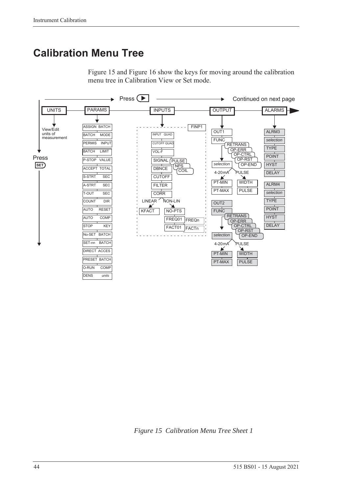# **Calibration Menu Tree**





<span id="page-53-0"></span>*Figure 15 Calibration Menu Tree Sheet 1*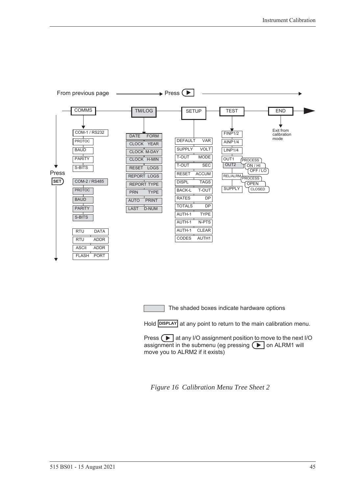

The shaded boxes indicate hardware options

Hold **DISPLAY** at any point to return to the main calibration menu.

Press  $\Box$  at any I/O assignment position to move to the next I/O assignment in the submenu (eg pressing  $\left( \blacktriangleright \right)$  on ALRM1 will move you to ALRM2 if it exists)

<span id="page-54-0"></span>*Figure 16 Calibration Menu Tree Sheet 2*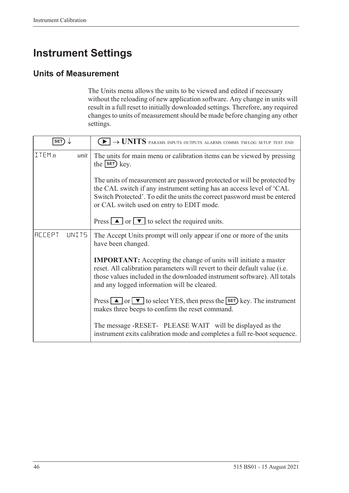# <span id="page-55-0"></span>**Instrument Settings**

## **Units of Measurement**

The Units menu allows the units to be viewed and edited if necessary without the reloading of new application software. Any change in units will result in a full reset to initially downloaded settings. Therefore, any required changes to units of measurement should be made before changing any other settings.

| <b>SET</b>                | $\textcolor{blue}{\blacktriangleright} \rightarrow \textcolor{red}{UNITS}$ params inputs outputs alarms comms tm/log setup test end                                                                                                                                             |  |
|---------------------------|---------------------------------------------------------------------------------------------------------------------------------------------------------------------------------------------------------------------------------------------------------------------------------|--|
| ITER <sub>n</sub><br>unit | The units for main menu or calibration items can be viewed by pressing<br>the $\left  \text{set} \right $ key.                                                                                                                                                                  |  |
|                           | The units of measurement are password protected or will be protected by<br>the CAL switch if any instrument setting has an access level of 'CAL<br>Switch Protected'. To edit the units the correct password must be entered<br>or CAL switch used on entry to EDIT mode.       |  |
|                           | Press $\boxed{\blacktriangle}$ or $\boxed{\blacktriangledown}$ to select the required units.                                                                                                                                                                                    |  |
| <b>ACCEPT</b><br>LINIT5   | The Accept Units prompt will only appear if one or more of the units<br>have been changed.                                                                                                                                                                                      |  |
|                           | <b>IMPORTANT:</b> Accepting the change of units will initiate a master<br>reset. All calibration parameters will revert to their default value (i.e.<br>those values included in the downloaded instrument software). All totals<br>and any logged information will be cleared. |  |
|                           | Press $\Box$ or $\nabla$ to select YES, then press the SET key. The instrument<br>makes three beeps to confirm the reset command.                                                                                                                                               |  |
|                           | The message -RESET- PLEASE WAIT will be displayed as the<br>instrument exits calibration mode and completes a full re-boot sequence.                                                                                                                                            |  |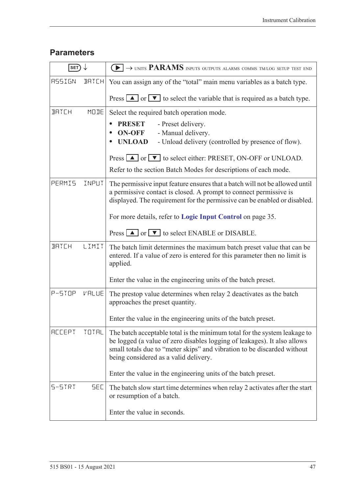# **Parameters**

| SET)          |              | $\blacktriangleright$ $\rightarrow$ units PARAMS inputs outputs alarms comms tm/log setup test end                                                                                                                                                                        |  |
|---------------|--------------|---------------------------------------------------------------------------------------------------------------------------------------------------------------------------------------------------------------------------------------------------------------------------|--|
| <b>RSSIGN</b> | <b>BATCH</b> | You can assign any of the "total" main menu variables as a batch type.                                                                                                                                                                                                    |  |
|               |              | Press $\boxed{\blacktriangle}$ or $\boxed{\blacktriangledown}$ to select the variable that is required as a batch type.                                                                                                                                                   |  |
| <b>BATCH</b>  | MODE         | Select the required batch operation mode.                                                                                                                                                                                                                                 |  |
|               |              | <b>PRESET</b><br>- Preset delivery.                                                                                                                                                                                                                                       |  |
|               |              | <b>ON-OFF</b><br>- Manual delivery.<br><b>UNLOAD</b><br>- Unload delivery (controlled by presence of flow).                                                                                                                                                               |  |
|               |              |                                                                                                                                                                                                                                                                           |  |
|               |              | Press $\Box$ or $\nabla$ to select either: PRESET, ON-OFF or UNLOAD.                                                                                                                                                                                                      |  |
|               |              | Refer to the section Batch Modes for descriptions of each mode.                                                                                                                                                                                                           |  |
| PERMIS        | INPUT        | The permissive input feature ensures that a batch will not be allowed until<br>a permissive contact is closed. A prompt to connect permissive is<br>displayed. The requirement for the permissive can be enabled or disabled.                                             |  |
|               |              | For more details, refer to Logic Input Control on page 35.                                                                                                                                                                                                                |  |
|               |              | Press $\Box$ or $\Box$ to select ENABLE or DISABLE.                                                                                                                                                                                                                       |  |
| <b>BATCH</b>  | LIMIT        | The batch limit determines the maximum batch preset value that can be<br>entered. If a value of zero is entered for this parameter then no limit is<br>applied.                                                                                                           |  |
|               |              | Enter the value in the engineering units of the batch preset.                                                                                                                                                                                                             |  |
| <b>P-510P</b> | VALUE        | The prestop value determines when relay 2 deactivates as the batch<br>approaches the preset quantity.                                                                                                                                                                     |  |
|               |              | Enter the value in the engineering units of the batch preset.                                                                                                                                                                                                             |  |
| <b>ACCEPT</b> | TOTAL        | The batch acceptable total is the minimum total for the system leakage to<br>be logged (a value of zero disables logging of leakages). It also allows<br>small totals due to "meter skips" and vibration to be discarded without<br>being considered as a valid delivery. |  |
|               |              | Enter the value in the engineering units of the batch preset.                                                                                                                                                                                                             |  |
| <b>5-5TRT</b> | <b>SEC</b>   | The batch slow start time determines when relay 2 activates after the start<br>or resumption of a batch.                                                                                                                                                                  |  |
|               |              | Enter the value in seconds.                                                                                                                                                                                                                                               |  |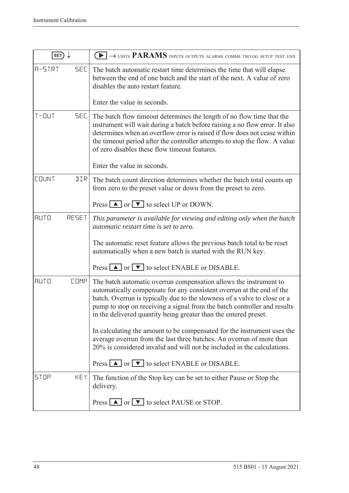| SET)                       | $\blacktriangleright$ $\rightarrow$ units PARAMS inputs outputs alarms comms tm/log setup test end                                                                                                                                                                                                                                                                     |
|----------------------------|------------------------------------------------------------------------------------------------------------------------------------------------------------------------------------------------------------------------------------------------------------------------------------------------------------------------------------------------------------------------|
| A-SIRI<br>SEC.             | The batch automatic restart time determines the time that will elapse<br>between the end of one batch and the start of the next. A value of zero<br>disables the auto restart feature.                                                                                                                                                                                 |
|                            | Enter the value in seconds.                                                                                                                                                                                                                                                                                                                                            |
| $T - 11T$<br>SEC.          | The batch flow timeout determines the length of no flow time that the<br>instrument will wait during a batch before raising a no flow error. It also<br>determines when an overflow error is raised if flow does not cease within<br>the timeout period after the controller attempts to stop the flow. A value<br>of zero disables these flow timeout features.       |
|                            | Enter the value in seconds.                                                                                                                                                                                                                                                                                                                                            |
| <b>COUNT</b><br>JIR.       | The batch count direction determines whether the batch total counts up<br>from zero to the preset value or down from the preset to zero.                                                                                                                                                                                                                               |
|                            | Press $\boxed{\blacktriangle}$ or $\boxed{\blacktriangledown}$ to select UP or DOWN.                                                                                                                                                                                                                                                                                   |
| <b>RUTO</b><br>RESET       | This parameter is available for viewing and editing only when the batch<br>automatic restart time is set to zero.                                                                                                                                                                                                                                                      |
|                            | The automatic reset feature allows the previous batch total to be reset<br>automatically when a new batch is started with the RUN key.                                                                                                                                                                                                                                 |
|                            | Press $\Box$ or $\Box$ to select ENABLE or DISABLE.                                                                                                                                                                                                                                                                                                                    |
| <b>RUTO</b><br><b>COMP</b> | The batch automatic overrun compensation allows the instrument to<br>automatically compensate for any consistent overrun at the end of the<br>batch. Overrun is typically due to the slowness of a valve to close or a<br>pump to stop on receiving a signal from the batch controller and results<br>in the delivered quantity being greater than the entered preset. |
|                            | In calculating the amount to be compensated for the instrument uses the<br>average overrun from the last three batches. An overrun of more than<br>20% is considered invalid and will not be included in the calculations.                                                                                                                                             |
|                            | Press $\Box$ or $\Box$ to select ENABLE or DISABLE.                                                                                                                                                                                                                                                                                                                    |
| <b>STOP</b><br>KEY.        | The function of the Stop key can be set to either Pause or Stop the<br>delivery.                                                                                                                                                                                                                                                                                       |
|                            | Press $\boxed{\blacktriangle}$ or $\boxed{\blacktriangledown}$ to select PAUSE or STOP.                                                                                                                                                                                                                                                                                |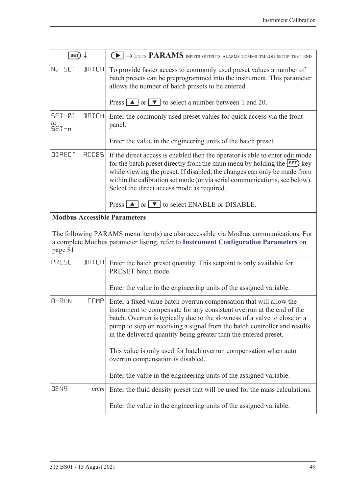| SET)                                             | $\blacktriangleright$ $\rightarrow$ units PARAMS inputs outputs alarms comms tm/log setup test end                                                                                                                                                                                                                                                                      |
|--------------------------------------------------|-------------------------------------------------------------------------------------------------------------------------------------------------------------------------------------------------------------------------------------------------------------------------------------------------------------------------------------------------------------------------|
| $No - SET$<br><b>BATCH</b>                       | To provide faster access to commonly used preset values a number of<br>batch presets can be preprogrammed into the instrument. This parameter<br>allows the number of batch presets to be entered.                                                                                                                                                                      |
|                                                  | Press $\boxed{\blacktriangle}$ or $\boxed{\blacktriangledown}$ to select a number between 1 and 20.                                                                                                                                                                                                                                                                     |
| <b>SET-01</b><br><b>BRTCH</b><br>to<br>$SET - n$ | Enter the commonly used preset values for quick access via the front<br>panel.                                                                                                                                                                                                                                                                                          |
|                                                  | Enter the value in the engineering units of the batch preset.                                                                                                                                                                                                                                                                                                           |
| <b>IIRECT</b><br><b>ACCES</b>                    | If the direct access is enabled then the operator is able to enter edit mode<br>for the batch preset directly from the main menu by holding the SET) key<br>while viewing the preset. If disabled, the changes can only be made from<br>within the calibration set mode (or via serial communications, see below).<br>Select the direct access mode as required.        |
|                                                  | Press $\Box$ or $\Box$ to select ENABLE or DISABLE.                                                                                                                                                                                                                                                                                                                     |
| <b>Modbus Accessible Parameters</b>              |                                                                                                                                                                                                                                                                                                                                                                         |
| page 81.                                         | The following PARAMS menu item(s) are also accessible via Modbus communications. For<br>a complete Modbus parameter listing, refer to Instrument Configuration Parameters on                                                                                                                                                                                            |
| PRESET<br><b>JRTCH</b>                           | Enter the batch preset quantity. This setpoint is only available for<br>PRESET batch mode.                                                                                                                                                                                                                                                                              |
|                                                  | Enter the value in the engineering units of the assigned variable.                                                                                                                                                                                                                                                                                                      |
| $D - R UN$<br><b>COMP</b>                        | Enter a fixed value batch overrun compensation that will allow the<br>instrument to compensate for any consistent overrun at the end of the<br>batch. Overrun is typically due to the slowness of a valve to close or a<br>pump to stop on receiving a signal from the batch controller and results<br>in the delivered quantity being greater than the entered preset. |
|                                                  | This value is only used for batch overrun compensation when auto<br>overrun compensation is disabled.                                                                                                                                                                                                                                                                   |
|                                                  | Enter the value in the engineering units of the assigned variable.                                                                                                                                                                                                                                                                                                      |
| <b>JENS</b><br>units                             | Enter the fluid density preset that will be used for the mass calculations.                                                                                                                                                                                                                                                                                             |
|                                                  | Enter the value in the engineering units of the assigned variable.                                                                                                                                                                                                                                                                                                      |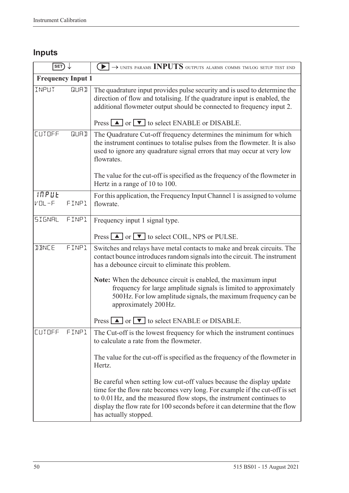# **Inputs**

|                                   | $\widetilde{\blacktriangleright} \rightarrow$ units params INPUTS outputs alarms comms tm/log setup test end<br>SET) |                                                                                                                                                                                                                                                                                                                                      |  |
|-----------------------------------|----------------------------------------------------------------------------------------------------------------------|--------------------------------------------------------------------------------------------------------------------------------------------------------------------------------------------------------------------------------------------------------------------------------------------------------------------------------------|--|
|                                   | <b>Frequency Input 1</b>                                                                                             |                                                                                                                                                                                                                                                                                                                                      |  |
| INPUT                             | <b>GURI</b>                                                                                                          | The quadrature input provides pulse security and is used to determine the<br>direction of flow and totalising. If the quadrature input is enabled, the<br>additional flowmeter output should be connected to frequency input 2.<br>Press $\Box$ or $\Box$ to select ENABLE or DISABLE.                                               |  |
| CUTOFF                            | <b>GURD</b>                                                                                                          | The Quadrature Cut-off frequency determines the minimum for which<br>the instrument continues to totalise pulses from the flowmeter. It is also<br>used to ignore any quadrature signal errors that may occur at very low<br>flowrates.                                                                                              |  |
|                                   |                                                                                                                      | The value for the cut-off is specified as the frequency of the flowmeter in<br>Hertz in a range of 10 to 100.                                                                                                                                                                                                                        |  |
| <b>INPUE</b><br>$V \square L - F$ | FINP1                                                                                                                | For this application, the Frequency Input Channel 1 is assigned to volume<br>flowrate.                                                                                                                                                                                                                                               |  |
| <b>SIGNAL</b>                     | FINP1                                                                                                                | Frequency input 1 signal type.                                                                                                                                                                                                                                                                                                       |  |
|                                   |                                                                                                                      | Press $\Box$ or $\nabla$ to select COIL, NPS or PULSE.                                                                                                                                                                                                                                                                               |  |
| <b>JBNCE</b>                      | FINP1                                                                                                                | Switches and relays have metal contacts to make and break circuits. The<br>contact bounce introduces random signals into the circuit. The instrument<br>has a debounce circuit to eliminate this problem.                                                                                                                            |  |
|                                   |                                                                                                                      | Note: When the debounce circuit is enabled, the maximum input<br>frequency for large amplitude signals is limited to approximately<br>500Hz. For low amplitude signals, the maximum frequency can be<br>approximately 200Hz.                                                                                                         |  |
|                                   |                                                                                                                      | Press $\boxed{\blacktriangle}$ or $\boxed{\blacktriangledown}$ to select ENABLE or DISABLE.                                                                                                                                                                                                                                          |  |
| <b>CUTOFF</b>                     | FINP1                                                                                                                | The Cut-off is the lowest frequency for which the instrument continues<br>to calculate a rate from the flowmeter.                                                                                                                                                                                                                    |  |
|                                   |                                                                                                                      | The value for the cut-off is specified as the frequency of the flowmeter in<br>Hertz.                                                                                                                                                                                                                                                |  |
|                                   |                                                                                                                      | Be careful when setting low cut-off values because the display update<br>time for the flow rate becomes very long. For example if the cut-off is set<br>to 0.01 Hz, and the measured flow stops, the instrument continues to<br>display the flow rate for 100 seconds before it can determine that the flow<br>has actually stopped. |  |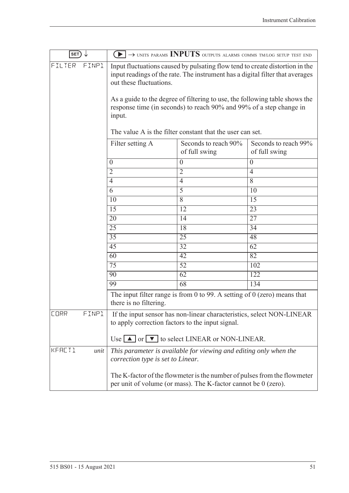| SET)        |       | $\blacktriangleright$ $\rightarrow$ units params INPUTS outputs alarms comms tm/log setup test end |                                                                                                                                                                                                                                                                                                                                                                                  |                                       |
|-------------|-------|----------------------------------------------------------------------------------------------------|----------------------------------------------------------------------------------------------------------------------------------------------------------------------------------------------------------------------------------------------------------------------------------------------------------------------------------------------------------------------------------|---------------------------------------|
| FILTER      | FINP1 | out these fluctuations.<br>input.                                                                  | Input fluctuations caused by pulsating flow tend to create distortion in the<br>input readings of the rate. The instrument has a digital filter that averages<br>As a guide to the degree of filtering to use, the following table shows the<br>response time (in seconds) to reach 90% and 99% of a step change in<br>The value A is the filter constant that the user can set. |                                       |
|             |       | Filter setting A                                                                                   | Seconds to reach 90%<br>of full swing                                                                                                                                                                                                                                                                                                                                            | Seconds to reach 99%<br>of full swing |
|             |       | $\overline{0}$                                                                                     | $\boldsymbol{0}$                                                                                                                                                                                                                                                                                                                                                                 | $\boldsymbol{0}$                      |
|             |       | $\overline{2}$                                                                                     | $\overline{2}$                                                                                                                                                                                                                                                                                                                                                                   | $\overline{4}$                        |
|             |       | $\overline{4}$                                                                                     | $\overline{4}$                                                                                                                                                                                                                                                                                                                                                                   | $\overline{8}$                        |
|             |       | 6                                                                                                  | $\overline{5}$                                                                                                                                                                                                                                                                                                                                                                   | 10                                    |
|             |       | 10                                                                                                 | $\overline{8}$                                                                                                                                                                                                                                                                                                                                                                   | 15                                    |
|             |       | 15                                                                                                 | $\overline{12}$                                                                                                                                                                                                                                                                                                                                                                  | 23                                    |
|             |       | 20                                                                                                 | 14                                                                                                                                                                                                                                                                                                                                                                               | 27                                    |
|             |       | $\overline{25}$                                                                                    | $\overline{18}$                                                                                                                                                                                                                                                                                                                                                                  | 34                                    |
|             |       | $\overline{35}$                                                                                    | $\overline{25}$                                                                                                                                                                                                                                                                                                                                                                  | 48                                    |
|             |       | 45                                                                                                 | 32                                                                                                                                                                                                                                                                                                                                                                               | 62                                    |
|             |       | $\overline{60}$                                                                                    | $\overline{42}$                                                                                                                                                                                                                                                                                                                                                                  | 82                                    |
|             |       | $\overline{75}$                                                                                    | $\overline{52}$                                                                                                                                                                                                                                                                                                                                                                  | 102                                   |
|             |       | 90                                                                                                 | 62                                                                                                                                                                                                                                                                                                                                                                               | 122                                   |
|             |       | 99                                                                                                 | $\overline{68}$                                                                                                                                                                                                                                                                                                                                                                  | 134                                   |
|             |       | there is no filtering.                                                                             | The input filter range is from 0 to 99. A setting of $0$ (zero) means that                                                                                                                                                                                                                                                                                                       |                                       |
| <b>CORR</b> | FINP1 | to apply correction factors to the input signal.                                                   | If the input sensor has non-linear characteristics, select NON-LINEAR<br>Use $\Box$ or $\nabla$ to select LINEAR or NON-LINEAR.                                                                                                                                                                                                                                                  |                                       |
| KFACT1      | unit  | correction type is set to Linear.                                                                  | This parameter is available for viewing and editing only when the                                                                                                                                                                                                                                                                                                                |                                       |
|             |       |                                                                                                    | The K-factor of the flowmeter is the number of pulses from the flowmeter<br>per unit of volume (or mass). The K-factor cannot be 0 (zero).                                                                                                                                                                                                                                       |                                       |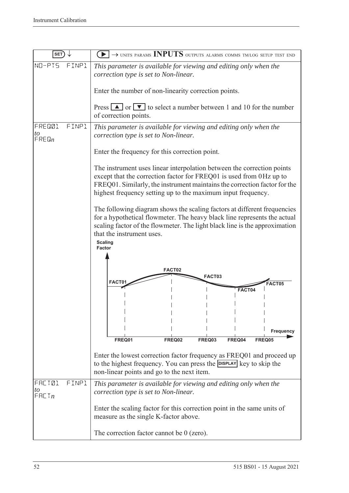| <b>SET</b>                  |       | $\rightarrow$ units params INPUTS outputs alarms comms tm/log setup test end                                                                                                                                                                                                                       |
|-----------------------------|-------|----------------------------------------------------------------------------------------------------------------------------------------------------------------------------------------------------------------------------------------------------------------------------------------------------|
| NO-PIS                      | FINP1 | This parameter is available for viewing and editing only when the<br>correction type is set to Non-linear.                                                                                                                                                                                         |
|                             |       | Enter the number of non-linearity correction points.                                                                                                                                                                                                                                               |
|                             |       | Press $\boxed{\blacktriangle}$ or $\boxed{\blacktriangledown}$ to select a number between 1 and 10 for the number<br>of correction points.                                                                                                                                                         |
| FRED01<br>to<br>$F$ REQ $n$ | FINP1 | This parameter is available for viewing and editing only when the<br>correction type is set to Non-linear.                                                                                                                                                                                         |
|                             |       | Enter the frequency for this correction point.                                                                                                                                                                                                                                                     |
|                             |       | The instrument uses linear interpolation between the correction points<br>except that the correction factor for FREQ01 is used from 0Hz up to<br>FREQ01. Similarly, the instrument maintains the correction factor for the<br>highest frequency setting up to the maximum input frequency.         |
|                             |       | The following diagram shows the scaling factors at different frequencies<br>for a hypothetical flowmeter. The heavy black line represents the actual<br>scaling factor of the flowmeter. The light black line is the approximation<br>that the instrument uses.<br><b>Scaling</b><br><b>Factor</b> |
|                             |       |                                                                                                                                                                                                                                                                                                    |
|                             |       | FACT02<br>FACT03                                                                                                                                                                                                                                                                                   |
|                             |       | FACT0<br><b>FACT05</b><br>FACT04                                                                                                                                                                                                                                                                   |
|                             |       |                                                                                                                                                                                                                                                                                                    |
|                             |       |                                                                                                                                                                                                                                                                                                    |
|                             |       |                                                                                                                                                                                                                                                                                                    |
|                             |       | <b>Frequency</b><br>FREQ02<br>FREQ03<br>FREQ04<br>FREQ01<br>FREQ05                                                                                                                                                                                                                                 |
|                             |       | Enter the lowest correction factor frequency as FREQ01 and proceed up<br>to the highest frequency. You can press the <b>DISPLAY</b> key to skip the<br>non-linear points and go to the next item.                                                                                                  |
| FACT01<br>to<br>F H L T n   | FINP1 | This parameter is available for viewing and editing only when the<br>correction type is set to Non-linear.                                                                                                                                                                                         |
|                             |       | Enter the scaling factor for this correction point in the same units of<br>measure as the single K-factor above.                                                                                                                                                                                   |
|                             |       | The correction factor cannot be $0$ (zero).                                                                                                                                                                                                                                                        |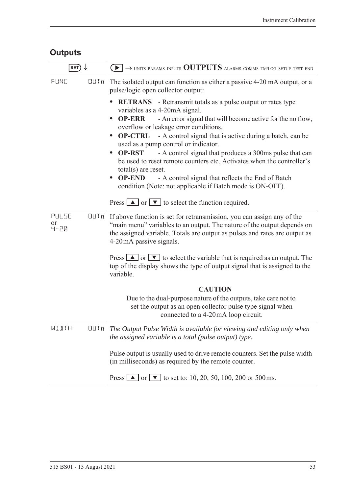# **Outputs**

| SET)                                            | $\left\{ \blacktriangleright\right\} \rightarrow$ units params inputs $\text{OUTPUTS}$ alarms comms tm/log setup test end                                                                                                                                                                                                                                                                                                                                                                                                                                                                                                                                                                                                                                                                                                           |
|-------------------------------------------------|-------------------------------------------------------------------------------------------------------------------------------------------------------------------------------------------------------------------------------------------------------------------------------------------------------------------------------------------------------------------------------------------------------------------------------------------------------------------------------------------------------------------------------------------------------------------------------------------------------------------------------------------------------------------------------------------------------------------------------------------------------------------------------------------------------------------------------------|
| FUNE<br>$Q$ $U$ $T$ $n$                         | The isolated output can function as either a passive 4-20 mA output, or a<br>pulse/logic open collector output:                                                                                                                                                                                                                                                                                                                                                                                                                                                                                                                                                                                                                                                                                                                     |
|                                                 | <b>RETRANS</b> - Retransmit totals as a pulse output or rates type<br>$\bullet$<br>variables as a 4-20mA signal.<br><b>OP-ERR</b><br>- An error signal that will become active for the no flow,<br>$\bullet$<br>overflow or leakage error conditions.<br><b>OP-CTRL</b> - A control signal that is active during a batch, can be<br>$\bullet$<br>used as a pump control or indicator.<br><b>OP-RST</b><br>- A control signal that produces a 300ms pulse that can<br>$\bullet$<br>be used to reset remote counters etc. Activates when the controller's<br>$total(s)$ are reset.<br><b>OP-END</b><br>- A control signal that reflects the End of Batch<br>$\bullet$<br>condition (Note: not applicable if Batch mode is ON-OFF).<br>Press $\boxed{\blacktriangle}$ or $\boxed{\blacktriangledown}$ to select the function required. |
| PULSE<br>$\Box$ $\Box$ $\Box$ $n$<br>or<br>4-20 | If above function is set for retransmission, you can assign any of the<br>"main menu" variables to an output. The nature of the output depends on<br>the assigned variable. Totals are output as pulses and rates are output as<br>4-20 mA passive signals.                                                                                                                                                                                                                                                                                                                                                                                                                                                                                                                                                                         |
|                                                 | Press $\Box$ or $\nabla$ to select the variable that is required as an output. The<br>top of the display shows the type of output signal that is assigned to the<br>variable.                                                                                                                                                                                                                                                                                                                                                                                                                                                                                                                                                                                                                                                       |
|                                                 | <b>CAUTION</b><br>Due to the dual-purpose nature of the outputs, take care not to<br>set the output as an open collector pulse type signal when<br>connected to a 4-20mA loop circuit.                                                                                                                                                                                                                                                                                                                                                                                                                                                                                                                                                                                                                                              |
| WIJTH<br>$\Box$ $\Box$ $\Box$ $n$               | The Output Pulse Width is available for viewing and editing only when<br>the assigned variable is a total (pulse output) type.                                                                                                                                                                                                                                                                                                                                                                                                                                                                                                                                                                                                                                                                                                      |
|                                                 | Pulse output is usually used to drive remote counters. Set the pulse width<br>(in milliseconds) as required by the remote counter.                                                                                                                                                                                                                                                                                                                                                                                                                                                                                                                                                                                                                                                                                                  |
|                                                 | Press $\triangle$ or $\triangledown$ to set to: 10, 20, 50, 100, 200 or 500 ms.                                                                                                                                                                                                                                                                                                                                                                                                                                                                                                                                                                                                                                                                                                                                                     |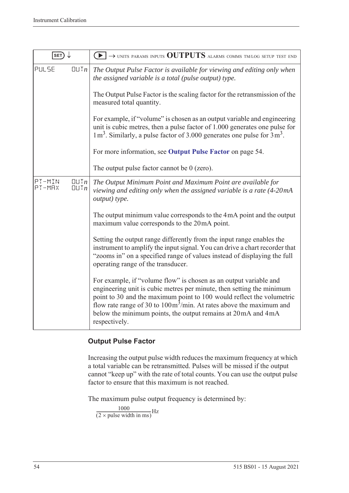| SET)             |                    | $\leftarrow$ $\rightarrow$ units params inputs OUTPUTS alarms comms tmlog setup test end                                                                                                                                                                                                                                                                                                        |
|------------------|--------------------|-------------------------------------------------------------------------------------------------------------------------------------------------------------------------------------------------------------------------------------------------------------------------------------------------------------------------------------------------------------------------------------------------|
| PULSE            | QUTn               | The Output Pulse Factor is available for viewing and editing only when<br>the assigned variable is a total (pulse output) type.                                                                                                                                                                                                                                                                 |
|                  |                    | The Output Pulse Factor is the scaling factor for the retransmission of the<br>measured total quantity.                                                                                                                                                                                                                                                                                         |
|                  |                    | For example, if "volume" is chosen as an output variable and engineering<br>unit is cubic metres, then a pulse factor of 1.000 generates one pulse for<br>$1 m3$ . Similarly, a pulse factor of 3.000 generates one pulse for $3 m3$ .                                                                                                                                                          |
|                  |                    | For more information, see Output Pulse Factor on page 54.                                                                                                                                                                                                                                                                                                                                       |
|                  |                    | The output pulse factor cannot be $0$ (zero).                                                                                                                                                                                                                                                                                                                                                   |
| PT-MIN<br>PT-MAX | $QU$ T $n$<br>QUTn | The Output Minimum Point and Maximum Point are available for<br>viewing and editing only when the assigned variable is a rate (4-20mA<br>output) type.                                                                                                                                                                                                                                          |
|                  |                    | The output minimum value corresponds to the 4mA point and the output<br>maximum value corresponds to the 20mA point.                                                                                                                                                                                                                                                                            |
|                  |                    | Setting the output range differently from the input range enables the<br>instrument to amplify the input signal. You can drive a chart recorder that<br>"zooms in" on a specified range of values instead of displaying the full<br>operating range of the transducer.                                                                                                                          |
|                  |                    | For example, if "volume flow" is chosen as an output variable and<br>engineering unit is cubic metres per minute, then setting the minimum<br>point to 30 and the maximum point to 100 would reflect the volumetric<br>flow rate range of 30 to $100 \text{m}^3/\text{min}$ . At rates above the maximum and<br>below the minimum points, the output remains at 20 mA and 4 mA<br>respectively. |

### <span id="page-63-0"></span>**Output Pulse Factor**

Increasing the output pulse width reduces the maximum frequency at which a total variable can be retransmitted. Pulses will be missed if the output cannot "keep up" with the rate of total counts. You can use the output pulse factor to ensure that this maximum is not reached.

The maximum pulse output frequency is determined by:

```
1000
\frac{1000}{(2 \times \text{pulse width in ms})}Hz
```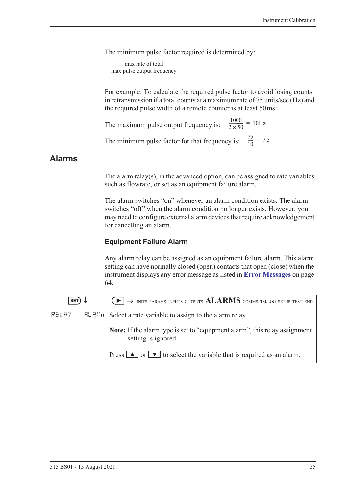The minimum pulse factor required is determined by:

max rate of total max pulse output frequency ------------------------------------------------------------------

For example: To calculate the required pulse factor to avoid losing counts in retransmission if a total counts at a maximum rate of 75 units/sec (Hz) and the required pulse width of a remote counter is at least 50 ms:

The maximum pulse output frequency is:  $\frac{1000}{2 \times 50}$  = 10Hz

The minimum pulse factor for that frequency is:  $\frac{75}{10}$  $\frac{73}{10}$  = 7.5

#### **Alarms**

The alarm relay(s), in the advanced option, can be assigned to rate variables such as flowrate, or set as an equipment failure alarm.

The alarm switches "on" whenever an alarm condition exists. The alarm switches "off" when the alarm condition no longer exists. However, you may need to configure external alarm devices that require acknowledgement for cancelling an alarm.

#### **Equipment Failure Alarm**

Any alarm relay can be assigned as an equipment failure alarm. This alarm setting can have normally closed (open) contacts that open (close) when the instrument displays any error message as listed in **[Error Messages](#page-73-1)** on page [64.](#page-73-1)

| SET   |  | $\blacktriangleright$ $\rightarrow$ units params inputs outputs $ALARMS$ comms tm/log setup test end                |
|-------|--|---------------------------------------------------------------------------------------------------------------------|
| RELAY |  | $\text{FLRM}_n$ Select a rate variable to assign to the alarm relay.                                                |
|       |  | Note: If the alarm type is set to "equipment alarm", this relay assignment<br>setting is ignored.                   |
|       |  | Press $\boxed{\blacktriangle}$ or $\boxed{\blacktriangledown}$ to select the variable that is required as an alarm. |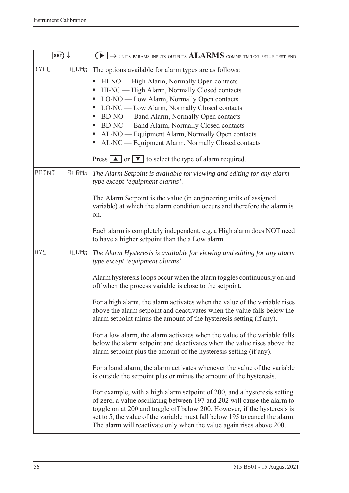| SET)                 | $\rightarrow$ units params inputs outputs $ALARMS$ comms tm/log setup test end                                                                                                                                                                                                                                                                                                                                                                                                                          |
|----------------------|---------------------------------------------------------------------------------------------------------------------------------------------------------------------------------------------------------------------------------------------------------------------------------------------------------------------------------------------------------------------------------------------------------------------------------------------------------------------------------------------------------|
| TYPE<br>HLRMn        | The options available for alarm types are as follows:                                                                                                                                                                                                                                                                                                                                                                                                                                                   |
|                      | HI-NO — High Alarm, Normally Open contacts<br>HI-NC — High Alarm, Normally Closed contacts<br>LO-NO — Low Alarm, Normally Open contacts<br>$\bullet$<br>LO-NC — Low Alarm, Normally Closed contacts<br>BD-NO — Band Alarm, Normally Open contacts<br>BD-NC — Band Alarm, Normally Closed contacts<br>$\bullet$<br>AL-NO — Equipment Alarm, Normally Open contacts<br>$\bullet$<br>• AL-NC — Equipment Alarm, Normally Closed contacts<br>Press $\Box$ or $\nabla$ to select the type of alarm required. |
| POINT<br>HLRMn       | The Alarm Setpoint is available for viewing and editing for any alarm<br>type except 'equipment alarms'.                                                                                                                                                                                                                                                                                                                                                                                                |
|                      | The Alarm Setpoint is the value (in engineering units of assigned<br>variable) at which the alarm condition occurs and therefore the alarm is<br>on.                                                                                                                                                                                                                                                                                                                                                    |
|                      | Each alarm is completely independent, e.g. a High alarm does NOT need<br>to have a higher setpoint than the a Low alarm.                                                                                                                                                                                                                                                                                                                                                                                |
| <b>HY5T</b><br>HLRMn | The Alarm Hysteresis is available for viewing and editing for any alarm<br>type except 'equipment alarms'.                                                                                                                                                                                                                                                                                                                                                                                              |
|                      | Alarm hysteresis loops occur when the alarm toggles continuously on and<br>off when the process variable is close to the setpoint.                                                                                                                                                                                                                                                                                                                                                                      |
|                      | For a high alarm, the alarm activates when the value of the variable rises<br>above the alarm setpoint and deactivates when the value falls below the<br>alarm setpoint minus the amount of the hysteresis setting (if any).                                                                                                                                                                                                                                                                            |
|                      | For a low alarm, the alarm activates when the value of the variable falls<br>below the alarm setpoint and deactivates when the value rises above the<br>alarm setpoint plus the amount of the hysteresis setting (if any).                                                                                                                                                                                                                                                                              |
|                      | For a band alarm, the alarm activates whenever the value of the variable<br>is outside the setpoint plus or minus the amount of the hysteresis.                                                                                                                                                                                                                                                                                                                                                         |
|                      | For example, with a high alarm setpoint of 200, and a hysteresis setting<br>of zero, a value oscillating between 197 and 202 will cause the alarm to<br>toggle on at 200 and toggle off below 200. However, if the hysteresis is<br>set to 5, the value of the variable must fall below 195 to cancel the alarm.<br>The alarm will reactivate only when the value again rises above 200.                                                                                                                |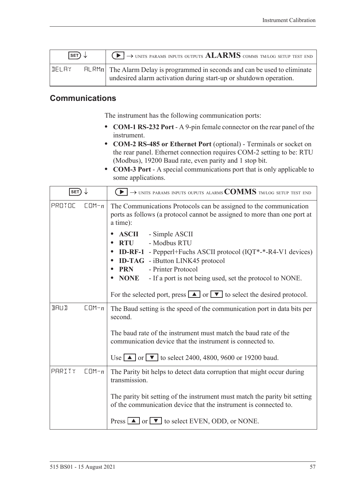| $\boxed{\text{SET}}$ | $ \;\textrm{(}\blacktriangleright\;\textrm{]}\to\textrm{units}$ params inputs outputs $ALARMS$ comms tm/log setup test end                                 |
|----------------------|------------------------------------------------------------------------------------------------------------------------------------------------------------|
| <b>DELAY</b>         | $\mathsf{RLRM}$ The Alarm Delay is programmed in seconds and can be used to eliminate<br>undesired alarm activation during start-up or shutdown operation. |

### <span id="page-66-0"></span>**Communications**

The instrument has the following communication ports:

- **• COM-1 RS-232 Port** A 9-pin female connector on the rear panel of the instrument.
- **• COM-2 RS-485 or Ethernet Port** (optional) Terminals or socket on the rear panel. Ethernet connection requires COM-2 setting to be: RTU (Modbus), 19200 Baud rate, even parity and 1 stop bit.
- **• COM-3 Port** A special communications port that is only applicable to some applications.

| <b>SET</b>  |           | $\rightarrow$ units params inputs ouputs alarms $COMMS$ tm/log setup test end                                                                             |
|-------------|-----------|-----------------------------------------------------------------------------------------------------------------------------------------------------------|
| PROTOC      | $CDM - n$ | The Communications Protocols can be assigned to the communication<br>ports as follows (a protocol cannot be assigned to more than one port at<br>a time): |
|             |           | <b>ASCII</b><br>- Simple ASCII<br>- Modbus RTU<br><b>RTU</b>                                                                                              |
|             |           | <b>ID-RF-1</b> - Pepperl+Fuchs ASCII protocol (IQT*-*-R4-V1 devices)<br><b>ID-TAG</b> - iButton LINK45 protocol                                           |
|             |           | - Printer Protocol<br><b>PRN</b><br><b>NONE</b><br>- If a port is not being used, set the protocol to NONE.                                               |
|             |           | For the selected port, press $\boxed{\triangle}$ or $\boxed{\triangledown}$ to select the desired protocol.                                               |
| <b>BAUD</b> | $CDM - n$ | The Baud setting is the speed of the communication port in data bits per<br>second.                                                                       |
|             |           | The baud rate of the instrument must match the baud rate of the<br>communication device that the instrument is connected to.                              |
|             |           | Use $\blacksquare$ or $\blacksquare$ to select 2400, 4800, 9600 or 19200 baud.                                                                            |
| PARITY      | $CDM - n$ | The Parity bit helps to detect data corruption that might occur during<br>transmission.                                                                   |
|             |           | The parity bit setting of the instrument must match the parity bit setting<br>of the communication device that the instrument is connected to.            |
|             |           | Press $\Box$ or $\nabla$ to select EVEN, ODD, or NONE.                                                                                                    |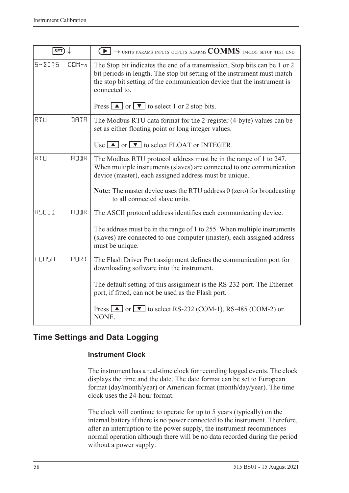| SET)         |             | $\blacktriangleright$ $\mid$ $\rightarrow$ units params inputs ouputs alarms COMMS tm/log setup test end                                                                                                                                                                                                                                                                  |
|--------------|-------------|---------------------------------------------------------------------------------------------------------------------------------------------------------------------------------------------------------------------------------------------------------------------------------------------------------------------------------------------------------------------------|
| $5 - 3115$   | $CDM - n$   | The Stop bit indicates the end of a transmission. Stop bits can be 1 or 2<br>bit periods in length. The stop bit setting of the instrument must match<br>the stop bit setting of the communication device that the instrument is<br>connected to.<br>Press $\boxed{\blacktriangle}$ or $\boxed{\blacktriangledown}$ to select 1 or 2 stop bits.                           |
| RTU          | <b>IRTR</b> | The Modbus RTU data format for the 2-register (4-byte) values can be<br>set as either floating point or long integer values.<br>Use $\Box$ or $\Box$ to select FLOAT or INTEGER.                                                                                                                                                                                          |
| RTU          | <b>RIIR</b> | The Modbus RTU protocol address must be in the range of 1 to 247.<br>When multiple instruments (slaves) are connected to one communication<br>device (master), each assigned address must be unique.<br><b>Note:</b> The master device uses the RTU address $0$ (zero) for broadcasting<br>to all connected slave units.                                                  |
| <b>RSCII</b> | <b>AIIR</b> | The ASCII protocol address identifies each communicating device.<br>The address must be in the range of 1 to 255. When multiple instruments<br>(slaves) are connected to one computer (master), each assigned address<br>must be unique.                                                                                                                                  |
| FLASH        | PORT        | The Flash Driver Port assignment defines the communication port for<br>downloading software into the instrument.<br>The default setting of this assignment is the RS-232 port. The Ethernet<br>port, if fitted, can not be used as the Flash port.<br>Press $\boxed{\blacktriangle}$ or $\boxed{\blacktriangledown}$ to select RS-232 (COM-1), RS-485 (COM-2) or<br>NONE. |

# **Time Settings and Data Logging**

### **Instrument Clock**

The instrument has a real-time clock for recording logged events. The clock displays the time and the date. The date format can be set to European format (day/month/year) or American format (month/day/year). The time clock uses the 24-hour format.

The clock will continue to operate for up to 5 years (typically) on the internal battery if there is no power connected to the instrument. Therefore, after an interruption to the power supply, the instrument recommences normal operation although there will be no data recorded during the period without a power supply.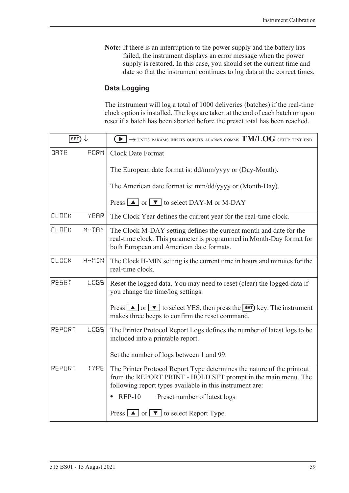**Note:** If there is an interruption to the power supply and the battery has failed, the instrument displays an error message when the power supply is restored. In this case, you should set the current time and date so that the instrument continues to log data at the correct times.

### **Data Logging**

The instrument will log a total of 1000 deliveries (batches) if the real-time clock option is installed. The logs are taken at the end of each batch or upon reset if a batch has been aborted before the preset total has been reached.

| $ $ SET $)$  |             | $\rightarrow$ units params inputs ouputs alarms comms $\mathrm{TM/LOG}$ setup test end                                                                                                              |
|--------------|-------------|-----------------------------------------------------------------------------------------------------------------------------------------------------------------------------------------------------|
| <b>JATE</b>  | FORM        | <b>Clock Date Format</b>                                                                                                                                                                            |
|              |             | The European date format is: dd/mm/yyyy or (Day-Month).                                                                                                                                             |
|              |             | The American date format is: mm/dd/yyyy or (Month-Day).                                                                                                                                             |
|              |             | Press $\boxed{\blacktriangle}$ or $\boxed{\blacktriangledown}$ to select DAY-M or M-DAY                                                                                                             |
| <b>CLOCK</b> | YEAR        | The Clock Year defines the current year for the real-time clock.                                                                                                                                    |
| <b>CLOCK</b> | $M - JHY$   | The Clock M-DAY setting defines the current month and date for the<br>real-time clock. This parameter is programmed in Month-Day format for<br>both European and American date formats.             |
| <b>CLOCK</b> | H-MIN       | The Clock H-MIN setting is the current time in hours and minutes for the<br>real-time clock.                                                                                                        |
| RESET        | LO65        | Reset the logged data. You may need to reset (clear) the logged data if<br>you change the time/log settings.                                                                                        |
|              |             | Press $\Box$ or $\nabla$ to select YES, then press the <b>SET</b> ) key. The instrument<br>makes three beeps to confirm the reset command.                                                          |
| REPORT       | <b>LOGS</b> | The Printer Protocol Report Logs defines the number of latest logs to be<br>included into a printable report.                                                                                       |
|              |             | Set the number of logs between 1 and 99.                                                                                                                                                            |
| REPORT       | TYPE        | The Printer Protocol Report Type determines the nature of the printout<br>from the REPORT PRINT - HOLD.SET prompt in the main menu. The<br>following report types available in this instrument are: |
|              |             | <b>REP-10</b><br>Preset number of latest logs<br>$\bullet$                                                                                                                                          |
|              |             | Press $\boxed{\blacktriangle}$ or $\boxed{\blacktriangledown}$ to select Report Type.                                                                                                               |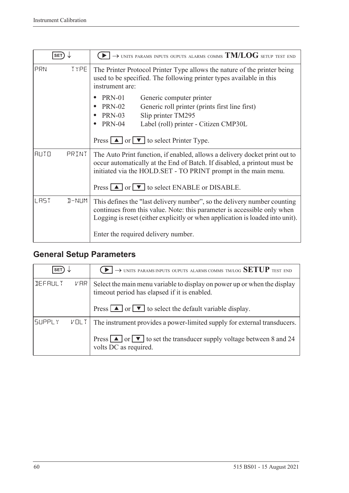| <b>SET</b>  |             | $\rightarrow$ units params inputs ouputs alarms comms $\mathrm{TM}/\mathrm{LOG}$ setup test end                                                                                                                                                                                                         |
|-------------|-------------|---------------------------------------------------------------------------------------------------------------------------------------------------------------------------------------------------------------------------------------------------------------------------------------------------------|
| PRN         | TYPE        | The Printer Protocol Printer Type allows the nature of the printer being<br>used to be specified. The following printer types available in this<br>instrument are:                                                                                                                                      |
|             |             | <b>PRN-01</b><br>Generic computer printer<br><b>PRN-02</b><br>Generic roll printer (prints first line first)<br><b>PRN-03</b><br>Slip printer TM295<br><b>PRN-04</b><br>Label (roll) printer - Citizen CMP30L<br>Press $\boxed{\blacktriangle}$ or $\boxed{\blacktriangledown}$ to select Printer Type. |
|             |             |                                                                                                                                                                                                                                                                                                         |
| <b>RUTO</b> | PRINT       | The Auto Print function, if enabled, allows a delivery docket print out to<br>occur automatically at the End of Batch. If disabled, a printout must be<br>initiated via the HOLD.SET - TO PRINT prompt in the main menu.<br>Press $\Box$ or $\nabla$ to select ENABLE or DISABLE.                       |
|             |             |                                                                                                                                                                                                                                                                                                         |
| LAST        | $I - N L M$ | This defines the "last delivery number", so the delivery number counting<br>continues from this value. Note: this parameter is accessible only when<br>Logging is reset (either explicitly or when application is loaded into unit).                                                                    |
|             |             | Enter the required delivery number.                                                                                                                                                                                                                                                                     |

# <span id="page-69-0"></span>**General Setup Parameters**

| $ $ SET $) \downarrow$ |            | $\rightarrow$ units params inputs ouputs alarms comms tm/log SETUP test end                                              |
|------------------------|------------|--------------------------------------------------------------------------------------------------------------------------|
| <b>JEFAULT</b>         | $V$ RR $ $ | Select the main menu variable to display on power up or when the display<br>timeout period has elapsed if it is enabled. |
|                        |            | Press $\boxed{\blacktriangle}$ or $\boxed{\blacktriangledown}$ to select the default variable display.                   |
| <b>SUPPLY</b>          | VCLT       | The instrument provides a power-limited supply for external transducers.                                                 |
|                        |            | Press $\Box$ or $\nabla$ to set the transducer supply voltage between 8 and 24<br>volts DC as required.                  |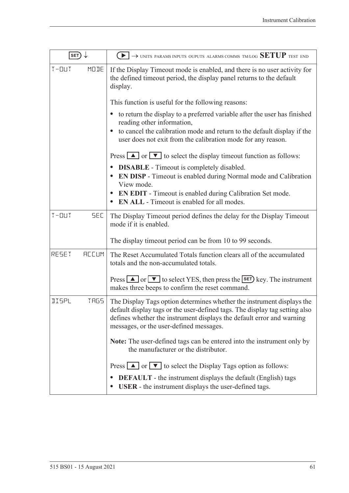| SET)         |              | $\rightarrow$ units params inputs ouputs alarms comms tm/log $\operatorname{SETUP}$ test end<br>(▶                                                                                                                                                                                          |
|--------------|--------------|---------------------------------------------------------------------------------------------------------------------------------------------------------------------------------------------------------------------------------------------------------------------------------------------|
| $T - 111T$   | MODE         | If the Display Timeout mode is enabled, and there is no user activity for<br>the defined timeout period, the display panel returns to the default<br>display.                                                                                                                               |
|              |              | This function is useful for the following reasons:                                                                                                                                                                                                                                          |
|              |              | to return the display to a preferred variable after the user has finished<br>$\bullet$<br>reading other information,<br>to cancel the calibration mode and return to the default display if the<br>user does not exit from the calibration mode for any reason.                             |
|              |              | Press $\boxed{\blacktriangle}$ or $\boxed{\blacktriangledown}$ to select the display timeout function as follows:                                                                                                                                                                           |
|              |              | <b>DISABLE</b> - Timeout is completely disabled.<br>$\bullet$<br><b>EN DISP</b> - Timeout is enabled during Normal mode and Calibration<br>View mode.<br><b>EN EDIT</b> - Timeout is enabled during Calibration Set mode.<br>$\bullet$<br><b>EN ALL</b> - Timeout is enabled for all modes. |
| $T - 111T$   | <b>SEC</b>   | The Display Timeout period defines the delay for the Display Timeout<br>mode if it is enabled.                                                                                                                                                                                              |
|              |              | The display timeout period can be from 10 to 99 seconds.                                                                                                                                                                                                                                    |
| RESET        | <b>REEUM</b> | The Reset Accumulated Totals function clears all of the accumulated<br>totals and the non-accumulated totals.                                                                                                                                                                               |
|              |              | Press $\Box$ or $\nabla$ to select YES, then press the <b>SET</b> ) key. The instrument<br>makes three beeps to confirm the reset command.                                                                                                                                                  |
| <b>IISPL</b> | TRG5         | The Display Tags option determines whether the instrument displays the<br>default display tags or the user-defined tags. The display tag setting also<br>defines whether the instrument displays the default error and warning<br>messages, or the user-defined messages.                   |
|              |              | Note: The user-defined tags can be entered into the instrument only by<br>the manufacturer or the distributor.                                                                                                                                                                              |
|              |              | Press $\Box$ or $\nabla$ to select the Display Tags option as follows:                                                                                                                                                                                                                      |
|              |              | <b>DEFAULT</b> - the instrument displays the default (English) tags<br>$\bullet$<br><b>USER</b> - the instrument displays the user-defined tags.<br>$\bullet$                                                                                                                               |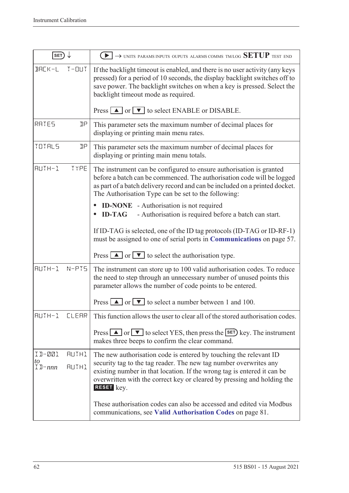| SET)                               |                              | $\rightarrow$ units params inputs ouputs alarms comms tm/log SETUP test end                                                                                                                                                                                                                                                                                                        |
|------------------------------------|------------------------------|------------------------------------------------------------------------------------------------------------------------------------------------------------------------------------------------------------------------------------------------------------------------------------------------------------------------------------------------------------------------------------|
| $B H L K-L$                        | $T - DUT$                    | If the backlight timeout is enabled, and there is no user activity (any keys<br>pressed) for a period of 10 seconds, the display backlight switches off to<br>save power. The backlight switches on when a key is pressed. Select the<br>backlight timeout mode as required.<br>Press $\Box$ or $\nabla$ to select ENABLE or DISABLE.                                              |
| RATES                              | IJΡ                          |                                                                                                                                                                                                                                                                                                                                                                                    |
|                                    |                              | This parameter sets the maximum number of decimal places for<br>displaying or printing main menu rates.                                                                                                                                                                                                                                                                            |
| TOTALS                             | IJΡ                          | This parameter sets the maximum number of decimal places for<br>displaying or printing main menu totals.                                                                                                                                                                                                                                                                           |
| $H$ $H$ $H$ $-1$                   | TYPE                         | The instrument can be configured to ensure authorisation is granted<br>before a batch can be commenced. The authorisation code will be logged<br>as part of a batch delivery record and can be included on a printed docket.<br>The Authorisation Type can be set to the following:                                                                                                |
|                                    |                              | <b>ID-NONE</b> - Authorisation is not required<br><b>ID-TAG</b><br>- Authorisation is required before a batch can start.                                                                                                                                                                                                                                                           |
|                                    |                              | If ID-TAG is selected, one of the ID tag protocols (ID-TAG or ID-RF-1)<br>must be assigned to one of serial ports in <b>Communications</b> on page 57.                                                                                                                                                                                                                             |
|                                    |                              | Press $\boxed{\blacktriangle}$ or $\boxed{\blacktriangledown}$ to select the authorisation type.                                                                                                                                                                                                                                                                                   |
| <b>AUTH-1 N-PT5</b>                |                              | The instrument can store up to 100 valid authorisation codes. To reduce<br>the need to step through an unnecessary number of unused points this<br>parameter allows the number of code points to be entered.                                                                                                                                                                       |
|                                    |                              | Press $\Box$ or $\nabla$ to select a number between 1 and 100.                                                                                                                                                                                                                                                                                                                     |
| $H$ $I$ $H$ $-1$                   | <b>CLEAR</b>                 | This function allows the user to clear all of the stored authorisation codes.                                                                                                                                                                                                                                                                                                      |
|                                    |                              | Press $\boxed{\blacktriangle}$ or $\boxed{\blacktriangledown}$ to select YES, then press the $\boxed{\text{set}}$ key. The instrument<br>makes three beeps to confirm the clear command.                                                                                                                                                                                           |
| ID-001<br>to<br>$I\mathbb{J}$ -nnn | <b>RUTH1</b><br><b>RUTH1</b> | The new authorisation code is entered by touching the relevant ID<br>security tag to the tag reader. The new tag number overwrites any<br>existing number in that location. If the wrong tag is entered it can be<br>overwritten with the correct key or cleared by pressing and holding the<br>RESET key.<br>These authorisation codes can also be accessed and edited via Modbus |
|                                    |                              | communications, see Valid Authorisation Codes on page 81.                                                                                                                                                                                                                                                                                                                          |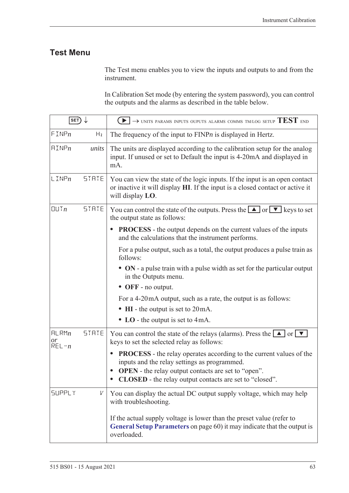# **Test Menu**

The Test menu enables you to view the inputs and outputs to and from the instrument.

In Calibration Set mode (by entering the system password), you can control the outputs and the alarms as described in the table below.

| $ $ SET $)$              |              | $\rightarrow$ units params inputs ouputs alarms comms tm/log setup $\text{TEST}$ end<br>$\rightarrow$                                                                                                                                                                   |  |  |  |  |  |  |  |  |
|--------------------------|--------------|-------------------------------------------------------------------------------------------------------------------------------------------------------------------------------------------------------------------------------------------------------------------------|--|--|--|--|--|--|--|--|
| FIMPn                    | Hz           | The frequency of the input to $FINPn$ is displayed in Hertz.                                                                                                                                                                                                            |  |  |  |  |  |  |  |  |
| $\text{HIMP}_n$          | units        | The units are displayed according to the calibration setup for the analog<br>input. If unused or set to Default the input is 4-20mA and displayed in<br>mA.                                                                                                             |  |  |  |  |  |  |  |  |
| $L$ INP $n$              | <b>STATE</b> | You can view the state of the logic inputs. If the input is an open contact<br>or inactive it will display HI. If the input is a closed contact or active it<br>will display LO.                                                                                        |  |  |  |  |  |  |  |  |
| $\Box$ $\Box$ $\Box$ $n$ | STATE        | You can control the state of the outputs. Press the $\Box$ or $\nabla$ keys to set<br>the output state as follows:                                                                                                                                                      |  |  |  |  |  |  |  |  |
|                          |              | <b>PROCESS</b> - the output depends on the current values of the inputs<br>and the calculations that the instrument performs.                                                                                                                                           |  |  |  |  |  |  |  |  |
|                          |              | For a pulse output, such as a total, the output produces a pulse train as<br>follows:                                                                                                                                                                                   |  |  |  |  |  |  |  |  |
|                          |              | • ON - a pulse train with a pulse width as set for the particular output<br>in the Outputs menu.                                                                                                                                                                        |  |  |  |  |  |  |  |  |
|                          |              | • OFF - no output.                                                                                                                                                                                                                                                      |  |  |  |  |  |  |  |  |
|                          |              | For a 4-20 mA output, such as a rate, the output is as follows:                                                                                                                                                                                                         |  |  |  |  |  |  |  |  |
|                          |              | • HI - the output is set to 20mA.                                                                                                                                                                                                                                       |  |  |  |  |  |  |  |  |
|                          |              | • LO - the output is set to 4mA.                                                                                                                                                                                                                                        |  |  |  |  |  |  |  |  |
| HLRMn<br>or<br>$REL - n$ | STATE        | You can control the state of the relays (alarms). Press the $\Box$ or $\nabla$<br>keys to set the selected relay as follows:                                                                                                                                            |  |  |  |  |  |  |  |  |
|                          |              | <b>PROCESS</b> - the relay operates according to the current values of the<br>$\bullet$<br>inputs and the relay settings as programmed.<br><b>OPEN</b> - the relay output contacts are set to "open".<br><b>CLOSED</b> - the relay output contacts are set to "closed". |  |  |  |  |  |  |  |  |
| <b>SUPPLY</b>            | V            | You can display the actual DC output supply voltage, which may help<br>with troubleshooting.                                                                                                                                                                            |  |  |  |  |  |  |  |  |
|                          |              | If the actual supply voltage is lower than the preset value (refer to<br><b>General Setup Parameters</b> on page 60) it may indicate that the output is<br>overloaded.                                                                                                  |  |  |  |  |  |  |  |  |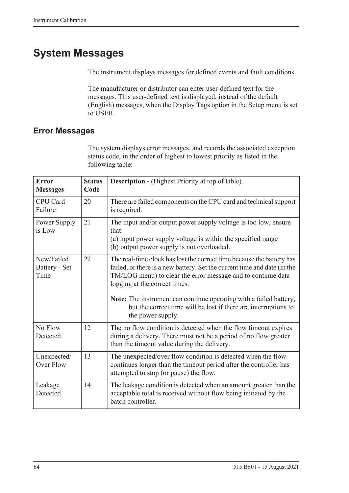# **System Messages**

The instrument displays messages for defined events and fault conditions.

The manufacturer or distributor can enter user-defined text for the messages. This user-defined text is displayed, instead of the default (English) messages, when the Display Tags option in the Setup menu is set to USER.

# <span id="page-73-1"></span>**Error Messages**

The system displays error messages, and records the associated exception status code, in the order of highest to lowest priority as listed in the following table:

<span id="page-73-0"></span>

| <b>Error</b><br><b>Messages</b>     | <b>Status</b><br>Code | <b>Description -</b> (Highest Priority at top of table).                                                                                                                                                                                                                                                                                                                                                         |  |  |  |  |  |  |  |
|-------------------------------------|-----------------------|------------------------------------------------------------------------------------------------------------------------------------------------------------------------------------------------------------------------------------------------------------------------------------------------------------------------------------------------------------------------------------------------------------------|--|--|--|--|--|--|--|
| CPU Card<br>Failure                 | 20                    | There are failed components on the CPU card and technical support<br>is required.                                                                                                                                                                                                                                                                                                                                |  |  |  |  |  |  |  |
| Power Supply<br>is Low              | 21                    | The input and/or output power supply voltage is too low, ensure<br>that:<br>(a) input power supply voltage is within the specified range<br>(b) output power supply is not overloaded.                                                                                                                                                                                                                           |  |  |  |  |  |  |  |
| New/Failed<br>Battery - Set<br>Time | 22                    | The real-time clock has lost the correct time because the battery has<br>failed, or there is a new battery. Set the current time and date (in the<br>TM/LOG menu) to clear the error message and to continue data<br>logging at the correct times.<br>Note: The instrument can continue operating with a failed battery,<br>but the correct time will be lost if there are interruptions to<br>the power supply. |  |  |  |  |  |  |  |
| No Flow<br>Detected                 | 12                    | The no flow condition is detected when the flow timeout expires<br>during a delivery. There must not be a period of no flow greater<br>than the timeout value during the delivery.                                                                                                                                                                                                                               |  |  |  |  |  |  |  |
| Unexpected/<br><b>Over Flow</b>     | 13                    | The unexpected/over flow condition is detected when the flow<br>continues longer than the timeout period after the controller has<br>attempted to stop (or pause) the flow.                                                                                                                                                                                                                                      |  |  |  |  |  |  |  |
| Leakage<br>Detected                 | 14                    | The leakage condition is detected when an amount greater than the<br>acceptable total is received without flow being initiated by the<br>batch controller.                                                                                                                                                                                                                                                       |  |  |  |  |  |  |  |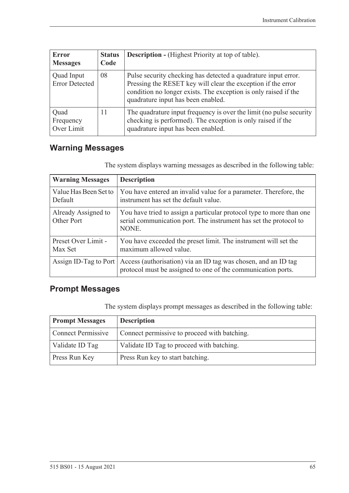| <b>Error</b><br><b>Messages</b>           | <b>Status</b><br>Code | <b>Description -</b> (Highest Priority at top of table).                                                                                                                                                                                |  |  |  |  |  |
|-------------------------------------------|-----------------------|-----------------------------------------------------------------------------------------------------------------------------------------------------------------------------------------------------------------------------------------|--|--|--|--|--|
| 08<br>Quad Input<br><b>Error Detected</b> |                       | Pulse security checking has detected a quadrature input error.<br>Pressing the RESET key will clear the exception if the error<br>condition no longer exists. The exception is only raised if the<br>quadrature input has been enabled. |  |  |  |  |  |
| Quad<br>Frequency<br>Over Limit           | 11                    | The quadrature input frequency is over the limit (no pulse security<br>checking is performed). The exception is only raised if the<br>quadrature input has been enabled.                                                                |  |  |  |  |  |

# **Warning Messages**

The system displays warning messages as described in the following table:

| <b>Warning Messages</b>           | <b>Description</b>                                                                                                                                 |  |  |  |  |  |  |
|-----------------------------------|----------------------------------------------------------------------------------------------------------------------------------------------------|--|--|--|--|--|--|
| Value Has Been Set to<br>Default  | You have entered an invalid value for a parameter. Therefore, the<br>instrument has set the default value.                                         |  |  |  |  |  |  |
| Already Assigned to<br>Other Port | You have tried to assign a particular protocol type to more than one<br>serial communication port. The instrument has set the protocol to<br>NONE. |  |  |  |  |  |  |
| Preset Over Limit -<br>Max Set    | You have exceeded the preset limit. The instrument will set the<br>maximum allowed value.                                                          |  |  |  |  |  |  |
| Assign ID-Tag to Port             | Access (authorisation) via an ID tag was chosen, and an ID tag<br>protocol must be assigned to one of the communication ports.                     |  |  |  |  |  |  |

# **Prompt Messages**

The system displays prompt messages as described in the following table:

| <b>Prompt Messages</b> | <b>Description</b>                           |
|------------------------|----------------------------------------------|
| Connect Permissive     | Connect permissive to proceed with batching. |
| Validate ID Tag        | Validate ID Tag to proceed with batching.    |
| <b>Press Run Key</b>   | Press Run key to start batching.             |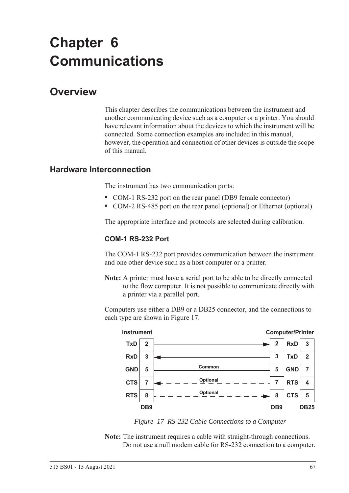# **Chapter 6 Communications**

# **Overview**

<span id="page-76-2"></span>This chapter describes the communications between the instrument and another communicating device such as a computer or a printer. You should have relevant information about the devices to which the instrument will be connected. Some connection examples are included in this manual, however, the operation and connection of other devices is outside the scope of this manual.

# **Hardware Interconnection**

<span id="page-76-3"></span>The instrument has two communication ports:

- **•** COM-1 RS-232 port on the rear panel (DB9 female connector)
- **•** COM-2 RS-485 port on the rear panel (optional) or Ethernet (optional)

The appropriate interface and protocols are selected during calibration.

#### <span id="page-76-1"></span>**COM-1 RS-232 Port**

The COM-1 RS-232 port provides communication between the instrument and one other device such as a host computer or a printer.

**Note:** A printer must have a serial port to be able to be directly connected to the flow computer. It is not possible to communicate directly with a printer via a parallel port.

Computers use either a DB9 or a DB25 connector, and the connections to each type are shown in [Figure 17.](#page-76-0)



*Figure 17 RS-232 Cable Connections to a Computer*

<span id="page-76-0"></span>**Note:** The instrument requires a cable with straight-through connections. Do not use a null modem cable for RS-232 connection to a computer.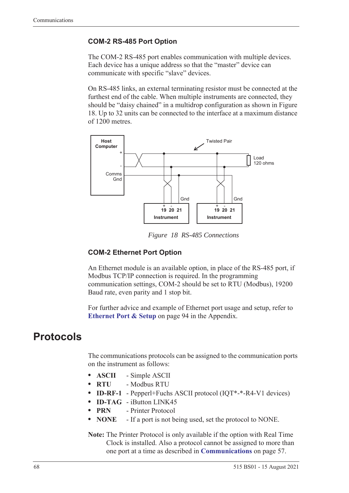### <span id="page-77-1"></span>**COM-2 RS-485 Port Option**

The COM-2 RS-485 port enables communication with multiple devices. Each device has a unique address so that the "master" device can communicate with specific "slave" devices.

On RS-485 links, an external terminating resistor must be connected at the furthest end of the cable. When multiple instruments are connected, they should be "daisy chained" in a multidrop configuration as shown in Figure [18](#page-77-0). Up to 32 units can be connected to the interface at a maximum distance of 1200 metres.



<span id="page-77-3"></span>*Figure 18 RS-485 Connections*

### <span id="page-77-0"></span>**COM-2 Ethernet Port Option**

An Ethernet module is an available option, in place of the RS-485 port, if Modbus TCP/IP connection is required. In the programming communication settings, COM-2 should be set to RTU (Modbus), 19200 Baud rate, even parity and 1 stop bit.

<span id="page-77-2"></span>For further advice and example of Ethernet port usage and setup, refer to **[Ethernet Port & Setup](#page-103-0)** on page 94 in the Appendix.

# **Protocols**

The communications protocols can be assigned to the communication ports on the instrument as follows:

- **• ASCII** Simple ASCII
- **• RTU** Modbus RTU
- **• ID-RF-1** Pepperl+Fuchs ASCII protocol (IQT\*-\*-R4-V1 devices)
- **• ID-TAG** iButton LINK45
- **• PRN** Printer Protocol
- **• NONE** If a port is not being used, set the protocol to NONE.

**Note:** The Printer Protocol is only available if the option with Real Time Clock is installed. Also a protocol cannot be assigned to more than one port at a time as described in **[Communications](#page-66-0)** on page 57.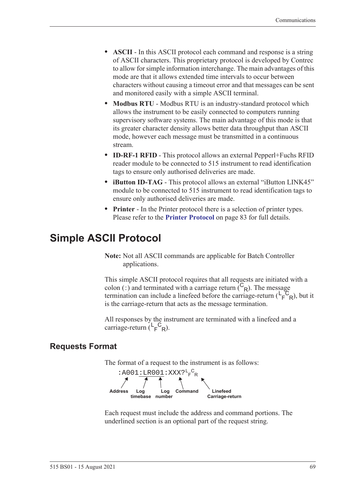- **• ASCII** In this ASCII protocol each command and response is a string of ASCII characters. This proprietary protocol is developed by Contrec to allow for simple information interchange. The main advantages of this mode are that it allows extended time intervals to occur between characters without causing a timeout error and that messages can be sent and monitored easily with a simple ASCII terminal.
- **• Modbus RTU** Modbus RTU is an industry-standard protocol which allows the instrument to be easily connected to computers running supervisory software systems. The main advantage of this mode is that its greater character density allows better data throughput than ASCII mode, however each message must be transmitted in a continuous stream.
- **• ID-RF-1 RFID**  This protocol allows an external Pepperl+Fuchs RFID reader module to be connected to 515 instrument to read identification tags to ensure only authorised deliveries are made.
- **iButton ID-TAG** This protocol allows an external "iButton LINK45" module to be connected to 515 instrument to read identification tags to ensure only authorised deliveries are made.
- <span id="page-78-0"></span>**• Printer** - In the Printer protocol there is a selection of printer types. Please refer to the **[Printer Protocol](#page-92-0)** on page 83 for full details.

# **Simple ASCII Protocol**

**Note:** Not all ASCII commands are applicable for Batch Controller applications.

This simple ASCII protocol requires that all requests are initiated with a colon (:) and terminated with a carriage return  $\binom{C_R}{R}$ . The message termination can include a linefeed before the carriage-return  $(\mathsf{L}_\mathsf{F}^\mathsf{C}_{\mathsf{R}})$ , but it is the carriage-return that acts as the message termination.

<span id="page-78-1"></span>All responses by the instrument are terminated with a linefeed and a carriage-return  $\left({}^{\mathsf{L}}{}_{\mathsf{F}}\mathsf{C}_{\mathsf{R}}\right)$ .

### **Requests Format**

The format of a request to the instrument is as follows:



Each request must include the address and command portions. The underlined section is an optional part of the request string.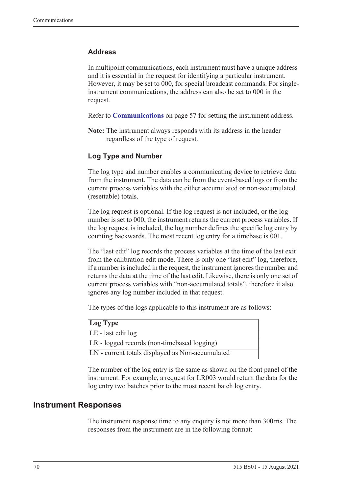### <span id="page-79-0"></span>**Address**

In multipoint communications, each instrument must have a unique address and it is essential in the request for identifying a particular instrument. However, it may be set to 000, for special broadcast commands. For singleinstrument communications, the address can also be set to 000 in the request.

Refer to **[Communications](#page-66-0)** on page 57 for setting the instrument address.

**Note:** The instrument always responds with its address in the header regardless of the type of request.

### **Log Type and Number**

The log type and number enables a communicating device to retrieve data from the instrument. The data can be from the event-based logs or from the current process variables with the either accumulated or non-accumulated (resettable) totals.

The log request is optional. If the log request is not included, or the log number is set to 000, the instrument returns the current process variables. If the log request is included, the log number defines the specific log entry by counting backwards. The most recent log entry for a timebase is 001.

The "last edit" log records the process variables at the time of the last exit from the calibration edit mode. There is only one "last edit" log, therefore, if a number is included in the request, the instrument ignores the number and returns the data at the time of the last edit. Likewise, there is only one set of current process variables with "non-accumulated totals", therefore it also ignores any log number included in that request.

The types of the logs applicable to this instrument are as follows:

| Log Type                                         |
|--------------------------------------------------|
| LE - last edit log                               |
| LR - logged records (non-timebased logging)      |
| LN - current totals displayed as Non-accumulated |

The number of the log entry is the same as shown on the front panel of the instrument. For example, a request for LR003 would return the data for the log entry two batches prior to the most recent batch log entry.

### **Instrument Responses**

<span id="page-79-1"></span>The instrument response time to any enquiry is not more than 300 ms. The responses from the instrument are in the following format: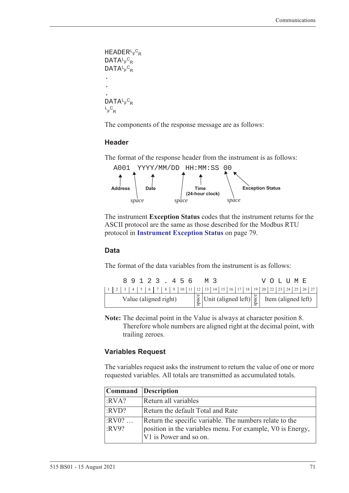```
HEADER<sup>L</sup>F<sup>C</sup>R
DATA<sup>L</sup>F<sup>C</sup>R
DATA<sup>L</sup>F<sup>C</sup>R
.
.
.
DATA<sup>L</sup>F<sup>C</sup>R
L_p^CR
```
The components of the response message are as follows:

### **Header**

The format of the response header from the instrument is as follows:



<span id="page-80-0"></span>The instrument **Exception Status** codes that the instrument returns for the ASCII protocol are the same as those described for the Modbus RTU protocol in **[Instrument Exception Status](#page-88-0)** on page 79.

#### **Data**

The format of the data variables from the instrument is as follows:



**Note:** The decimal point in the Value is always at character position 8. Therefore whole numbers are aligned right at the decimal point, with trailing zeroes.

### **Variables Request**

The variables request asks the instrument to return the value of one or more requested variables. All totals are transmitted as accumulated totals.

|                                     | Command Description                                                                                                                             |
|-------------------------------------|-------------------------------------------------------------------------------------------------------------------------------------------------|
| :RVA?                               | Return all variables                                                                                                                            |
| :RVD?                               | Return the default Total and Rate                                                                                                               |
| $\vert:\mathrm{RV}0? \dots$<br>RV9? | Return the specific variable. The numbers relate to the<br>position in the variables menu. For example, V0 is Energy,<br>V1 is Power and so on. |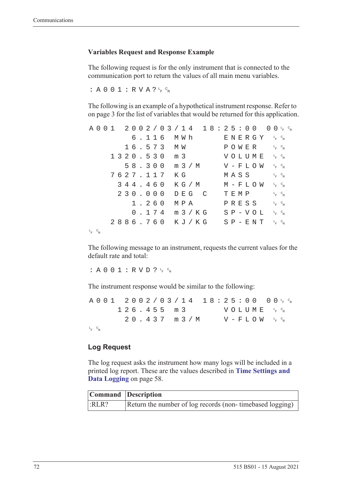#### **Variables Request and Response Example**

The following request is for the only instrument that is connected to the communication port to return the values of all main menu variables.

: A 0 0 1 : R V A ?  $L_F$   $C_R$ 

The following is an example of a hypothetical instrument response. Refer to [on page 3](#page-12-0) for the list of variables that would be returned for this application.

|             |  |  |  |         |  |                  |  |       | A 0 0 1 2 0 0 2 / 0 3 / 1 4 1 8 : 2 5 : 0 0 0 0 0 ⊦ ° R |  |      |  |                                               |  |                                   |  |  |
|-------------|--|--|--|---------|--|------------------|--|-------|---------------------------------------------------------|--|------|--|-----------------------------------------------|--|-----------------------------------|--|--|
|             |  |  |  |         |  | 6.116 MWh        |  |       |                                                         |  |      |  | $E N E R G Y \vdash c_R$                      |  |                                   |  |  |
|             |  |  |  |         |  | 16.573 MW        |  |       |                                                         |  |      |  | POWER                                         |  | $L_{F}$ $C_{R}$                   |  |  |
|             |  |  |  |         |  | 1320.530 m 3     |  |       |                                                         |  |      |  | VOLUME <sup>L</sup> <sup>c</sup> <sub>R</sub> |  |                                   |  |  |
|             |  |  |  |         |  |                  |  |       | 58.300 m 3 / M V - F L O W $F_{R}^{c}$                  |  |      |  |                                               |  |                                   |  |  |
|             |  |  |  |         |  | 7627.117 KG      |  |       |                                                         |  |      |  | MASS                                          |  | $L_{F}$ $C_{R}$                   |  |  |
|             |  |  |  | 344.460 |  |                  |  |       | K G / M                                                 |  |      |  | $M - F$ $\bot$ $\circ$ $W$                    |  | $L$ <sub>F</sub> $C$ <sub>R</sub> |  |  |
|             |  |  |  | 230.000 |  |                  |  | DEG C |                                                         |  | TEMP |  |                                               |  | $L_F$ $C_R$                       |  |  |
|             |  |  |  | 1.260   |  | МРА              |  |       |                                                         |  |      |  | PRESS                                         |  | $L_{F}$ $C_{R}$                   |  |  |
|             |  |  |  |         |  | $0.174$ m $3/KG$ |  |       |                                                         |  |      |  | $S P - V O L$                                 |  | $L$ <sub>F</sub> $C$ <sub>R</sub> |  |  |
|             |  |  |  |         |  |                  |  |       | 2886.760 KJ/KG SP-ENT F <sup>C</sup> R                  |  |      |  |                                               |  |                                   |  |  |
| $L_F$ $C_R$ |  |  |  |         |  |                  |  |       |                                                         |  |      |  |                                               |  |                                   |  |  |

The following message to an instrument, requests the current values for the default rate and total:

: A 0 0 1 : R V D ?  $L_F$   $C_R$ 

The instrument response would be similar to the following:

A001 2002/03/14 18:25:00 <sup>F</sup> <sup>C</sup> R 126.455 m3 VOLUME  $F$   $\circ$ <sub>R</sub> 20.437 m3/M V-FLOW <sup>L</sup>  $F$   $\circ$ <sub>R</sub> L <sup>F</sup> <sup>C</sup> R

### **Log Request**

The log request asks the instrument how many logs will be included in a printed log report. These are the values described in **[Time Settings and](#page-67-0)  [Data Logging](#page-67-0)** on page 58.

|      | Command Description                                      |
|------|----------------------------------------------------------|
| RLR? | Return the number of log records (non-timebased logging) |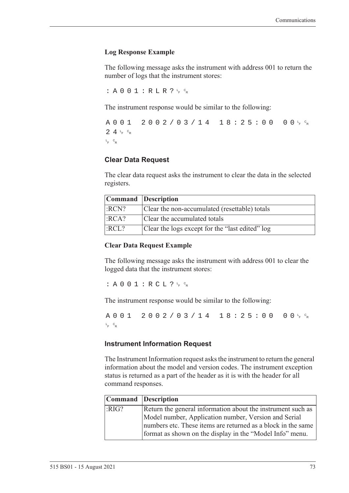#### **Log Response Example**

The following message asks the instrument with address 001 to return the number of logs that the instrument stores:

 $: A 0 0 1 : R L R ? \nvert R$ 

The instrument response would be similar to the following:

A001 2002/03/14 18:25:00 <sup>F</sup> <sup>C</sup> R  $24r$ <sub>F</sub>  $c_R$ L <sup>F</sup> <sup>C</sup> R

#### **Clear Data Request**

The clear data request asks the instrument to clear the data in the selected registers.

| Command Description |                                                 |
|---------------------|-------------------------------------------------|
| :RCN?               | Clear the non-accumulated (resettable) totals   |
| $ $ :RCA?           | Clear the accumulated totals                    |
| :RCL?               | Clear the logs except for the "last edited" log |

#### **Clear Data Request Example**

The following message asks the instrument with address 001 to clear the logged data that the instrument stores:

: A 0 0 1 : R C L ?  $L_F$   $c_R$ 

The instrument response would be similar to the following:

 $A001 2002/03/14 18:25:00$  $F$   $C_R$ L <sup>F</sup> <sup>C</sup> R

#### <span id="page-82-0"></span>**Instrument Information Request**

The Instrument Information request asks the instrument to return the general information about the model and version codes. The instrument exception status is returned as a part of the header as it is with the header for all command responses.

| Command Description |                                                              |
|---------------------|--------------------------------------------------------------|
| :RIG?               | Return the general information about the instrument such as  |
|                     | Model number, Application number, Version and Serial         |
|                     | numbers etc. These items are returned as a block in the same |
|                     | format as shown on the display in the "Model Info" menu.     |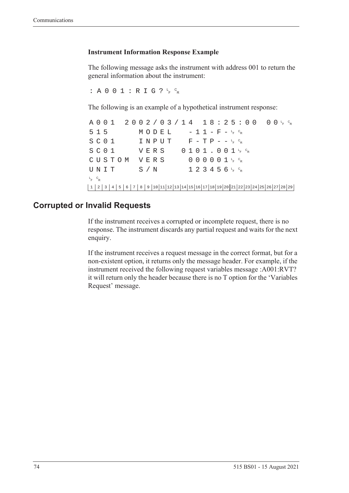#### **Instrument Information Response Example**

The following message asks the instrument with address 001 to return the general information about the instrument:

 $: A 0 0 1 : R I G ? \vdash c_R$ 

The following is an example of a hypothetical instrument response:

```
A001 2002/03/14 18:25:00
                                                      F C
R
515 MODEL -11-F-F_{R}^{c}S C O 1 I N P U T F - T P - - <sup>L</sup><sub>F</sub> <sup>C</sup>R
SC01 VERS 0101.001 L
F C
R
CUSTOM VERS
                                        F \circR
\texttt{UNIT} S/N 123456<sup>L</sup>F <sup>C</sup>R
L
F C
R
1 2 3 4 5 6 7 8 9 10 11 12 13 14 15 16 17 18 19 20 21 22 23 24 25 26 27 28 29
```
# **Corrupted or Invalid Requests**

If the instrument receives a corrupted or incomplete request, there is no response. The instrument discards any partial request and waits for the next enquiry.

If the instrument receives a request message in the correct format, but for a non-existent option, it returns only the message header. For example, if the instrument received the following request variables message :A001:RVT? it will return only the header because there is no T option for the 'Variables Request' message.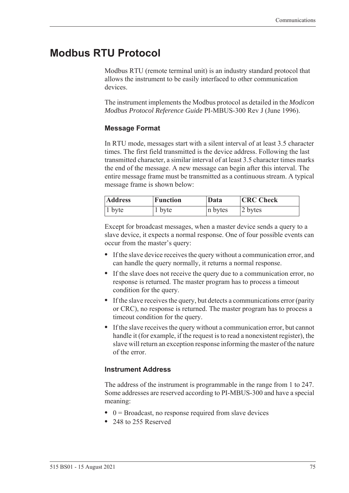# **Modbus RTU Protocol**

Modbus RTU (remote terminal unit) is an industry standard protocol that allows the instrument to be easily interfaced to other communication devices.

The instrument implements the Modbus protocol as detailed in the *Modicon Modbus Protocol Reference Guide* PI-MBUS-300 Rev J (June 1996).

### **Message Format**

In RTU mode, messages start with a silent interval of at least 3.5 character times. The first field transmitted is the device address. Following the last transmitted character, a similar interval of at least 3.5 character times marks the end of the message. A new message can begin after this interval. The entire message frame must be transmitted as a continuous stream. A typical message frame is shown below:

| <b>Address</b> | <b>Function</b> | Data    | <b>CRC</b> Check |  |  |  |  |
|----------------|-----------------|---------|------------------|--|--|--|--|
| $ 1$ byte      | 1 byte          | n bytes | 2 bytes          |  |  |  |  |

Except for broadcast messages, when a master device sends a query to a slave device, it expects a normal response. One of four possible events can occur from the master's query:

- **•** If the slave device receives the query without a communication error, and can handle the query normally, it returns a normal response.
- **•** If the slave does not receive the query due to a communication error, no response is returned. The master program has to process a timeout condition for the query.
- **•** If the slave receives the query, but detects a communications error (parity or CRC), no response is returned. The master program has to process a timeout condition for the query.
- **•** If the slave receives the query without a communication error, but cannot handle it (for example, if the request is to read a nonexistent register), the slave will return an exception response informing the master of the nature of the error.

### **Instrument Address**

The address of the instrument is programmable in the range from 1 to 247. Some addresses are reserved according to PI-MBUS-300 and have a special meaning:

- 0 = Broadcast, no response required from slave devices
- **•** 248 to 255 Reserved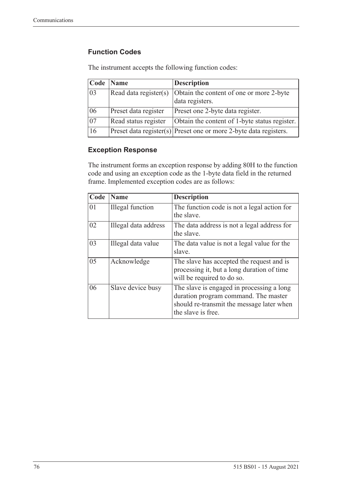## **Function Codes**

| Code            | <b>Name</b>           | <b>Description</b>                                                    |
|-----------------|-----------------------|-----------------------------------------------------------------------|
| 03              | Read data register(s) | Obtain the content of one or more 2-byte<br>data registers.           |
| 06              | Preset data register  | Preset one 2-byte data register.                                      |
| $\overline{07}$ | Read status register  | Obtain the content of 1-byte status register.                         |
| 16              |                       | $ $ Preset data register(s) Preset one or more 2-byte data registers. |

The instrument accepts the following function codes:

### **Exception Response**

The instrument forms an exception response by adding 80H to the function code and using an exception code as the 1-byte data field in the returned frame. Implemented exception codes are as follows:

| Code | <b>Name</b>             | <b>Description</b>                                                                                                                                   |
|------|-------------------------|------------------------------------------------------------------------------------------------------------------------------------------------------|
| 01   | <b>Illegal</b> function | The function code is not a legal action for<br>the slave.                                                                                            |
| 02   | Illegal data address    | The data address is not a legal address for<br>the slave.                                                                                            |
| 03   | Illegal data value      | The data value is not a legal value for the<br>slave.                                                                                                |
| 05   | Acknowledge             | The slave has accepted the request and is<br>processing it, but a long duration of time<br>will be required to do so.                                |
| 06   | Slave device busy       | The slave is engaged in processing a long<br>duration program command. The master<br>should re-transmit the message later when<br>the slave is free. |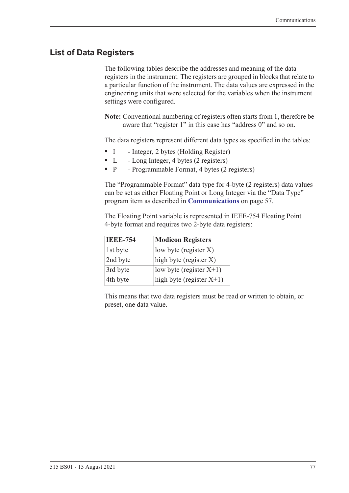# **List of Data Registers**

The following tables describe the addresses and meaning of the data registers in the instrument. The registers are grouped in blocks that relate to a particular function of the instrument. The data values are expressed in the engineering units that were selected for the variables when the instrument settings were configured.

**Note:** Conventional numbering of registers often starts from 1, therefore be aware that "register 1" in this case has "address 0" and so on.

The data registers represent different data types as specified in the tables:

- I Integer, 2 bytes (Holding Register)
- L Long Integer, 4 bytes (2 registers)
- P Programmable Format, 4 bytes (2 registers)

The "Programmable Format" data type for 4-byte (2 registers) data values can be set as either Floating Point or Long Integer via the "Data Type" program item as described in **[Communications](#page-66-0)** on page 57.

The Floating Point variable is represented in IEEE-754 Floating Point 4-byte format and requires two 2-byte data registers:

| <b>IEEE-754</b> | <b>Modicon Registers</b>    |
|-----------------|-----------------------------|
| 1st byte        | low byte (register $X$ )    |
| 2nd byte        | high byte (register $X$ )   |
| 3rd byte        | low byte (register $X+1$ )  |
| 4th byte        | high byte (register $X+1$ ) |

This means that two data registers must be read or written to obtain, or preset, one data value.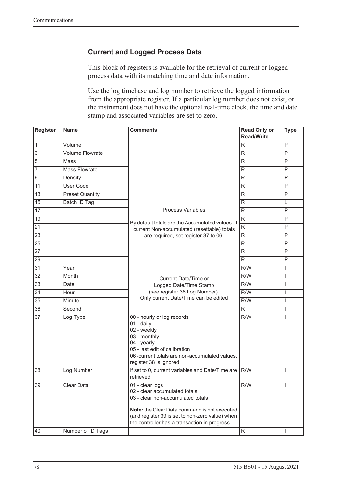## **Current and Logged Process Data**

This block of registers is available for the retrieval of current or logged process data with its matching time and date information.

Use the log timebase and log number to retrieve the logged information from the appropriate register. If a particular log number does not exist, or the instrument does not have the optional real-time clock, the time and date stamp and associated variables are set to zero.

| Register        | <b>Name</b>            | <b>Comments</b>                                                                                                                                                                                                                                  |                         | <b>Type</b>    |
|-----------------|------------------------|--------------------------------------------------------------------------------------------------------------------------------------------------------------------------------------------------------------------------------------------------|-------------------------|----------------|
| $\overline{1}$  | Volume                 |                                                                                                                                                                                                                                                  | $\mathsf{R}$            | $\overline{P}$ |
| $\overline{3}$  | <b>Volume Flowrate</b> |                                                                                                                                                                                                                                                  | $\mathsf{R}$            | P              |
| $\overline{5}$  | <b>Mass</b>            |                                                                                                                                                                                                                                                  | $\mathsf{R}$            | $\mathsf{P}$   |
| $\overline{7}$  | <b>Mass Flowrate</b>   |                                                                                                                                                                                                                                                  | $\mathsf{R}$            | $\mathsf{P}$   |
| $9$             | Density                |                                                                                                                                                                                                                                                  | $\mathsf{R}$            | $\overline{P}$ |
| 11              | <b>User Code</b>       |                                                                                                                                                                                                                                                  | R                       | P              |
| 13              | <b>Preset Quantity</b> |                                                                                                                                                                                                                                                  | $\mathsf{R}$            | P              |
| 15              | <b>Batch ID Tag</b>    |                                                                                                                                                                                                                                                  | R                       | L              |
| 17              |                        | <b>Process Variables</b>                                                                                                                                                                                                                         | $\mathsf{R}$            | P              |
| 19              |                        | By default totals are the Accumulated values. If                                                                                                                                                                                                 | $\mathsf R$             | P              |
| $\overline{21}$ |                        | current Non-accumulated (resettable) totals                                                                                                                                                                                                      | $\overline{\mathsf{R}}$ | $\overline{P}$ |
| $\overline{23}$ |                        | are required, set register 37 to 06.                                                                                                                                                                                                             | R                       | $\mathsf{P}$   |
| 25              |                        |                                                                                                                                                                                                                                                  | $\mathsf{R}$            | $\overline{P}$ |
| $\overline{27}$ |                        |                                                                                                                                                                                                                                                  | $\mathsf{R}$            | $\overline{P}$ |
| $\overline{29}$ |                        |                                                                                                                                                                                                                                                  | $\mathsf{R}$            | $\overline{P}$ |
| 31              | Year                   |                                                                                                                                                                                                                                                  | R/W                     | $\overline{1}$ |
| $\overline{32}$ | Month                  | Current Date/Time or                                                                                                                                                                                                                             | R/W                     | I              |
| 33              | Date                   | Logged Date/Time Stamp                                                                                                                                                                                                                           | R/W                     | ı              |
| 34              | Hour                   | (see register 38 Log Number).                                                                                                                                                                                                                    | R/W                     | I              |
| $\overline{35}$ | Minute                 | Only current Date/Time can be edited                                                                                                                                                                                                             | R/W                     | I              |
| 36              | Second                 |                                                                                                                                                                                                                                                  | $\mathsf{R}$            | I              |
| 37              | Log Type               | 00 - hourly or log records<br>$01 -$ daily<br>02 - weekly<br>03 - monthly<br>04 - yearly<br>05 - last edit of calibration<br>06-current totals are non-accumulated values,<br>register 38 is ignored.                                            | R/W                     | I              |
| 38              | Log Number             | If set to 0, current variables and Date/Time are<br>retrieved                                                                                                                                                                                    | R/W                     | I              |
| 39              | <b>Clear Data</b>      | 01 - clear logs<br>02 - clear accumulated totals<br>03 - clear non-accumulated totals<br><b>Note:</b> the Clear Data command is not executed<br>(and register 39 is set to non-zero value) when<br>the controller has a transaction in progress. | R/W                     | I              |
| 40              | Number of ID Tags      |                                                                                                                                                                                                                                                  | ${\sf R}$               |                |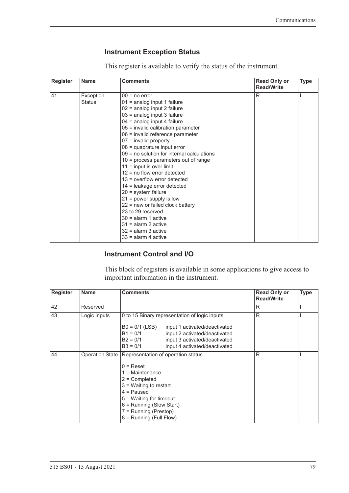## <span id="page-88-1"></span><span id="page-88-0"></span>**Instrument Exception Status**

This register is available to verify the status of the instrument.

| <b>Register</b> | <b>Name</b>   | <b>Comments</b>                              | <b>Read Only or</b><br><b>Read/Write</b> | <b>Type</b> |
|-----------------|---------------|----------------------------------------------|------------------------------------------|-------------|
| 41              | Exception     | $00 = no error$                              | R                                        |             |
|                 | <b>Status</b> | $01$ = analog input 1 failure                |                                          |             |
|                 |               | $02$ = analog input 2 failure                |                                          |             |
|                 |               | 03 = analog input 3 failure                  |                                          |             |
|                 |               | 04 = analog input 4 failure                  |                                          |             |
|                 |               | 05 = invalid calibration parameter           |                                          |             |
|                 |               | 06 = invalid reference parameter             |                                          |             |
|                 |               | $07$ = invalid property                      |                                          |             |
|                 |               | $08$ = quadrature input error                |                                          |             |
|                 |               | $09$ = no solution for internal calculations |                                          |             |
|                 |               | $10$ = process parameters out of range       |                                          |             |
|                 |               | $11 =$ input is over limit                   |                                          |             |
|                 |               | $12$ = no flow error detected                |                                          |             |
|                 |               | $13$ = overflow error detected               |                                          |             |
|                 |               | $14$ = leakage error detected                |                                          |             |
|                 |               | $20 =$ system failure                        |                                          |             |
|                 |               | $21$ = power supply is low                   |                                          |             |
|                 |               | $22$ = new or failed clock battery           |                                          |             |
|                 |               | 23 to 29 reserved                            |                                          |             |
|                 |               | $30 =$ alarm 1 active                        |                                          |             |
|                 |               | $31$ = alarm 2 active                        |                                          |             |
|                 |               | $32$ = alarm 3 active                        |                                          |             |
|                 |               | $33$ = alarm 4 active                        |                                          |             |

### **Instrument Control and I/O**

This block of registers is available in some applications to give access to important information in the instrument.

| <b>Register</b> | <b>Name</b>  | <b>Comments</b>                                                                                                                                                                                                                                                        | <b>Read Only or</b><br><b>Read/Write</b> | <b>Type</b> |
|-----------------|--------------|------------------------------------------------------------------------------------------------------------------------------------------------------------------------------------------------------------------------------------------------------------------------|------------------------------------------|-------------|
| 42              | Reserved     |                                                                                                                                                                                                                                                                        | R                                        |             |
| 43              | Logic Inputs | 0 to 15 Binary representation of logic inputs<br>$B0 = 0/1$ (LSB)<br>input 1 activated/deactivated<br>$B1 = 0/1$<br>input 2 activated/deactivated<br>$B2 = 0/1$<br>input 3 activated/deactivated<br>$B3 = 0/1$<br>input 4 activated/deactivated                        | R                                        |             |
| 44              |              | Operation State   Representation of operation status<br>$0 =$ Reset<br>$1 =$ Maintenance<br>$2 =$ Completed<br>$3$ = Waiting to restart<br>$4 =$ Paused<br>$5 =$ Waiting for timeout<br>6 = Running (Slow Start)<br>7 = Running (Prestop)<br>$8$ = Running (Full Flow) | R                                        |             |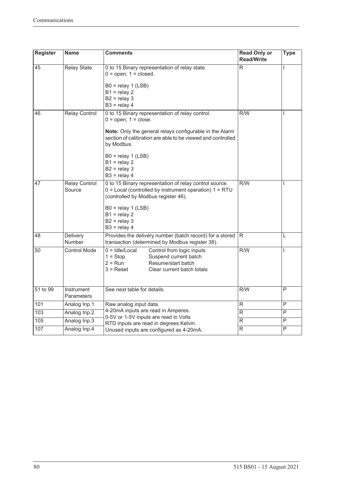| <b>Register</b> | <b>Name</b>                     | <b>Comments</b>                                                                                                                                                                                                                                                                                   | <b>Read Only or</b><br><b>Read/Write</b> | <b>Type</b>             |
|-----------------|---------------------------------|---------------------------------------------------------------------------------------------------------------------------------------------------------------------------------------------------------------------------------------------------------------------------------------------------|------------------------------------------|-------------------------|
| 45              | <b>Relay State</b>              | 0 to 15 Binary representation of relay state.<br>$0 =$ open; $1 =$ closed.<br>$B0 =$ relay 1 (LSB)<br>$B1 =$ relay 2<br>$B2 =$ relay 3<br>$B3 =$ relay 4                                                                                                                                          | R                                        | I                       |
| 46              | <b>Relay Control</b>            | 0 to 15 Binary representation of relay control.<br>$0 =$ open; $1 =$ close.<br>Note: Only the general relays configurable in the Alarm<br>section of calibration are able to be viewed and controlled<br>by Modbus.<br>$B0 =$ relay 1 (LSB)<br>$B1$ = relay 2<br>$B2 =$ relay 3<br>$B3 =$ relay 4 | R/W                                      | I                       |
| 47              | <b>Relay Control</b><br>Source  | 0 to 15 Binary representation of relay control source.<br>$0 =$ Local (controlled by instrument operation) $1 = RTU$<br>(controlled by Modbus register 46).<br>$B0 =$ relay 1 (LSB)<br>$B1$ = relay 2<br>$B2 =$ relay 3<br>$B3 =$ relay 4                                                         | R/W                                      | I                       |
| 48              | Delivery<br>Number              | Provides the delivery number (batch record) for a stored $ R$<br>transaction (determined by Modbus register 38).                                                                                                                                                                                  |                                          | L                       |
| 50              | Control Mode                    | $0 =$ Idle/Local<br>Control from logic inputs<br>Suspend current batch<br>$1 = Stop$<br>$2 = Run$<br>Resume/start batch<br>$3 =$ Reset<br>Clear current batch totals                                                                                                                              | R/W                                      | $\overline{1}$          |
| 51 to 99        | Instrument<br><b>Parameters</b> | See next table for details.                                                                                                                                                                                                                                                                       | R/W                                      | P                       |
| 101             | Analog Inp.1                    | Raw analog input data.                                                                                                                                                                                                                                                                            | $\overline{R}$                           | $\overline{\mathsf{P}}$ |
| 103             | Analog Inp.2                    | 4-20mA inputs are read in Amperes.                                                                                                                                                                                                                                                                | $\overline{R}$                           | P                       |
| 105             | Analog Inp.3                    | 0-5V or 1-5V inputs are read in Volts<br>RTD inputs are read in degrees Kelvin.                                                                                                                                                                                                                   | R                                        | $\overline{P}$          |
| 107             | Analog Inp.4                    | Unused inputs are configured as 4-20mA.                                                                                                                                                                                                                                                           | $\overline{\mathsf{R}}$                  | P                       |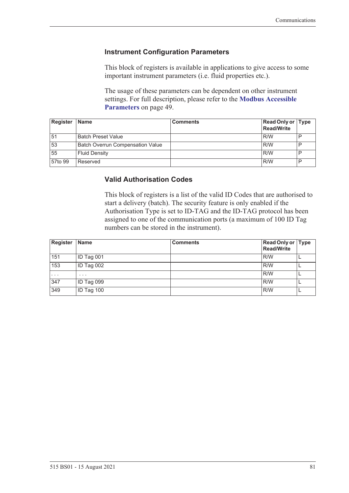### **Instrument Configuration Parameters**

This block of registers is available in applications to give access to some important instrument parameters (i.e. fluid properties etc.).

The usage of these parameters can be dependent on other instrument settings. For full description, please refer to the **[Modbus Accessible](#page-58-0)  [Parameters](#page-58-0)** on page 49.

| <b>Register</b> | <b>Name</b>                             | <b>Comments</b> | Read Only or Type<br><b>Read/Write</b> |  |
|-----------------|-----------------------------------------|-----------------|----------------------------------------|--|
| 51              | <b>Batch Preset Value</b>               |                 | R/W                                    |  |
| 53              | <b>Batch Overrun Compensation Value</b> |                 | R/W                                    |  |
| 55              | <b>Fluid Density</b>                    |                 | R/W                                    |  |
| 57to 99         | Reserved                                |                 | R/W                                    |  |

### <span id="page-90-0"></span>**Valid Authorisation Codes**

This block of registers is a list of the valid ID Codes that are authorised to start a delivery (batch). The security feature is only enabled if the Authorisation Type is set to ID-TAG and the ID-TAG protocol has been assigned to one of the communication ports (a maximum of 100 ID Tag numbers can be stored in the instrument).

| <b>Register</b> | <b>Name</b> | <b>Comments</b> | Read Only or Type<br><b>Read/Write</b> |  |
|-----------------|-------------|-----------------|----------------------------------------|--|
| 151             | ID Tag 001  |                 | R/W                                    |  |
| 153             | ID Tag 002  |                 | R/W                                    |  |
| $\cdots$        | .           |                 | R/W                                    |  |
| 347             | ID Tag 099  |                 | R/W                                    |  |
| 349             | ID Tag 100  |                 | R/W                                    |  |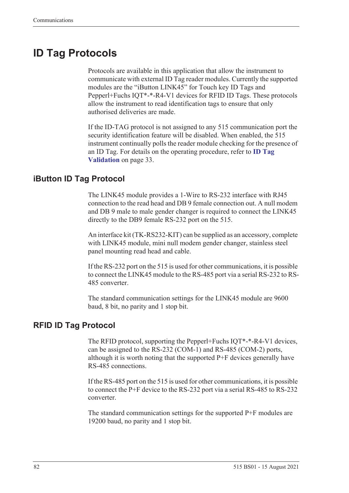# **ID Tag Protocols**

<span id="page-91-1"></span>Protocols are available in this application that allow the instrument to communicate with external ID Tag reader modules. Currently the supported modules are the "iButton LINK45" for Touch key ID Tags and Pepperl+Fuchs IQT\*-\*-R4-V1 devices for RFID ID Tags. These protocols allow the instrument to read identification tags to ensure that only authorised deliveries are made.

If the ID-TAG protocol is not assigned to any 515 communication port the security identification feature will be disabled. When enabled, the 515 instrument continually polls the reader module checking for the presence of an ID Tag. For details on the operating procedure, refer to **[ID Tag](#page-42-0)  Validation** [on page 33.](#page-42-0)

# **iButton ID Tag Protocol**

<span id="page-91-0"></span>The LINK45 module provides a 1-Wire to RS-232 interface with RJ45 connection to the read head and DB 9 female connection out. A null modem and DB 9 male to male gender changer is required to connect the LINK45 directly to the DB9 female RS-232 port on the 515.

An interface kit (TK-RS232-KIT) can be supplied as an accessory, complete with LINK45 module, mini null modem gender changer, stainless steel panel mounting read head and cable.

If the RS-232 port on the 515 is used for other communications, it is possible to connect the LINK45 module to the RS-485 port via a serial RS-232 to RS-485 converter.

The standard communication settings for the LINK45 module are 9600 baud, 8 bit, no parity and 1 stop bit.

# **RFID ID Tag Protocol**

The RFID protocol, supporting the Pepperl+Fuchs IQT\*-\*-R4-V1 devices, can be assigned to the RS-232 (COM-1) and RS-485 (COM-2) ports, although it is worth noting that the supported P+F devices generally have RS-485 connections.

If the RS-485 port on the 515 is used for other communications, it is possible to connect the P+F device to the RS-232 port via a serial RS-485 to RS-232 converter.

The standard communication settings for the supported P+F modules are 19200 baud, no parity and 1 stop bit.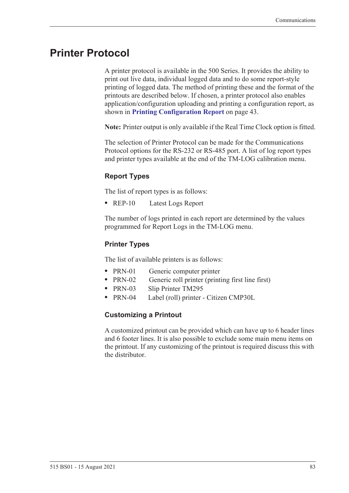# <span id="page-92-0"></span>**Printer Protocol**

A printer protocol is available in the 500 Series. It provides the ability to print out live data, individual logged data and to do some report-style printing of logged data. The method of printing these and the format of the printouts are described below. If chosen, a printer protocol also enables application/configuration uploading and printing a configuration report, as shown in **[Printing Configuration Report](#page-52-0)** on page 43.

**Note:** Printer output is only available if the Real Time Clock option is fitted.

The selection of Printer Protocol can be made for the Communications Protocol options for the RS-232 or RS-485 port. A list of log report types and printer types available at the end of the TM-LOG calibration menu.

### **Report Types**

The list of report types is as follows:

**•** REP-10 Latest Logs Report

The number of logs printed in each report are determined by the values programmed for Report Logs in the TM-LOG menu.

### **Printer Types**

The list of available printers is as follows:

- PRN-01 Generic computer printer
- PRN-02 Generic roll printer (printing first line first)
- **•** PRN-03 Slip Printer TM295
- **•** PRN-04 Label (roll) printer Citizen CMP30L

# <span id="page-92-1"></span>**Customizing a Printout**

A customized printout can be provided which can have up to 6 header lines and 6 footer lines. It is also possible to exclude some main menu items on the printout. If any customizing of the printout is required discuss this with the distributor.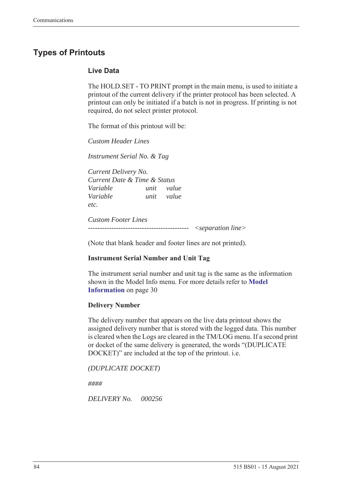# **Types of Printouts**

### **Live Data**

The HOLD.SET - TO PRINT prompt in the main menu, is used to initiate a printout of the current delivery if the printer protocol has been selected. A printout can only be initiated if a batch is not in progress. If printing is not required, do not select printer protocol.

The format of this printout will be:

*Custom Header Lines*

*Instrument Serial No. & Tag*

*Current Delivery No. Current Date & Time & Status Variable unit value Variable unit value etc.*

*Custom Footer Lines ------------------------------------------- <separation line>*

(Note that blank header and footer lines are not printed).

#### **Instrument Serial Number and Unit Tag**

The instrument serial number and unit tag is the same as the information shown in the Model Info menu. For more details refer to **[Model](#page-39-0)  [Information](#page-39-0)** on page 30

#### **Delivery Number**

The delivery number that appears on the live data printout shows the assigned delivery number that is stored with the logged data. This number is cleared when the Logs are cleared in the TM/LOG menu. If a second print or docket of the same delivery is generated, the words "(DUPLICATE DOCKET)" are included at the top of the printout. i.e.

*(DUPLICATE DOCKET)*

*####*

*DELIVERY No. 000256*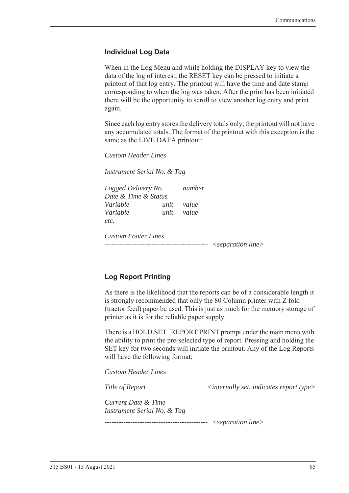### **Individual Log Data**

When in the Log Menu and while holding the DISPLAY key to view the data of the log of interest, the RESET key can be pressed to initiate a printout of that log entry. The printout will have the time and date stamp corresponding to when the log was taken. After the print has been initiated there will be the opportunity to scroll to view another log entry and print again.

Since each log entry stores the delivery totals only, the printout will not have any accumulated totals. The format of the printout with this exception is the same as the LIVE DATA printout:

*Custom Header Lines*

*Instrument Serial No. & Tag*

| Logged Delivery No.        |  | number     |  |  |  |  |
|----------------------------|--|------------|--|--|--|--|
| Date & Time & Status       |  |            |  |  |  |  |
| Variable                   |  | unit value |  |  |  |  |
| Variable                   |  | unit value |  |  |  |  |
| etc.                       |  |            |  |  |  |  |
| <b>Custom Footer Lines</b> |  |            |  |  |  |  |
|                            |  |            |  |  |  |  |

*-------------------------------------------- <separation line>*

# **Log Report Printing**

As there is the likelihood that the reports can be of a considerable length it is strongly recommended that only the 80 Column printer with Z fold (tractor feed) paper be used. This is just as much for the memory storage of printer as it is for the reliable paper supply.

There is a HOLD.SET REPORT PRINT prompt under the main menu with the ability to print the pre-selected type of report. Pressing and holding the SET key for two seconds will initiate the printout. Any of the Log Reports will have the following format:

*Custom Header Lines*

*Title of Report*  $\langle$  *internally set, indicates report type>* 

*Current Date & Time Instrument Serial No. & Tag*

*-------------------------------------------- <separation line>*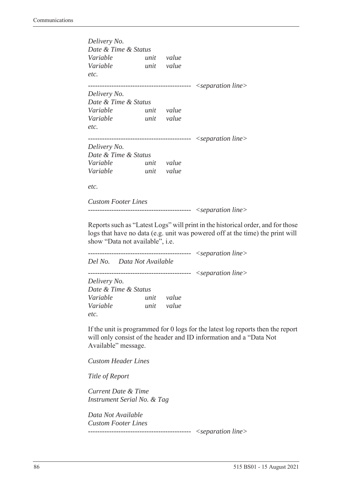*Delivery No. Date & Time & Status Variable unit value Variable unit value etc. -------------------------------------------- <separation line> Delivery No. Date & Time & Status Variable unit value Variable unit value etc. -------------------------------------------- <separation line> Delivery No. Date & Time & Status Variable unit value Variable unit value etc. Custom Footer Lines -------------------------------------------- <separation line>* Reports such as "Latest Logs" will print in the historical order, and for those logs that have no data (e.g. unit was powered off at the time) the print will show "Data not available", i.e.

*-------------------------------------------- <separation line> Del No. Data Not Available -------------------------------------------- <separation line> Delivery No. Date & Time & Status Variable unit value Variable unit value etc.*

If the unit is programmed for 0 logs for the latest log reports then the report will only consist of the header and ID information and a "Data Not Available" message.

*Custom Header Lines*

*Title of Report*

*Current Date & Time Instrument Serial No. & Tag*

*Data Not Available Custom Footer Lines -------------------------------------------- <separation line>*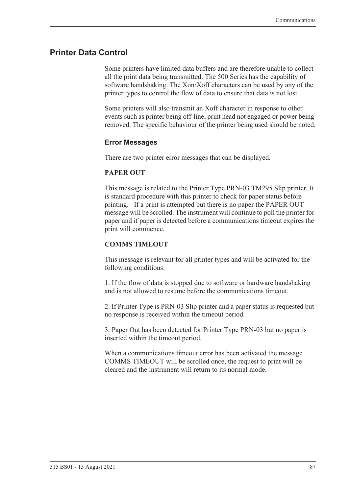## **Printer Data Control**

Some printers have limited data buffers and are therefore unable to collect all the print data being transmitted. The 500 Series has the capability of software handshaking. The Xon/Xoff characters can be used by any of the printer types to control the flow of data to ensure that data is not lost.

Some printers will also transmit an Xoff character in response to other events such as printer being off-line, print head not engaged or power being removed. The specific behaviour of the printer being used should be noted.

#### **Error Messages**

There are two printer error messages that can be displayed.

#### **PAPER OUT**

This message is related to the Printer Type PRN-03 TM295 Slip printer. It is standard procedure with this printer to check for paper status before printing. If a print is attempted but there is no paper the PAPER OUT message will be scrolled. The instrument will continue to poll the printer for paper and if paper is detected before a communications timeout expires the print will commence.

#### **COMMS TIMEOUT**

This message is relevant for all printer types and will be activated for the following conditions.

1. If the flow of data is stopped due to software or hardware handshaking and is not allowed to resume before the communications timeout.

2. If Printer Type is PRN-03 Slip printer and a paper status is requested but no response is received within the timeout period.

3. Paper Out has been detected for Printer Type PRN-03 but no paper is inserted within the timeout period.

When a communications timeout error has been activated the message COMMS TIMEOUT will be scrolled once, the request to print will be cleared and the instrument will return to its normal mode.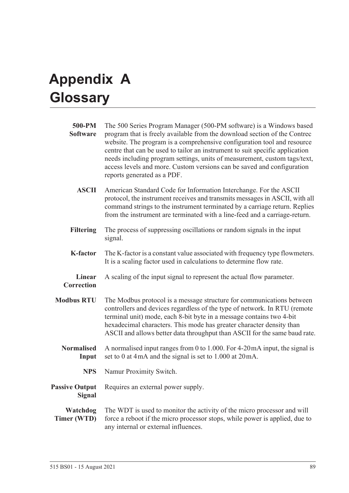# <span id="page-98-1"></span>**Appendix A Glossary**

<span id="page-98-0"></span>

| 500-PM<br><b>Software</b>              | The 500 Series Program Manager (500-PM software) is a Windows based<br>program that is freely available from the download section of the Contrec<br>website. The program is a comprehensive configuration tool and resource<br>centre that can be used to tailor an instrument to suit specific application<br>needs including program settings, units of measurement, custom tags/text,<br>access levels and more. Custom versions can be saved and configuration<br>reports generated as a PDF. |
|----------------------------------------|---------------------------------------------------------------------------------------------------------------------------------------------------------------------------------------------------------------------------------------------------------------------------------------------------------------------------------------------------------------------------------------------------------------------------------------------------------------------------------------------------|
| <b>ASCII</b>                           | American Standard Code for Information Interchange. For the ASCII<br>protocol, the instrument receives and transmits messages in ASCII, with all<br>command strings to the instrument terminated by a carriage return. Replies<br>from the instrument are terminated with a line-feed and a carriage-return.                                                                                                                                                                                      |
| <b>Filtering</b>                       | The process of suppressing oscillations or random signals in the input<br>signal.                                                                                                                                                                                                                                                                                                                                                                                                                 |
| <b>K-factor</b>                        | The K-factor is a constant value associated with frequency type flowmeters.<br>It is a scaling factor used in calculations to determine flow rate.                                                                                                                                                                                                                                                                                                                                                |
| <b>Linear</b><br>Correction            | A scaling of the input signal to represent the actual flow parameter.                                                                                                                                                                                                                                                                                                                                                                                                                             |
| <b>Modbus RTU</b>                      | The Modbus protocol is a message structure for communications between<br>controllers and devices regardless of the type of network. In RTU (remote<br>terminal unit) mode, each 8-bit byte in a message contains two 4-bit<br>hexadecimal characters. This mode has greater character density than<br>ASCII and allows better data throughput than ASCII for the same baud rate.                                                                                                                  |
| <b>Normalised</b><br>Input             | A normalised input ranges from 0 to 1.000. For 4-20 mA input, the signal is<br>set to 0 at 4mA and the signal is set to 1.000 at 20mA.                                                                                                                                                                                                                                                                                                                                                            |
| <b>NPS</b>                             | Namur Proximity Switch.                                                                                                                                                                                                                                                                                                                                                                                                                                                                           |
| <b>Passive Output</b><br><b>Signal</b> | Requires an external power supply.                                                                                                                                                                                                                                                                                                                                                                                                                                                                |
| Watchdog<br>Timer (WTD)                | The WDT is used to monitor the activity of the micro processor and will<br>force a reboot if the micro processor stops, while power is applied, due to<br>any internal or external influences.                                                                                                                                                                                                                                                                                                    |
|                                        |                                                                                                                                                                                                                                                                                                                                                                                                                                                                                                   |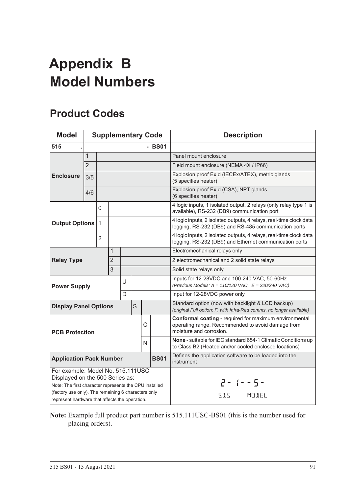# **Appendix B Model Numbers**

# <span id="page-100-0"></span>**Product Codes**

| <b>Model</b>                                                                                                                                                                                                                            | <b>Supplementary Code</b> |                |                |   |   | <b>Description</b>                           |                                                                      |                                                                                                                                        |
|-----------------------------------------------------------------------------------------------------------------------------------------------------------------------------------------------------------------------------------------|---------------------------|----------------|----------------|---|---|----------------------------------------------|----------------------------------------------------------------------|----------------------------------------------------------------------------------------------------------------------------------------|
| 515                                                                                                                                                                                                                                     |                           |                |                |   |   |                                              | - BS01                                                               |                                                                                                                                        |
|                                                                                                                                                                                                                                         | $\mathbf{1}$              |                |                |   |   |                                              |                                                                      | Panel mount enclosure                                                                                                                  |
|                                                                                                                                                                                                                                         | $\overline{2}$            |                |                |   |   |                                              |                                                                      | Field mount enclosure (NEMA 4X / IP66)                                                                                                 |
| <b>Enclosure</b>                                                                                                                                                                                                                        | 3/5                       |                |                |   |   |                                              |                                                                      | Explosion proof Ex d (IECEx/ATEX), metric glands<br>(5 specifies heater)                                                               |
|                                                                                                                                                                                                                                         | 4/6                       |                |                |   |   |                                              |                                                                      | Explosion proof Ex d (CSA), NPT glands<br>(6 specifies heater)                                                                         |
|                                                                                                                                                                                                                                         |                           | 0              |                |   |   |                                              |                                                                      | 4 logic inputs, 1 isolated output, 2 relays (only relay type 1 is<br>available), RS-232 (DB9) communication port                       |
| <b>Output Options</b>                                                                                                                                                                                                                   |                           | $\mathbf{1}$   |                |   |   |                                              |                                                                      | 4 logic inputs, 2 isolated outputs, 4 relays, real-time clock data<br>logging, RS-232 (DB9) and RS-485 communication ports             |
|                                                                                                                                                                                                                                         |                           | $\overline{2}$ |                |   |   |                                              |                                                                      | 4 logic inputs, 2 isolated outputs, 4 relays, real-time clock data<br>logging, RS-232 (DB9) and Ethernet communication ports           |
|                                                                                                                                                                                                                                         |                           |                | 1              |   |   |                                              |                                                                      | Electromechanical relays only                                                                                                          |
| <b>Relay Type</b>                                                                                                                                                                                                                       | $\overline{2}$            |                |                |   |   | 2 electromechanical and 2 solid state relays |                                                                      |                                                                                                                                        |
|                                                                                                                                                                                                                                         |                           |                | $\overline{3}$ |   |   |                                              |                                                                      | Solid state relays only                                                                                                                |
| <b>Power Supply</b>                                                                                                                                                                                                                     |                           |                |                | U |   |                                              |                                                                      | Inputs for 12-28VDC and 100-240 VAC, 50-60Hz<br>(Previous Models: $A = 110/120$ VAC, $E = 220/240$ VAC)                                |
|                                                                                                                                                                                                                                         |                           |                |                | D |   |                                              |                                                                      | Input for 12-28VDC power only                                                                                                          |
| <b>Display Panel Options</b>                                                                                                                                                                                                            |                           |                |                |   | S |                                              |                                                                      | Standard option (now with backlight & LCD backup)<br>(original Full option: F, with Infra-Red comms, no longer available)              |
| <b>PCB Protection</b>                                                                                                                                                                                                                   |                           |                |                |   |   | C                                            |                                                                      | Conformal coating - required for maximum environmental<br>operating range. Recommended to avoid damage from<br>moisture and corrosion. |
|                                                                                                                                                                                                                                         |                           |                |                |   |   | N                                            |                                                                      | None - suitable for IEC standard 654-1 Climatic Conditions up<br>to Class B2 (Heated and/or cooled enclosed locations)                 |
| <b>BS01</b><br><b>Application Pack Number</b>                                                                                                                                                                                           |                           |                |                |   |   |                                              | Defines the application software to be loaded into the<br>instrument |                                                                                                                                        |
| For example: Model No. 515.111USC<br>Displayed on the 500 Series as:<br>Note: The first character represents the CPU installed<br>(factory use only). The remaining 6 characters only<br>represent hardware that affects the operation. |                           |                |                |   |   |                                              |                                                                      | $2 - 1 - - 5 -$<br>515<br>MODEL                                                                                                        |

**Note:** Example full product part number is 515.111USC-BS01 (this is the number used for placing orders).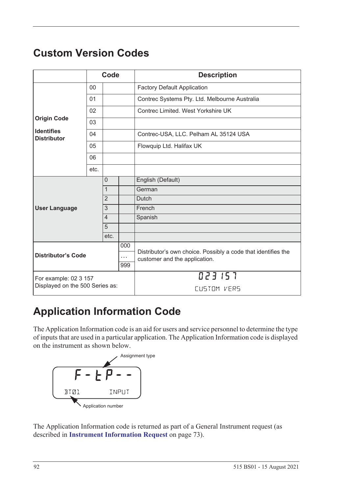# <span id="page-101-1"></span>**Custom Version Codes**

|                                         | Code                   |                |                    | <b>Description</b>                                                                             |  |  |
|-----------------------------------------|------------------------|----------------|--------------------|------------------------------------------------------------------------------------------------|--|--|
|                                         | 00                     |                |                    | <b>Factory Default Application</b>                                                             |  |  |
|                                         | 01                     |                |                    | Contrec Systems Pty. Ltd. Melbourne Australia                                                  |  |  |
|                                         | 02                     |                |                    | Contrec Limited. West Yorkshire UK                                                             |  |  |
| <b>Origin Code</b>                      | 03                     |                |                    |                                                                                                |  |  |
| <b>Identifies</b><br><b>Distributor</b> | 04                     |                |                    | Contrec-USA, LLC. Pelham AL 35124 USA                                                          |  |  |
|                                         | 05                     |                |                    | Flowquip Ltd. Halifax UK                                                                       |  |  |
|                                         | 06                     |                |                    |                                                                                                |  |  |
|                                         | etc.                   |                |                    |                                                                                                |  |  |
|                                         | English (Default)<br>0 |                |                    |                                                                                                |  |  |
|                                         |                        | $\mathbf{1}$   |                    | German                                                                                         |  |  |
|                                         |                        | $\overline{2}$ |                    | Dutch                                                                                          |  |  |
| 3<br><b>User Language</b>               |                        |                | French             |                                                                                                |  |  |
|                                         |                        | $\overline{4}$ |                    | Spanish                                                                                        |  |  |
|                                         |                        | $\overline{5}$ |                    |                                                                                                |  |  |
|                                         |                        | etc.           |                    |                                                                                                |  |  |
|                                         | 000                    |                |                    |                                                                                                |  |  |
| <b>Distributor's Code</b><br>$\ldots$   |                        |                |                    | Distributor's own choice. Possibly a code that identifies the<br>customer and the application. |  |  |
| 999                                     |                        |                |                    |                                                                                                |  |  |
| For example: 02 3 157                   |                        |                |                    | 023157                                                                                         |  |  |
| Displayed on the 500 Series as:         |                        |                | <b>CUSTOM VERS</b> |                                                                                                |  |  |

# **Application Information Code**

The Application Information code is an aid for users and service personnel to determine the type of inputs that are used in a particular application. The Application Information code is displayed on the instrument as shown below.

<span id="page-101-0"></span>

The Application Information code is returned as part of a General Instrument request (as described in **[Instrument Information Request](#page-82-0)** on page 73).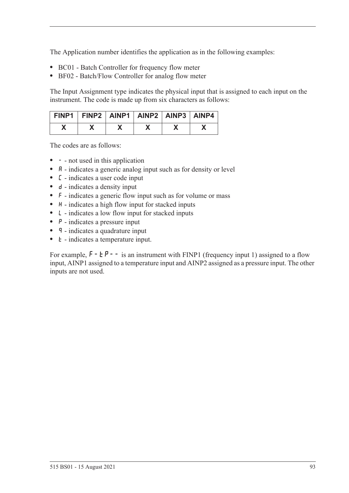The Application number identifies the application as in the following examples:

- **•** BC01 Batch Controller for frequency flow meter
- **•** BF02 Batch/Flow Controller for analog flow meter

The Input Assignment type indicates the physical input that is assigned to each input on the instrument. The code is made up from six characters as follows:

| FINP1   FINP2   AINP1   AINP2   AINP3   AINP4 |  |  |  |
|-----------------------------------------------|--|--|--|
|                                               |  |  |  |

The codes are as follows:

- - not used in this application
- **A** indicates a generic analog input such as for density or level
- **•** C indicates a user code input
- d indicates a density input
- **•** F indicates a generic flow input such as for volume or mass
- H indicates a high flow input for stacked inputs
- **•** L indicates a low flow input for stacked inputs
- **•** P indicates a pressure input
- **q** indicates a quadrature input
- *k* indicates a temperature input.

For example,  $F - tP - -$  is an instrument with FINP1 (frequency input 1) assigned to a flow input, AINP1 assigned to a temperature input and AINP2 assigned as a pressure input. The other inputs are not used.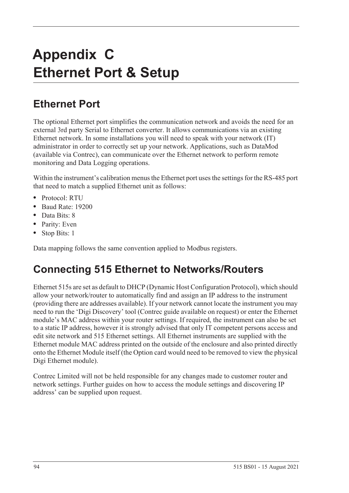# <span id="page-103-0"></span>**Appendix C Ethernet Port & Setup**

# **Ethernet Port**

The optional Ethernet port simplifies the communication network and avoids the need for an external 3rd party Serial to Ethernet converter. It allows communications via an existing Ethernet network. In some installations you will need to speak with your network (IT) administrator in order to correctly set up your network. Applications, such as DataMod (available via Contrec), can communicate over the Ethernet network to perform remote monitoring and Data Logging operations.

Within the instrument's calibration menus the Ethernet port uses the settings for the RS-485 port that need to match a supplied Ethernet unit as follows:

- **•** Protocol: RTU
- **•** Baud Rate: 19200
- **•** Data Bits: 8
- **•** Parity: Even
- **•** Stop Bits: 1

Data mapping follows the same convention applied to Modbus registers.

# **Connecting 515 Ethernet to Networks/Routers**

Ethernet 515s are set as default to DHCP (Dynamic Host Configuration Protocol), which should allow your network/router to automatically find and assign an IP address to the instrument (providing there are addresses available). If your network cannot locate the instrument you may need to run the 'Digi Discovery' tool (Contrec guide available on request) or enter the Ethernet module's MAC address within your router settings. If required, the instrument can also be set to a static IP address, however it is strongly advised that only IT competent persons access and edit site network and 515 Ethernet settings. All Ethernet instruments are supplied with the Ethernet module MAC address printed on the outside of the enclosure and also printed directly onto the Ethernet Module itself (the Option card would need to be removed to view the physical Digi Ethernet module).

Contrec Limited will not be held responsible for any changes made to customer router and network settings. Further guides on how to access the module settings and discovering IP address' can be supplied upon request.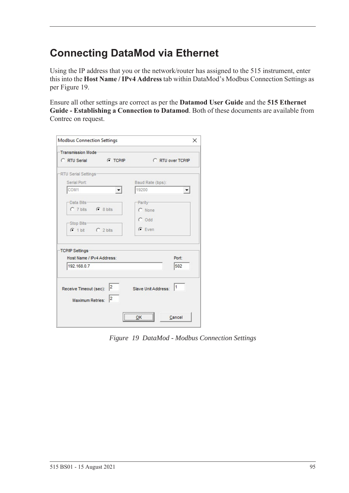# **Connecting DataMod via Ethernet**

Using the IP address that you or the network/router has assigned to the 515 instrument, enter this into the **Host Name / IPv4 Address** tab within DataMod's Modbus Connection Settings as per [Figure 19.](#page-104-0)

Ensure all other settings are correct as per the **Datamod User Guide** and the **515 Ethernet Guide - Establishing a Connection to Datamod**. Both of these documents are available from Contrec on request.

| Transmission Mode-                                   |                 |                     |                      |
|------------------------------------------------------|-----------------|---------------------|----------------------|
| C RTU Serial                                         | <b>C</b> TCP/IP | C RTU over TCP/IP   |                      |
| -RTU Serial Settings-                                |                 |                     |                      |
| Serial Port:                                         |                 | Baud Rate (bps):    |                      |
| COM1                                                 |                 | 19200               | $\blacktriangledown$ |
| -Data Bits-                                          |                 | -Parity-            |                      |
| C 7 bits C 8 bits                                    |                 | C None              |                      |
|                                                      |                 | $C$ Odd             |                      |
| -Stop Bits-                                          |                 | $G$ Even            |                      |
| $C$ 1 bit $C$ 2 bits                                 |                 |                     |                      |
| TCP/IP Settings                                      |                 |                     |                      |
| Host Name / IPv4 Address:                            |                 |                     | Port:                |
| 192.168.0.7                                          |                 |                     | 502                  |
| Receive Timeout (sec): $\vert^2$<br>Maximum Retries: | 2               | Slave Unit Address: | 11                   |
|                                                      |                 | ,                   | Cancel               |

<span id="page-104-0"></span>*Figure 19 DataMod - Modbus Connection Settings*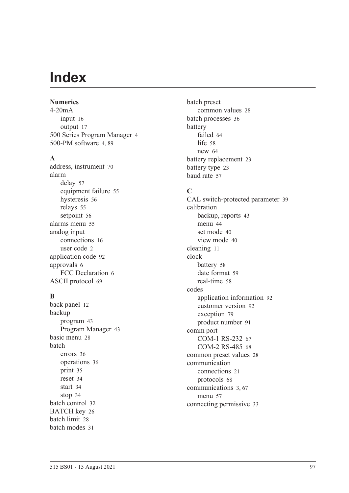# **Index**

### **Numerics**

4-20mA input [16](#page-25-0) output [17](#page-26-0) 500 Series Program Manage[r 4](#page-13-0) 500-PM software [4,](#page-13-0) [89](#page-98-0)

## **A**

address, instrumen[t 70](#page-79-0) alarm dela[y 57](#page-66-1) equipment failur[e 55](#page-64-0) hysteresi[s 56](#page-65-0) relays [55](#page-64-1) setpoin[t 56](#page-65-1) alarms menu [55](#page-64-2) analog input connection[s 16](#page-25-1) user code [2](#page-11-0) application cod[e 92](#page-101-0) approvals [6](#page-15-0) FCC Declaration [6](#page-15-1) ASCII protoco[l 69](#page-78-0)

# **B**

back panel [12](#page-21-0) backup program [43](#page-52-1) Program Manage[r 43](#page-52-2) basic men[u 28](#page-37-0) batch error[s 36](#page-45-0) operation[s 36](#page-45-1) print [35](#page-44-0) reset [34](#page-43-0) start [34](#page-43-1) sto[p 34](#page-43-2) batch contro[l 32](#page-41-0) BATCH ke[y 26](#page-35-0) batch limit [28](#page-37-1) batch mode[s 31](#page-40-0)

batch preset common values [28](#page-37-2) batch processes [36](#page-45-1) battery faile[d 64](#page-73-0) life [58](#page-67-1) new [64](#page-73-0) battery replacement [23](#page-32-0) battery type [23](#page-32-1) baud rat[e 57](#page-66-2)

# $\Gamma$

CAL switch-protected parameter [39](#page-48-0) calibration backup, reports [43](#page-52-1) menu [44](#page-53-0) set mode [40](#page-49-0) view mode [40](#page-49-1) cleaning [11](#page-20-0) clock batter[y 58](#page-67-1) date format [59](#page-68-0) real-tim[e 58](#page-67-2) codes application information [92](#page-101-0) customer versio[n 92](#page-101-1) exception [79](#page-88-1) product numbe[r 91](#page-100-0) comm port COM-1 RS-232 [67](#page-76-1) COM-2 RS-485 [68](#page-77-1) common preset value[s 28](#page-37-2) communication connection[s 21](#page-30-0) protocols [68](#page-77-2) communication[s 3,](#page-12-1) [67](#page-76-2) menu [57](#page-66-3) connecting permissive [33](#page-42-1)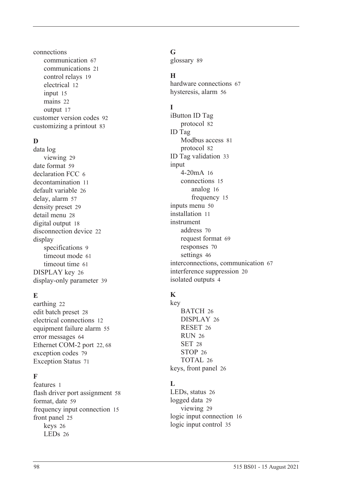connections communicatio[n 67](#page-76-3) communication[s 21](#page-30-0) control relay[s 19](#page-28-0) electrical [12](#page-21-1) inpu[t 15](#page-24-0) main[s 22](#page-31-0) outpu[t 17](#page-26-1) customer version code[s 92](#page-101-1) customizing a printout [83](#page-92-1)

### **D**

data log viewin[g 29](#page-38-0) date format [59](#page-68-0) declaration FCC [6](#page-15-1) decontamination [11](#page-20-0) default variable [26](#page-35-1) delay, alar[m 57](#page-66-1) density prese[t 29](#page-38-1) detail men[u 28](#page-37-0) digital outpu[t 18](#page-27-0) disconnection device [22](#page-31-1) display specifications [9](#page-18-0) timeout mod[e 61](#page-70-0) timeout time [61](#page-70-1) DISPLAY key [26](#page-35-2) display-only parameter [39](#page-48-1)

# **E**

earthin[g 22](#page-31-2) edit batch prese[t 28](#page-37-3) electrical connections [12](#page-21-1) equipment failure alarm [55](#page-64-0) error message[s 64](#page-73-1) Ethernet COM-2 por[t 22,](#page-31-3) [68](#page-77-3) exception codes [79](#page-88-1) Exception Status [71](#page-80-0)

### **F**

features [1](#page-10-0) flash driver port assignmen[t 58](#page-67-3) format, date [59](#page-68-0) frequency input connection [15](#page-24-1) front pane[l 25](#page-34-0) keys [26](#page-35-3) LEDs [26](#page-35-4)

### **G**

glossary [89](#page-98-1)

### **H**

hardware connections [67](#page-76-3) hysteresis, alar[m 56](#page-65-0)

### **I**

iButton ID Tag protocol [82](#page-91-0) ID Tag Modbus access [81](#page-90-0) protocol [82](#page-91-1) ID Tag validation [33](#page-42-2) input 4-20mA [16](#page-25-0) connections [15](#page-24-0) analog [16](#page-25-1) frequency [15](#page-24-1) inputs menu [50](#page-59-0) installation [11](#page-20-1) instrument address [70](#page-79-0) request forma[t 69](#page-78-1) response[s 70](#page-79-1) setting[s 46](#page-55-0) interconnections, communication [67](#page-76-3) interference suppression [20](#page-29-0) isolated output[s 4](#page-13-1)

# **K**

key BATC[H 26](#page-35-0) DISPLA[Y 26](#page-35-2) RESE[T 26](#page-35-5) RUN [26](#page-35-6) SET [28](#page-37-4) STOP [26](#page-35-7) TOTAL [26](#page-35-8) keys, front panel [26](#page-35-3)

### **L**

LEDs, status [26](#page-35-4) logged dat[a 29](#page-38-0) viewin[g 29](#page-38-2) logic input connection [16](#page-25-2) logic input contro[l 35](#page-44-1)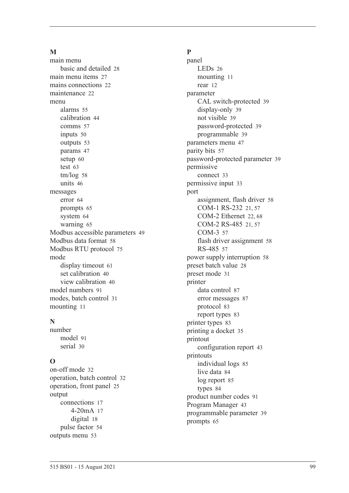main menu basic and detaile[d 28](#page-37-0) main menu items [27](#page-36-0) mains connection[s 22](#page-31-0) maintenance [22](#page-31-1) menu alarm[s 55](#page-64-0) calibratio[n 44](#page-53-0) comms [57](#page-66-0) input[s 50](#page-59-0) output[s 53](#page-62-0) params [47](#page-56-0) setu[p 60](#page-69-0) test [63](#page-72-0) tm/lo[g 58](#page-67-0) unit[s 46](#page-55-0) messages erro[r 64](#page-73-0) prompt[s 65](#page-74-0) syste[m 64](#page-73-1) warnin[g 65](#page-74-1) Modbus accessible parameters [49](#page-58-0) Modbus data forma[t 58](#page-67-1) Modbus RTU protoco[l 75](#page-84-0) mode display timeou[t 61](#page-70-0) set calibration [40](#page-49-0) view calibration [40](#page-49-1) model number[s 91](#page-100-0) modes, batch contro[l 31](#page-40-0) mountin[g 11](#page-20-0)

## **N**

number mode[l 91](#page-100-0) seria[l 30](#page-39-0)

# **O**

on-off mode [32](#page-41-0) operation, batch contro[l 32](#page-41-1) operation, front panel [25](#page-34-0) output connection[s 17](#page-26-0) 4-20m[A 17](#page-26-1) digital [18](#page-27-0) pulse facto[r 54](#page-63-0) outputs men[u 53](#page-62-0)

## **P**

M<br>
main mean identical 28<br>
main mean identical 28<br>
main mean identical 28<br>
main contributes 22<br>
main contributes 22<br>
main contributes 20<br>
contributes 20<br>
contributes 39<br>
contributes 39<br>
contributes 39<br>
contributes 39<br>
in t panel LEDs [26](#page-35-0) mounting [11](#page-20-0) rear [12](#page-21-0) parameter CAL switch-protected [39](#page-48-0) display-only [39](#page-48-1) not visibl[e 39](#page-48-2) password-protected [39](#page-48-3) programmable [39](#page-48-4) parameters men[u 47](#page-56-0) parity bit[s 57](#page-66-1) password-protected parameter [39](#page-48-3) permissive connec[t 33](#page-42-0) permissive input [33](#page-42-1) port assignment, flash driver [58](#page-67-2) COM-1 RS-232 [21,](#page-30-0) [57](#page-66-2) COM-2 Ethernet [22,](#page-31-2) [68](#page-77-0) COM-2 RS-485 [21,](#page-30-1) [57](#page-66-3) COM-[3 57](#page-66-4) flash driver assignment [58](#page-67-2) RS-485 [57](#page-66-5) power supply interruption [58](#page-67-3) preset batch value [28](#page-37-1) preset mod[e 31](#page-40-1) printer data control [87](#page-96-0) error messages [87](#page-96-1) protocol [83](#page-92-0) report types [83](#page-92-1) printer type[s 83](#page-92-2) printing a docke[t 35](#page-44-0) printout configuration repor[t 43](#page-52-0) printouts individual logs [85](#page-94-0) live data [84](#page-93-0) log report [85](#page-94-1) type[s 84](#page-93-1) product number codes [91](#page-100-1) Program Manager [43](#page-52-1) programmable parameter [39](#page-48-4) prompt[s 65](#page-74-0)